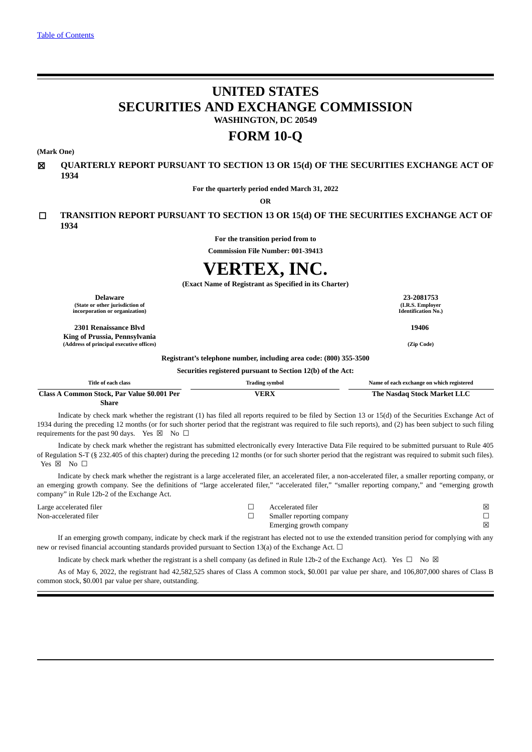# **UNITED STATES SECURITIES AND EXCHANGE COMMISSION WASHINGTON, DC 20549 FORM 10-Q**

**(Mark One)**

☒ **QUARTERLY REPORT PURSUANT TO SECTION 13 OR 15(d) OF THE SECURITIES EXCHANGE ACT OF 1934**

**For the quarterly period ended March 31, 2022**

**OR**

### ☐ **TRANSITION REPORT PURSUANT TO SECTION 13 OR 15(d) OF THE SECURITIES EXCHANGE ACT OF 1934**

**For the transition period from to**

**Commission File Number: 001-39413**

# **VERTEX, INC.**

**(Exact Name of Registrant as Specified in its Charter)**

**Delaware 23-2081753 (State or other jurisdiction of incorporation or organization)**

**2301 Renaissance Blvd King of Prussia, Pennsylvania (Address of principal executive offices) (Zip Code)**

**(I.R.S. Employer Identification No.)**

**19406**

**Registrant's telephone number, including area code: (800) 355-3500**

| Securities registered pursuant to Section 12(b) of the Act: |                       |                                           |  |  |  |  |
|-------------------------------------------------------------|-----------------------|-------------------------------------------|--|--|--|--|
| Title of each class                                         | <b>Trading symbol</b> | Name of each exchange on which registered |  |  |  |  |
| Class A Common Stock, Par Value \$0.001 Per                 | <b>VERX</b>           | The Nasdag Stock Market LLC               |  |  |  |  |
| Share                                                       |                       |                                           |  |  |  |  |

Indicate by check mark whether the registrant (1) has filed all reports required to be filed by Section 13 or 15(d) of the Securities Exchange Act of 1934 during the preceding 12 months (or for such shorter period that the registrant was required to file such reports), and (2) has been subject to such filing requirements for the past 90 days. Yes  $\boxtimes$  No  $\Box$ 

Indicate by check mark whether the registrant has submitted electronically every Interactive Data File required to be submitted pursuant to Rule 405 of Regulation S-T (§ 232.405 of this chapter) during the preceding 12 months (or for such shorter period that the registrant was required to submit such files). Yes  $\overline{\boxtimes}$  No  $\Box$ 

Indicate by check mark whether the registrant is a large accelerated filer, an accelerated filer, a non-accelerated filer, a smaller reporting company, or an emerging growth company. See the definitions of "large accelerated filer," "accelerated filer," "smaller reporting company," and "emerging growth company" in Rule 12b-2 of the Exchange Act.

Large accelerated filer  $\Box$ Non-accelerated filer  $\Box$ 

| Accelerated filer         |  |
|---------------------------|--|
| Smaller reporting company |  |
| Emerging growth company   |  |

If an emerging growth company, indicate by check mark if the registrant has elected not to use the extended transition period for complying with any new or revised financial accounting standards provided pursuant to Section 13(a) of the Exchange Act.  $\Box$ 

Indicate by check mark whether the registrant is a shell company (as defined in Rule 12b-2 of the Exchange Act). Yes  $\Box$  No  $\boxtimes$ 

As of May 6, 2022, the registrant had 42,582,525 shares of Class A common stock, \$0.001 par value per share, and 106,807,000 shares of Class B common stock, \$0.001 par value per share, outstanding.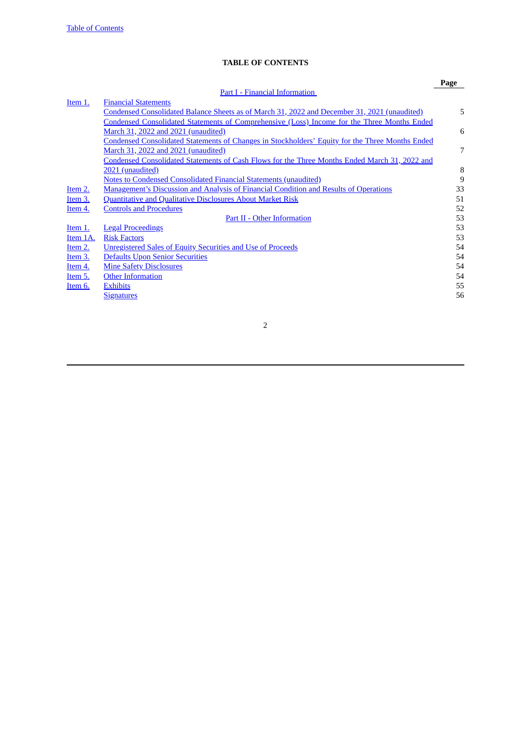### **TABLE OF CONTENTS**

<span id="page-1-0"></span>

|                |                                                                                                    | Page |
|----------------|----------------------------------------------------------------------------------------------------|------|
|                | Part I - Financial Information                                                                     |      |
| Item 1.        | <b>Financial Statements</b>                                                                        |      |
|                | Condensed Consolidated Balance Sheets as of March 31, 2022 and December 31, 2021 (unaudited)       | 5    |
|                | <b>Condensed Consolidated Statements of Comprehensive (Loss) Income for the Three Months Ended</b> |      |
|                | March 31, 2022 and 2021 (unaudited)                                                                | 6    |
|                | Condensed Consolidated Statements of Changes in Stockholders' Equity for the Three Months Ended    |      |
|                | March 31, 2022 and 2021 (unaudited)                                                                | 7    |
|                | Condensed Consolidated Statements of Cash Flows for the Three Months Ended March 31, 2022 and      |      |
|                | 2021 (unaudited)                                                                                   | 8    |
|                | Notes to Condensed Consolidated Financial Statements (unaudited)                                   | 9    |
| Item 2.        | <b>Management's Discussion and Analysis of Financial Condition and Results of Operations</b>       | 33   |
| Item 3.        | <b>Quantitative and Qualitative Disclosures About Market Risk</b>                                  | 51   |
| Item 4.        | <b>Controls and Procedures</b>                                                                     | 52   |
|                | Part II - Other Information                                                                        | 53   |
| Item 1.        | <b>Legal Proceedings</b>                                                                           | 53   |
| Item 1A.       | <b>Risk Factors</b>                                                                                | 53   |
| Item 2.        | Unregistered Sales of Equity Securities and Use of Proceeds                                        | 54   |
| Item 3.        | <b>Defaults Upon Senior Securities</b>                                                             | 54   |
| <u>Item 4.</u> | <b>Mine Safety Disclosures</b>                                                                     | 54   |
| Item 5.        | <b>Other Information</b>                                                                           | 54   |
| Item 6.        | <b>Exhibits</b>                                                                                    | 55   |
|                | <b>Signatures</b>                                                                                  | 56   |
|                |                                                                                                    |      |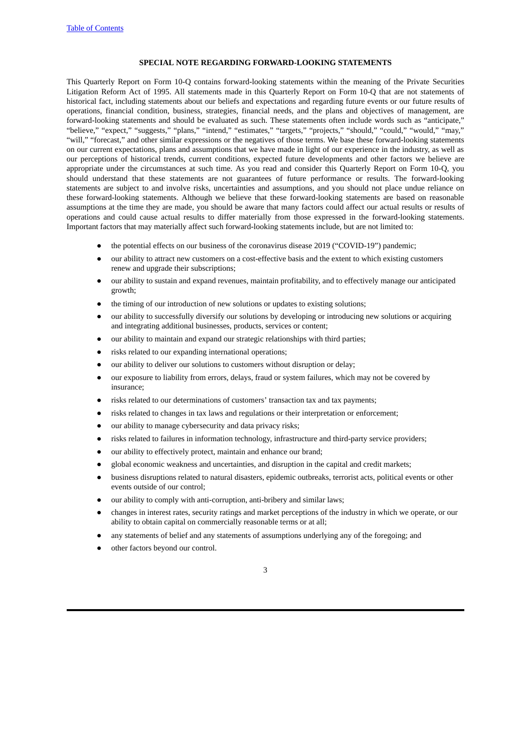### **SPECIAL NOTE REGARDING FORWARD-LOOKING STATEMENTS**

This Quarterly Report on Form 10-Q contains forward-looking statements within the meaning of the Private Securities Litigation Reform Act of 1995. All statements made in this Quarterly Report on Form 10-Q that are not statements of historical fact, including statements about our beliefs and expectations and regarding future events or our future results of operations, financial condition, business, strategies, financial needs, and the plans and objectives of management, are forward-looking statements and should be evaluated as such. These statements often include words such as "anticipate," "believe," "expect," "suggests," "plans," "intend," "estimates," "targets," "projects," "should," "could," "would," "may," "will," "forecast," and other similar expressions or the negatives of those terms. We base these forward-looking statements on our current expectations, plans and assumptions that we have made in light of our experience in the industry, as well as our perceptions of historical trends, current conditions, expected future developments and other factors we believe are appropriate under the circumstances at such time. As you read and consider this Quarterly Report on Form 10-Q, you should understand that these statements are not guarantees of future performance or results. The forward-looking statements are subject to and involve risks, uncertainties and assumptions, and you should not place undue reliance on these forward-looking statements. Although we believe that these forward-looking statements are based on reasonable assumptions at the time they are made, you should be aware that many factors could affect our actual results or results of operations and could cause actual results to differ materially from those expressed in the forward-looking statements. Important factors that may materially affect such forward-looking statements include, but are not limited to:

- the potential effects on our business of the coronavirus disease 2019 ("COVID-19") pandemic;
- our ability to attract new customers on a cost-effective basis and the extent to which existing customers renew and upgrade their subscriptions;
- our ability to sustain and expand revenues, maintain profitability, and to effectively manage our anticipated growth;
- the timing of our introduction of new solutions or updates to existing solutions;
- our ability to successfully diversify our solutions by developing or introducing new solutions or acquiring and integrating additional businesses, products, services or content;
- our ability to maintain and expand our strategic relationships with third parties;
- risks related to our expanding international operations;
- our ability to deliver our solutions to customers without disruption or delay;
- our exposure to liability from errors, delays, fraud or system failures, which may not be covered by insurance;
- risks related to our determinations of customers' transaction tax and tax payments;
- risks related to changes in tax laws and regulations or their interpretation or enforcement;
- our ability to manage cybersecurity and data privacy risks;
- risks related to failures in information technology, infrastructure and third-party service providers;
- our ability to effectively protect, maintain and enhance our brand;
- global economic weakness and uncertainties, and disruption in the capital and credit markets;
- business disruptions related to natural disasters, epidemic outbreaks, terrorist acts, political events or other events outside of our control;
- our ability to comply with anti-corruption, anti-bribery and similar laws;
- changes in interest rates, security ratings and market perceptions of the industry in which we operate, or our ability to obtain capital on commercially reasonable terms or at all;
- any statements of belief and any statements of assumptions underlying any of the foregoing; and
- other factors beyond our control.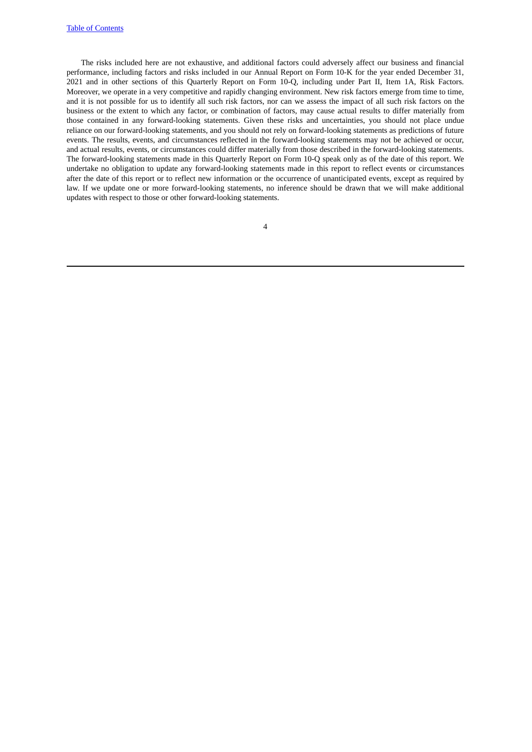The risks included here are not exhaustive, and additional factors could adversely affect our business and financial performance, including factors and risks included in our Annual Report on Form 10-K for the year ended December 31, 2021 and in other sections of this Quarterly Report on Form 10-Q, including under Part II, Item 1A, Risk Factors. Moreover, we operate in a very competitive and rapidly changing environment. New risk factors emerge from time to time, and it is not possible for us to identify all such risk factors, nor can we assess the impact of all such risk factors on the business or the extent to which any factor, or combination of factors, may cause actual results to differ materially from those contained in any forward-looking statements. Given these risks and uncertainties, you should not place undue reliance on our forward-looking statements, and you should not rely on forward-looking statements as predictions of future events. The results, events, and circumstances reflected in the forward-looking statements may not be achieved or occur, and actual results, events, or circumstances could differ materially from those described in the forward-looking statements. The forward-looking statements made in this Quarterly Report on Form 10-Q speak only as of the date of this report. We undertake no obligation to update any forward-looking statements made in this report to reflect events or circumstances after the date of this report or to reflect new information or the occurrence of unanticipated events, except as required by law. If we update one or more forward-looking statements, no inference should be drawn that we will make additional updates with respect to those or other forward-looking statements.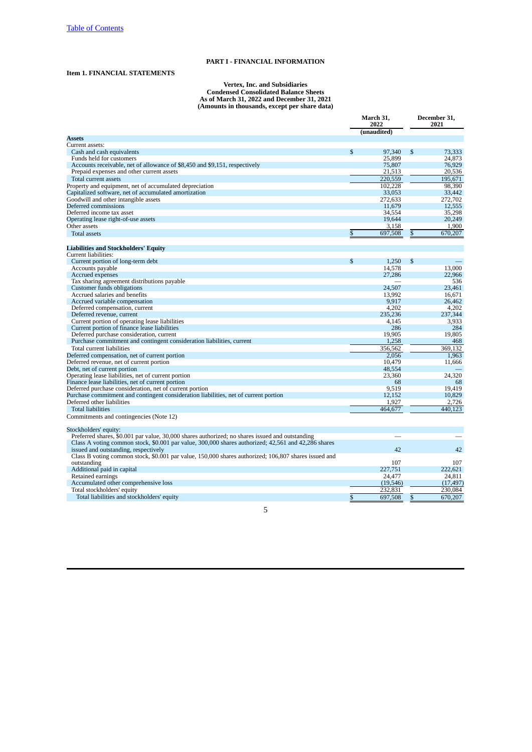### **PART I - FINANCIAL INFORMATION**

### <span id="page-4-2"></span><span id="page-4-1"></span><span id="page-4-0"></span>**Item 1. FINANCIAL STATEMENTS**

#### **Vertex, Inc. and Subsidiaries Condensed Consolidated Balance Sheets As of March 31, 2022 and December 31, 2021 (Amounts in thousands, except per share data)**

|                                                                                                                     | March 31,<br>2022 |             |    | December 31,<br>2021 |  |  |
|---------------------------------------------------------------------------------------------------------------------|-------------------|-------------|----|----------------------|--|--|
|                                                                                                                     |                   | (unaudited) |    |                      |  |  |
| <b>Assets</b>                                                                                                       |                   |             |    |                      |  |  |
| Current assets:                                                                                                     |                   |             |    |                      |  |  |
| Cash and cash equivalents                                                                                           | \$                | 97,340      | \$ | 73,333               |  |  |
| Funds held for customers                                                                                            |                   | 25.899      |    | 24.873               |  |  |
| Accounts receivable, net of allowance of \$8,450 and \$9,151, respectively                                          |                   | 75,807      |    | 76,929               |  |  |
| Prepaid expenses and other current assets                                                                           |                   | 21,513      |    | 20,536               |  |  |
| Total current assets                                                                                                |                   | 220,559     |    | 195.671              |  |  |
| Property and equipment, net of accumulated depreciation                                                             |                   | 102.228     |    | 98.390               |  |  |
| Capitalized software, net of accumulated amortization                                                               |                   | 33.053      |    | 33.442               |  |  |
| Goodwill and other intangible assets                                                                                |                   | 272.633     |    | 272.702              |  |  |
| Deferred commissions                                                                                                |                   | 11.679      |    | 12.555               |  |  |
| Deferred income tax asset                                                                                           |                   | 34,554      |    | 35,298               |  |  |
| Operating lease right-of-use assets                                                                                 |                   | 19,644      |    | 20,249               |  |  |
| Other assets                                                                                                        |                   | 3,158       |    | 1,900                |  |  |
| <b>Total assets</b>                                                                                                 | \$                | 697,508     | \$ | 670,207              |  |  |
| <b>Liabilities and Stockholders' Equity</b>                                                                         |                   |             |    |                      |  |  |
| Current liabilities:                                                                                                |                   |             |    |                      |  |  |
| Current portion of long-term debt                                                                                   | \$                | 1.250       | \$ |                      |  |  |
| Accounts payable                                                                                                    |                   | 14,578      |    | 13,000               |  |  |
| Accrued expenses                                                                                                    |                   | 27,286      |    | 22.966               |  |  |
| Tax sharing agreement distributions payable                                                                         |                   |             |    | 536                  |  |  |
| Customer funds obligations                                                                                          |                   | 24.507      |    | 23.461               |  |  |
| Accrued salaries and benefits                                                                                       |                   | 13.992      |    | 16.671               |  |  |
| Accrued variable compensation                                                                                       |                   | 9.917       |    | 26.462               |  |  |
| Deferred compensation, current                                                                                      |                   | 4.202       |    | 4.202                |  |  |
| Deferred revenue, current                                                                                           |                   | 235.236     |    | 237,344              |  |  |
| Current portion of operating lease liabilities                                                                      |                   | 4,145       |    | 3,933                |  |  |
| Current portion of finance lease liabilities                                                                        |                   | 286         |    | 284                  |  |  |
| Deferred purchase consideration, current                                                                            |                   | 19,905      |    | 19,805               |  |  |
| Purchase commitment and contingent consideration liabilities, current                                               |                   | 1,258       |    | 468                  |  |  |
| Total current liabilities                                                                                           |                   | 356,562     |    | 369,132              |  |  |
| Deferred compensation, net of current portion                                                                       |                   | 2.056       |    | 1,963                |  |  |
| Deferred revenue, net of current portion                                                                            |                   | 10,479      |    | 11,666               |  |  |
| Debt, net of current portion                                                                                        |                   | 48,554      |    |                      |  |  |
| Operating lease liabilities, net of current portion                                                                 |                   | 23,360      |    | 24,320               |  |  |
| Finance lease liabilities, net of current portion                                                                   |                   | 68          |    | 68                   |  |  |
| Deferred purchase consideration, net of current portion                                                             |                   | 9.519       |    | 19.419               |  |  |
| Purchase commitment and contingent consideration liabilities, net of current portion                                |                   | 12.152      |    | 10.829               |  |  |
| Deferred other liabilities                                                                                          |                   | 1.927       |    | 2.726                |  |  |
| <b>Total liabilities</b>                                                                                            |                   | 464,677     |    | 440.123              |  |  |
| Commitments and contingencies (Note 12)                                                                             |                   |             |    |                      |  |  |
|                                                                                                                     |                   |             |    |                      |  |  |
| Stockholders' equity:                                                                                               |                   |             |    |                      |  |  |
| Preferred shares, \$0.001 par value, 30,000 shares authorized; no shares issued and outstanding                     |                   |             |    |                      |  |  |
| Class A voting common stock, \$0.001 par value, 300,000 shares authorized; 42,561 and 42,286 shares                 |                   | 42          |    | 42                   |  |  |
| issued and outstanding, respectively                                                                                |                   |             |    |                      |  |  |
| Class B voting common stock, \$0.001 par value, 150,000 shares authorized; 106,807 shares issued and<br>outstanding |                   | 107         |    | 107                  |  |  |
| Additional paid in capital                                                                                          |                   | 227,751     |    | 222.621              |  |  |
|                                                                                                                     |                   | 24.477      |    | 24.811               |  |  |
| Retained earnings<br>Accumulated other comprehensive loss                                                           |                   | (19,546)    |    | (17, 497)            |  |  |
|                                                                                                                     |                   | 232.831     |    | 230.084              |  |  |
| Total stockholders' equity<br>Total liabilities and stockholders' equity                                            |                   |             |    |                      |  |  |
|                                                                                                                     | \$                | 697,508     | \$ | 670.207              |  |  |
| 5                                                                                                                   |                   |             |    |                      |  |  |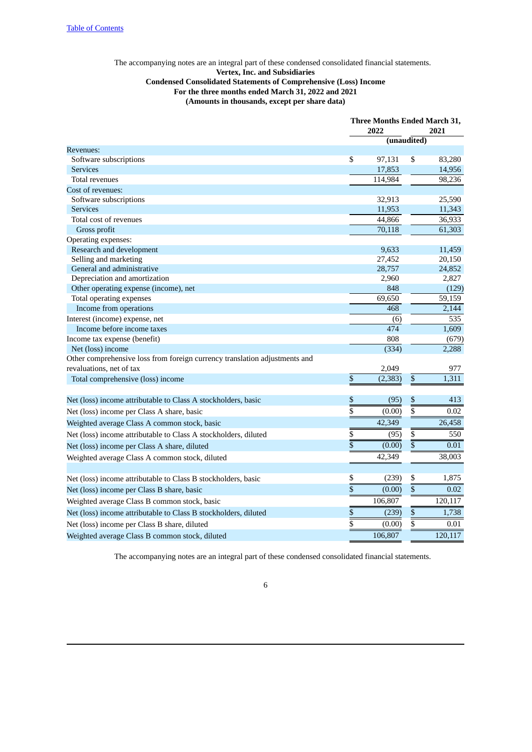### The accompanying notes are an integral part of these condensed consolidated financial statements. **Vertex, Inc. and Subsidiaries**

**Condensed Consolidated Statements of Comprehensive (Loss) Income**

# **For the three months ended March 31, 2022 and 2021**

**(Amounts in thousands, except per share data)**

<span id="page-5-0"></span>

|                                                                            |                 | Three Months Ended March 31, |      |                 |
|----------------------------------------------------------------------------|-----------------|------------------------------|------|-----------------|
|                                                                            |                 | 2022                         |      | 2021            |
|                                                                            |                 | (unaudited)                  |      |                 |
| Revenues:                                                                  |                 |                              |      |                 |
| Software subscriptions                                                     | \$              | 97,131                       | \$   | 83,280          |
| <b>Services</b>                                                            |                 | 17,853                       |      | 14,956          |
| Total revenues                                                             |                 | 114,984                      |      | 98,236          |
| Cost of revenues:                                                          |                 |                              |      |                 |
| Software subscriptions                                                     |                 | 32,913                       |      | 25,590          |
| <b>Services</b>                                                            |                 | 11,953                       |      | 11,343          |
| Total cost of revenues                                                     |                 | 44,866                       |      | 36,933          |
| Gross profit                                                               |                 | 70,118                       |      | 61,303          |
| Operating expenses:                                                        |                 |                              |      |                 |
| Research and development                                                   |                 | 9,633                        |      | 11,459          |
| Selling and marketing                                                      |                 | 27,452                       |      | 20,150          |
| General and administrative                                                 |                 | 28,757                       |      | 24,852          |
| Depreciation and amortization                                              |                 | 2,960<br>848                 |      | 2,827           |
| Other operating expense (income), net<br>Total operating expenses          |                 | 69,650                       |      | (129)<br>59,159 |
| Income from operations                                                     |                 | 468                          |      | 2,144           |
| Interest (income) expense, net                                             |                 | (6)                          |      | 535             |
| Income before income taxes                                                 |                 | 474                          |      | 1,609           |
| Income tax expense (benefit)                                               |                 | 808                          |      | (679)           |
| Net (loss) income                                                          |                 | (334)                        |      | 2,288           |
| Other comprehensive loss from foreign currency translation adjustments and |                 |                              |      |                 |
| revaluations, net of tax                                                   |                 | 2,049                        |      | 977             |
| Total comprehensive (loss) income                                          | $\$$            | (2, 383)                     | $\$$ | 1,311           |
|                                                                            |                 |                              |      |                 |
| Net (loss) income attributable to Class A stockholders, basic              | \$              | (95)                         | \$   | 413             |
| Net (loss) income per Class A share, basic                                 | \$              | (0.00)                       | \$   | 0.02            |
| Weighted average Class A common stock, basic                               |                 | 42,349                       |      | 26,458          |
| Net (loss) income attributable to Class A stockholders, diluted            | $\overline{\$}$ | (95)                         | \$   | 550             |
| Net (loss) income per Class A share, diluted                               | \$              | (0.00)                       | \$   | 0.01            |
| Weighted average Class A common stock, diluted                             |                 | 42,349                       |      | 38,003          |
| Net (loss) income attributable to Class B stockholders, basic              | \$              | (239)                        | \$   | 1,875           |
| Net (loss) income per Class B share, basic                                 | $\frac{1}{3}$   | (0.00)                       |      | 0.02            |
| Weighted average Class B common stock, basic                               |                 | 106,807                      |      | 120,117         |
| Net (loss) income attributable to Class B stockholders, diluted            | \$              | (239)                        | \$   | 1,738           |
| Net (loss) income per Class B share, diluted                               | \$              | (0.00)                       | \$   | 0.01            |
| Weighted average Class B common stock, diluted                             |                 | 106,807                      |      | 120,117         |

The accompanying notes are an integral part of these condensed consolidated financial statements.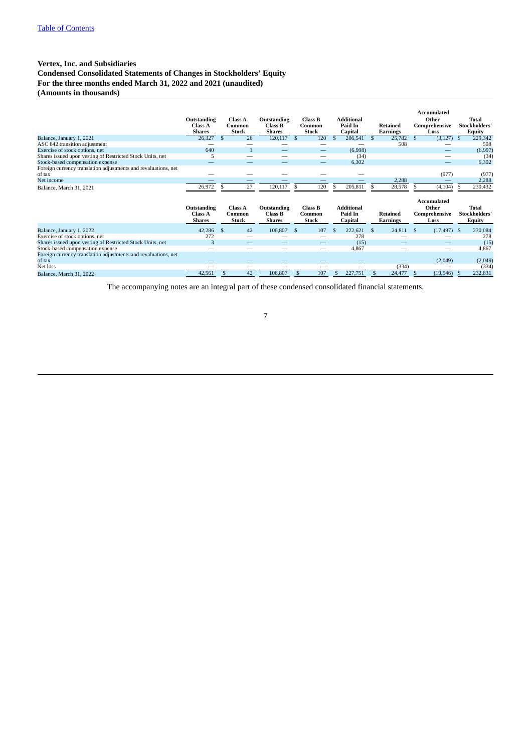# <span id="page-6-0"></span>**Vertex, Inc. and Subsidiaries**

### **Condensed Consolidated Statements of Changes in Stockholders' Equity For the three months ended March 31, 2022 and 2021 (unaudited) (Amounts in thousands)**

|                                                                          | Outstanding<br><b>Class A</b><br>Shares        | Class A<br>Common<br><b>Stock</b>        | Outstanding<br><b>Class B</b><br>Shares        | <b>Class B</b><br>Common<br>Stock | <b>Additional</b><br>Paid In<br>Capital        | Retained<br><b>Earnings</b> | <b>Accumulated</b><br>Other<br>Comprehensive<br>Loss | Total<br>Stockholders'<br>Equity               |
|--------------------------------------------------------------------------|------------------------------------------------|------------------------------------------|------------------------------------------------|-----------------------------------|------------------------------------------------|-----------------------------|------------------------------------------------------|------------------------------------------------|
| Balance, January 1, 2021                                                 | 26,327                                         | 26<br>\$                                 | 120,117                                        | 120<br>$\mathbf{s}$               | 206,541<br>-\$                                 | 25,782<br>-S                | \$<br>(3, 127)                                       | 229,342<br>\$                                  |
| ASC 842 transition adjustment                                            |                                                |                                          |                                                |                                   |                                                | 508                         |                                                      | 508                                            |
| Exercise of stock options, net                                           | 640                                            |                                          |                                                |                                   | (6,998)                                        |                             |                                                      | (6,997)                                        |
| Shares issued upon vesting of Restricted Stock Units, net                | 5                                              |                                          | -                                              |                                   | (34)                                           |                             | –                                                    | (34)                                           |
| Stock-based compensation expense                                         |                                                |                                          |                                                |                                   | 6,302                                          |                             | —                                                    | 6,302                                          |
| Foreign currency translation adjustments and revaluations, net<br>of tax |                                                |                                          |                                                |                                   |                                                |                             | (977)                                                | (977)                                          |
| Net income                                                               |                                                |                                          |                                                |                                   |                                                | 2,288                       |                                                      | 2,288                                          |
| Balance, March 31, 2021                                                  | 26,972                                         | 27<br>\$.                                | 120,117                                        | 120<br>\$.                        | 205,811                                        | 28,578                      | (4, 104)                                             | 230,432<br>S                                   |
|                                                                          |                                                |                                          |                                                |                                   |                                                |                             |                                                      |                                                |
|                                                                          | Outstanding<br><b>Class A</b><br><b>Shares</b> | <b>Class A</b><br>Common<br><b>Stock</b> | Outstanding<br><b>Class B</b><br><b>Shares</b> | <b>Class B</b><br>Common<br>Stock | <b>Additional</b><br>Paid In<br><b>Capital</b> | Retained<br><b>Earnings</b> | Accumulated<br>Other<br>Comprehensive<br>Loss        | <b>Total</b><br>Stockholders'<br><b>Equity</b> |
| Balance, January 1, 2022                                                 | 42,286                                         | 42<br>\$                                 | 106,807                                        | 107<br>-S                         | 222,621<br>$\mathfrak{F}$                      | 24,811 \$<br>-S             | $(17, 497)$ \$                                       | 230,084                                        |
| Exercise of stock options, net                                           | 272                                            |                                          |                                                |                                   | 278                                            |                             |                                                      | 278                                            |
| Shares issued upon vesting of Restricted Stock Units, net                | 3                                              |                                          |                                                |                                   | (15)                                           |                             |                                                      | (15)                                           |
| Stock-based compensation expense                                         |                                                |                                          |                                                |                                   | 4,867                                          | --                          | -                                                    | 4,867                                          |
| Foreign currency translation adjustments and revaluations, net<br>of tax |                                                |                                          |                                                |                                   |                                                |                             | (2,049)                                              | (2,049)                                        |
| Net loss                                                                 | --                                             |                                          |                                                |                                   |                                                | (334)                       |                                                      | (334)                                          |

The accompanying notes are an integral part of these condensed consolidated financial statements.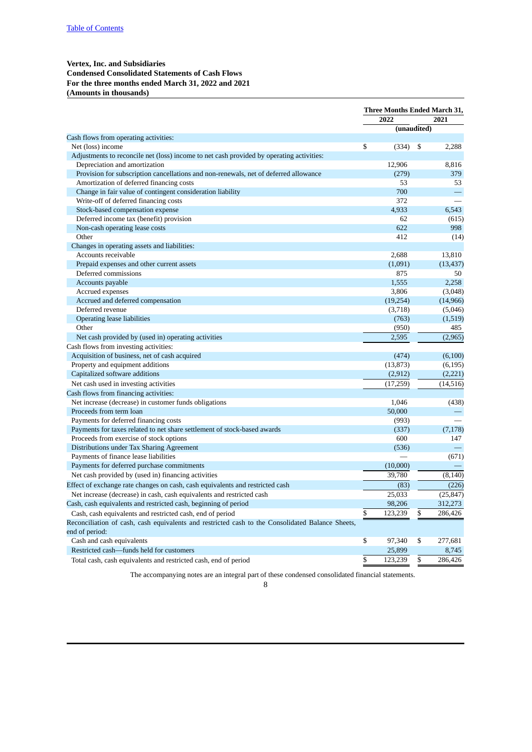### <span id="page-7-0"></span>**Vertex, Inc. and Subsidiaries Condensed Consolidated Statements of Cash Flows For the three months ended March 31, 2022 and 2021 (Amounts in thousands)**

|                                                                                                  | Three Months Ended March 31, |             |    |           |
|--------------------------------------------------------------------------------------------------|------------------------------|-------------|----|-----------|
|                                                                                                  |                              | 2022        |    | 2021      |
|                                                                                                  |                              | (unaudited) |    |           |
| Cash flows from operating activities:                                                            |                              |             |    |           |
| Net (loss) income                                                                                | \$                           | (334)       | \$ | 2,288     |
| Adjustments to reconcile net (loss) income to net cash provided by operating activities:         |                              |             |    |           |
| Depreciation and amortization                                                                    |                              | 12,906      |    | 8,816     |
| Provision for subscription cancellations and non-renewals, net of deferred allowance             |                              | (279)       |    | 379       |
| Amortization of deferred financing costs                                                         |                              | 53          |    | 53        |
| Change in fair value of contingent consideration liability                                       |                              | 700         |    |           |
| Write-off of deferred financing costs                                                            |                              | 372         |    |           |
| Stock-based compensation expense                                                                 |                              | 4,933       |    | 6,543     |
| Deferred income tax (benefit) provision                                                          |                              | 62          |    | (615)     |
| Non-cash operating lease costs                                                                   |                              | 622         |    | 998       |
| Other                                                                                            |                              | 412         |    | (14)      |
| Changes in operating assets and liabilities:                                                     |                              |             |    |           |
| Accounts receivable                                                                              |                              | 2,688       |    | 13,810    |
| Prepaid expenses and other current assets                                                        |                              | (1,091)     |    | (13, 437) |
| Deferred commissions                                                                             |                              | 875         |    | 50        |
| Accounts payable                                                                                 |                              | 1,555       |    | 2,258     |
| Accrued expenses                                                                                 |                              | 3,806       |    | (3,048)   |
| Accrued and deferred compensation                                                                |                              | (19, 254)   |    | (14,966)  |
| Deferred revenue                                                                                 |                              | (3,718)     |    | (5,046)   |
| Operating lease liabilities                                                                      |                              | (763)       |    | (1,519)   |
| Other                                                                                            |                              | (950)       |    | 485       |
| Net cash provided by (used in) operating activities                                              |                              | 2.595       |    | (2,965)   |
| Cash flows from investing activities:                                                            |                              |             |    |           |
| Acquisition of business, net of cash acquired                                                    |                              | (474)       |    | (6,100)   |
| Property and equipment additions                                                                 |                              | (13, 873)   |    | (6, 195)  |
| Capitalized software additions                                                                   |                              | (2,912)     |    | (2,221)   |
| Net cash used in investing activities                                                            |                              | (17, 259)   |    | (14, 516) |
| Cash flows from financing activities:                                                            |                              |             |    |           |
| Net increase (decrease) in customer funds obligations                                            |                              | 1,046       |    | (438)     |
| Proceeds from term loan                                                                          |                              | 50,000      |    |           |
| Payments for deferred financing costs                                                            |                              | (993)       |    |           |
| Payments for taxes related to net share settlement of stock-based awards                         |                              | (337)       |    | (7, 178)  |
| Proceeds from exercise of stock options                                                          |                              | 600         |    | 147       |
| Distributions under Tax Sharing Agreement                                                        |                              | (536)       |    |           |
| Payments of finance lease liabilities                                                            |                              |             |    | (671)     |
| Payments for deferred purchase commitments                                                       |                              | (10,000)    |    |           |
| Net cash provided by (used in) financing activities                                              |                              | 39,780      |    | (8, 140)  |
| Effect of exchange rate changes on cash, cash equivalents and restricted cash                    |                              | (83)        |    | (226)     |
| Net increase (decrease) in cash, cash equivalents and restricted cash                            |                              | 25,033      |    | (25, 847) |
| Cash, cash equivalents and restricted cash, beginning of period                                  |                              | 98,206      |    | 312,273   |
| Cash, cash equivalents and restricted cash, end of period                                        | \$                           | 123,239     | \$ | 286,426   |
| Reconciliation of cash, cash equivalents and restricted cash to the Consolidated Balance Sheets, |                              |             |    |           |
| end of period:                                                                                   |                              |             |    |           |
| Cash and cash equivalents                                                                        | \$                           | 97,340      | \$ | 277,681   |
| Restricted cash-funds held for customers                                                         |                              | 25,899      |    | 8,745     |
| Total cash, cash equivalents and restricted cash, end of period                                  | \$                           | 123,239     | \$ | 286,426   |

The accompanying notes are an integral part of these condensed consolidated financial statements.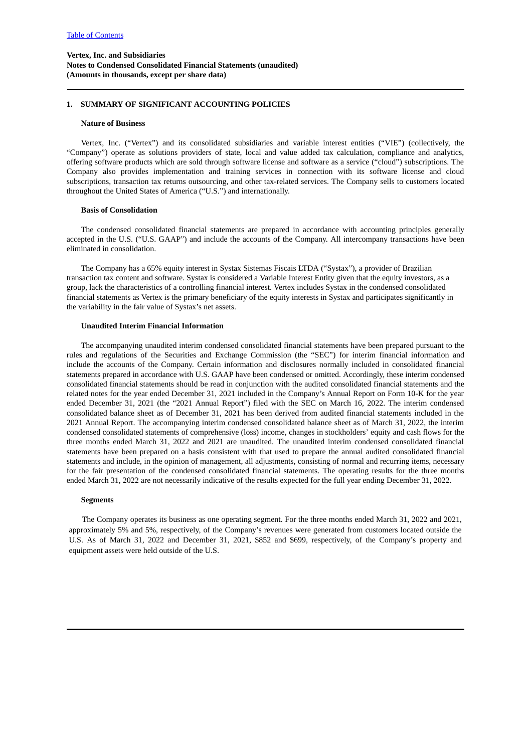### **Vertex, Inc. and Subsidiaries Notes to Condensed Consolidated Financial Statements (unaudited) (Amounts in thousands, except per share data)**

### <span id="page-8-0"></span>**1. SUMMARY OF SIGNIFICANT ACCOUNTING POLICIES**

#### **Nature of Business**

Vertex, Inc. ("Vertex") and its consolidated subsidiaries and variable interest entities ("VIE") (collectively, the "Company") operate as solutions providers of state, local and value added tax calculation, compliance and analytics, offering software products which are sold through software license and software as a service ("cloud") subscriptions. The Company also provides implementation and training services in connection with its software license and cloud subscriptions, transaction tax returns outsourcing, and other tax-related services. The Company sells to customers located throughout the United States of America ("U.S.") and internationally.

### **Basis of Consolidation**

The condensed consolidated financial statements are prepared in accordance with accounting principles generally accepted in the U.S. ("U.S. GAAP") and include the accounts of the Company. All intercompany transactions have been eliminated in consolidation.

The Company has a 65% equity interest in Systax Sistemas Fiscais LTDA ("Systax"), a provider of Brazilian transaction tax content and software. Systax is considered a Variable Interest Entity given that the equity investors, as a group, lack the characteristics of a controlling financial interest. Vertex includes Systax in the condensed consolidated financial statements as Vertex is the primary beneficiary of the equity interests in Systax and participates significantly in the variability in the fair value of Systax's net assets.

#### **Unaudited Interim Financial Information**

The accompanying unaudited interim condensed consolidated financial statements have been prepared pursuant to the rules and regulations of the Securities and Exchange Commission (the "SEC") for interim financial information and include the accounts of the Company. Certain information and disclosures normally included in consolidated financial statements prepared in accordance with U.S. GAAP have been condensed or omitted. Accordingly, these interim condensed consolidated financial statements should be read in conjunction with the audited consolidated financial statements and the related notes for the year ended December 31, 2021 included in the Company's Annual Report on Form 10-K for the year ended December 31, 2021 (the "2021 Annual Report") filed with the SEC on March 16, 2022. The interim condensed consolidated balance sheet as of December 31, 2021 has been derived from audited financial statements included in the 2021 Annual Report. The accompanying interim condensed consolidated balance sheet as of March 31, 2022, the interim condensed consolidated statements of comprehensive (loss) income, changes in stockholders' equity and cash flows for the three months ended March 31, 2022 and 2021 are unaudited. The unaudited interim condensed consolidated financial statements have been prepared on a basis consistent with that used to prepare the annual audited consolidated financial statements and include, in the opinion of management, all adjustments, consisting of normal and recurring items, necessary for the fair presentation of the condensed consolidated financial statements. The operating results for the three months ended March 31, 2022 are not necessarily indicative of the results expected for the full year ending December 31, 2022.

#### **Segments**

The Company operates its business as one operating segment. For the three months ended March 31, 2022 and 2021, approximately 5% and 5%, respectively, of the Company's revenues were generated from customers located outside the U.S. As of March 31, 2022 and December 31, 2021, \$852 and \$699, respectively, of the Company's property and equipment assets were held outside of the U.S.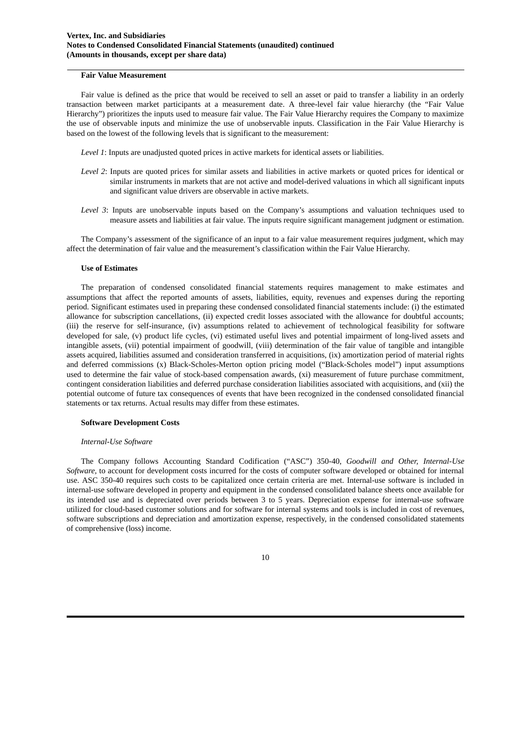#### **Fair Value Measurement**

Fair value is defined as the price that would be received to sell an asset or paid to transfer a liability in an orderly transaction between market participants at a measurement date. A three-level fair value hierarchy (the "Fair Value Hierarchy") prioritizes the inputs used to measure fair value. The Fair Value Hierarchy requires the Company to maximize the use of observable inputs and minimize the use of unobservable inputs. Classification in the Fair Value Hierarchy is based on the lowest of the following levels that is significant to the measurement:

*Level 1*: Inputs are unadjusted quoted prices in active markets for identical assets or liabilities.

- *Level 2*: Inputs are quoted prices for similar assets and liabilities in active markets or quoted prices for identical or similar instruments in markets that are not active and model-derived valuations in which all significant inputs and significant value drivers are observable in active markets.
- *Level 3*: Inputs are unobservable inputs based on the Company's assumptions and valuation techniques used to measure assets and liabilities at fair value. The inputs require significant management judgment or estimation.

The Company's assessment of the significance of an input to a fair value measurement requires judgment, which may affect the determination of fair value and the measurement's classification within the Fair Value Hierarchy.

### **Use of Estimates**

The preparation of condensed consolidated financial statements requires management to make estimates and assumptions that affect the reported amounts of assets, liabilities, equity, revenues and expenses during the reporting period. Significant estimates used in preparing these condensed consolidated financial statements include: (i) the estimated allowance for subscription cancellations, (ii) expected credit losses associated with the allowance for doubtful accounts; (iii) the reserve for self-insurance, (iv) assumptions related to achievement of technological feasibility for software developed for sale, (v) product life cycles, (vi) estimated useful lives and potential impairment of long-lived assets and intangible assets, (vii) potential impairment of goodwill, (viii) determination of the fair value of tangible and intangible assets acquired, liabilities assumed and consideration transferred in acquisitions, (ix) amortization period of material rights and deferred commissions (x) Black-Scholes-Merton option pricing model ("Black-Scholes model") input assumptions used to determine the fair value of stock-based compensation awards, (xi) measurement of future purchase commitment, contingent consideration liabilities and deferred purchase consideration liabilities associated with acquisitions, and (xii) the potential outcome of future tax consequences of events that have been recognized in the condensed consolidated financial statements or tax returns. Actual results may differ from these estimates.

#### **Software Development Costs**

#### *Internal-Use Software*

The Company follows Accounting Standard Codification ("ASC") 350-40, *Goodwill and Other, Internal-Use Software,* to account for development costs incurred for the costs of computer software developed or obtained for internal use. ASC 350-40 requires such costs to be capitalized once certain criteria are met. Internal-use software is included in internal-use software developed in property and equipment in the condensed consolidated balance sheets once available for its intended use and is depreciated over periods between 3 to 5 years. Depreciation expense for internal-use software utilized for cloud-based customer solutions and for software for internal systems and tools is included in cost of revenues, software subscriptions and depreciation and amortization expense, respectively, in the condensed consolidated statements of comprehensive (loss) income.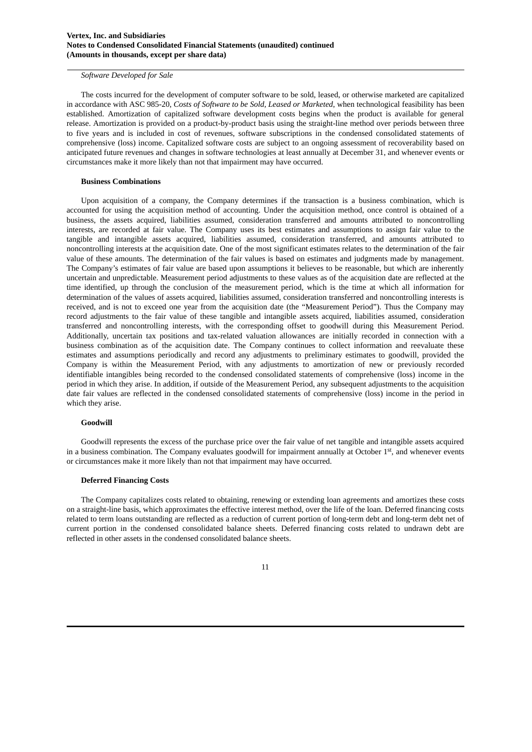*Software Developed for Sale*

The costs incurred for the development of computer software to be sold, leased, or otherwise marketed are capitalized in accordance with ASC 985-20, *Costs of Software to be Sold, Leased or Marketed*, when technological feasibility has been established. Amortization of capitalized software development costs begins when the product is available for general release. Amortization is provided on a product-by-product basis using the straight-line method over periods between three to five years and is included in cost of revenues, software subscriptions in the condensed consolidated statements of comprehensive (loss) income. Capitalized software costs are subject to an ongoing assessment of recoverability based on anticipated future revenues and changes in software technologies at least annually at December 31, and whenever events or circumstances make it more likely than not that impairment may have occurred.

### **Business Combinations**

Upon acquisition of a company, the Company determines if the transaction is a business combination, which is accounted for using the acquisition method of accounting. Under the acquisition method, once control is obtained of a business, the assets acquired, liabilities assumed, consideration transferred and amounts attributed to noncontrolling interests, are recorded at fair value. The Company uses its best estimates and assumptions to assign fair value to the tangible and intangible assets acquired, liabilities assumed, consideration transferred, and amounts attributed to noncontrolling interests at the acquisition date. One of the most significant estimates relates to the determination of the fair value of these amounts. The determination of the fair values is based on estimates and judgments made by management. The Company's estimates of fair value are based upon assumptions it believes to be reasonable, but which are inherently uncertain and unpredictable. Measurement period adjustments to these values as of the acquisition date are reflected at the time identified, up through the conclusion of the measurement period, which is the time at which all information for determination of the values of assets acquired, liabilities assumed, consideration transferred and noncontrolling interests is received, and is not to exceed one year from the acquisition date (the "Measurement Period"). Thus the Company may record adjustments to the fair value of these tangible and intangible assets acquired, liabilities assumed, consideration transferred and noncontrolling interests, with the corresponding offset to goodwill during this Measurement Period. Additionally, uncertain tax positions and tax-related valuation allowances are initially recorded in connection with a business combination as of the acquisition date. The Company continues to collect information and reevaluate these estimates and assumptions periodically and record any adjustments to preliminary estimates to goodwill, provided the Company is within the Measurement Period, with any adjustments to amortization of new or previously recorded identifiable intangibles being recorded to the condensed consolidated statements of comprehensive (loss) income in the period in which they arise. In addition, if outside of the Measurement Period, any subsequent adjustments to the acquisition date fair values are reflected in the condensed consolidated statements of comprehensive (loss) income in the period in which they arise.

#### **Goodwill**

Goodwill represents the excess of the purchase price over the fair value of net tangible and intangible assets acquired in a business combination. The Company evaluates goodwill for impairment annually at October 1<sup>st</sup>, and whenever events or circumstances make it more likely than not that impairment may have occurred.

#### **Deferred Financing Costs**

The Company capitalizes costs related to obtaining, renewing or extending loan agreements and amortizes these costs on a straight-line basis, which approximates the effective interest method, over the life of the loan. Deferred financing costs related to term loans outstanding are reflected as a reduction of current portion of long-term debt and long-term debt net of current portion in the condensed consolidated balance sheets. Deferred financing costs related to undrawn debt are reflected in other assets in the condensed consolidated balance sheets.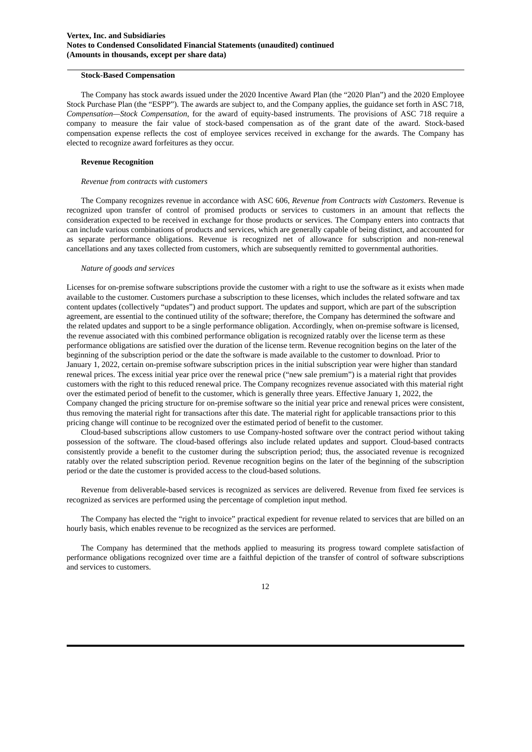#### **Stock-Based Compensation**

The Company has stock awards issued under the 2020 Incentive Award Plan (the "2020 Plan") and the 2020 Employee Stock Purchase Plan (the "ESPP"). The awards are subject to, and the Company applies, the guidance set forth in ASC 718, *Compensation—Stock Compensation*, for the award of equity-based instruments. The provisions of ASC 718 require a company to measure the fair value of stock-based compensation as of the grant date of the award. Stock-based compensation expense reflects the cost of employee services received in exchange for the awards. The Company has elected to recognize award forfeitures as they occur.

#### **Revenue Recognition**

### *Revenue from contracts with customers*

The Company recognizes revenue in accordance with ASC 606, *Revenue from Contracts with Customers*. Revenue is recognized upon transfer of control of promised products or services to customers in an amount that reflects the consideration expected to be received in exchange for those products or services. The Company enters into contracts that can include various combinations of products and services, which are generally capable of being distinct, and accounted for as separate performance obligations. Revenue is recognized net of allowance for subscription and non-renewal cancellations and any taxes collected from customers, which are subsequently remitted to governmental authorities.

### *Nature of goods and services*

Licenses for on-premise software subscriptions provide the customer with a right to use the software as it exists when made available to the customer. Customers purchase a subscription to these licenses, which includes the related software and tax content updates (collectively "updates") and product support. The updates and support, which are part of the subscription agreement, are essential to the continued utility of the software; therefore, the Company has determined the software and the related updates and support to be a single performance obligation. Accordingly, when on-premise software is licensed, the revenue associated with this combined performance obligation is recognized ratably over the license term as these performance obligations are satisfied over the duration of the license term. Revenue recognition begins on the later of the beginning of the subscription period or the date the software is made available to the customer to download. Prior to January 1, 2022, certain on-premise software subscription prices in the initial subscription year were higher than standard renewal prices. The excess initial year price over the renewal price ("new sale premium") is a material right that provides customers with the right to this reduced renewal price. The Company recognizes revenue associated with this material right over the estimated period of benefit to the customer, which is generally three years. Effective January 1, 2022, the Company changed the pricing structure for on-premise software so the initial year price and renewal prices were consistent, thus removing the material right for transactions after this date. The material right for applicable transactions prior to this pricing change will continue to be recognized over the estimated period of benefit to the customer.

Cloud-based subscriptions allow customers to use Company-hosted software over the contract period without taking possession of the software. The cloud-based offerings also include related updates and support. Cloud-based contracts consistently provide a benefit to the customer during the subscription period; thus, the associated revenue is recognized ratably over the related subscription period. Revenue recognition begins on the later of the beginning of the subscription period or the date the customer is provided access to the cloud-based solutions.

Revenue from deliverable-based services is recognized as services are delivered. Revenue from fixed fee services is recognized as services are performed using the percentage of completion input method.

The Company has elected the "right to invoice" practical expedient for revenue related to services that are billed on an hourly basis, which enables revenue to be recognized as the services are performed.

The Company has determined that the methods applied to measuring its progress toward complete satisfaction of performance obligations recognized over time are a faithful depiction of the transfer of control of software subscriptions and services to customers.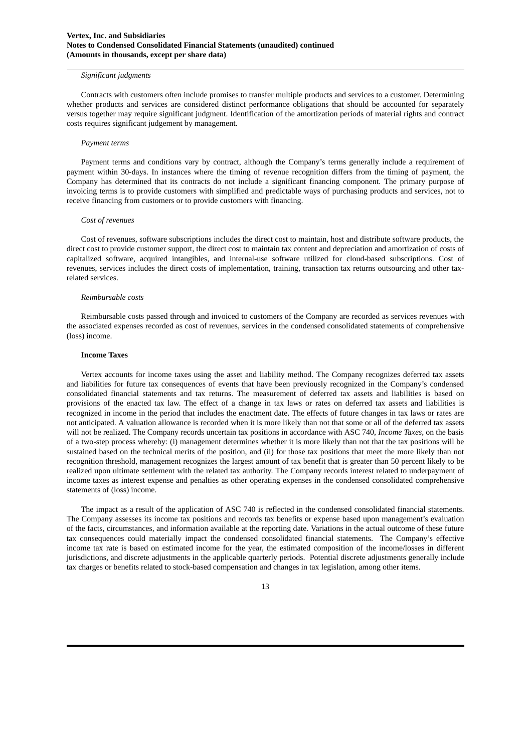#### *Significant judgments*

Contracts with customers often include promises to transfer multiple products and services to a customer. Determining whether products and services are considered distinct performance obligations that should be accounted for separately versus together may require significant judgment. Identification of the amortization periods of material rights and contract costs requires significant judgement by management.

#### *Payment terms*

Payment terms and conditions vary by contract, although the Company's terms generally include a requirement of payment within 30-days. In instances where the timing of revenue recognition differs from the timing of payment, the Company has determined that its contracts do not include a significant financing component. The primary purpose of invoicing terms is to provide customers with simplified and predictable ways of purchasing products and services, not to receive financing from customers or to provide customers with financing.

#### *Cost of revenues*

Cost of revenues, software subscriptions includes the direct cost to maintain, host and distribute software products, the direct cost to provide customer support, the direct cost to maintain tax content and depreciation and amortization of costs of capitalized software, acquired intangibles, and internal-use software utilized for cloud-based subscriptions. Cost of revenues, services includes the direct costs of implementation, training, transaction tax returns outsourcing and other taxrelated services.

#### *Reimbursable costs*

Reimbursable costs passed through and invoiced to customers of the Company are recorded as services revenues with the associated expenses recorded as cost of revenues, services in the condensed consolidated statements of comprehensive (loss) income.

#### **Income Taxes**

Vertex accounts for income taxes using the asset and liability method. The Company recognizes deferred tax assets and liabilities for future tax consequences of events that have been previously recognized in the Company's condensed consolidated financial statements and tax returns. The measurement of deferred tax assets and liabilities is based on provisions of the enacted tax law. The effect of a change in tax laws or rates on deferred tax assets and liabilities is recognized in income in the period that includes the enactment date. The effects of future changes in tax laws or rates are not anticipated. A valuation allowance is recorded when it is more likely than not that some or all of the deferred tax assets will not be realized. The Company records uncertain tax positions in accordance with ASC 740, *Income Taxes*, on the basis of a two-step process whereby: (i) management determines whether it is more likely than not that the tax positions will be sustained based on the technical merits of the position, and (ii) for those tax positions that meet the more likely than not recognition threshold, management recognizes the largest amount of tax benefit that is greater than 50 percent likely to be realized upon ultimate settlement with the related tax authority. The Company records interest related to underpayment of income taxes as interest expense and penalties as other operating expenses in the condensed consolidated comprehensive statements of (loss) income.

The impact as a result of the application of ASC 740 is reflected in the condensed consolidated financial statements. The Company assesses its income tax positions and records tax benefits or expense based upon management's evaluation of the facts, circumstances, and information available at the reporting date. Variations in the actual outcome of these future tax consequences could materially impact the condensed consolidated financial statements. The Company's effective income tax rate is based on estimated income for the year, the estimated composition of the income/losses in different jurisdictions, and discrete adjustments in the applicable quarterly periods. Potential discrete adjustments generally include tax charges or benefits related to stock-based compensation and changes in tax legislation, among other items.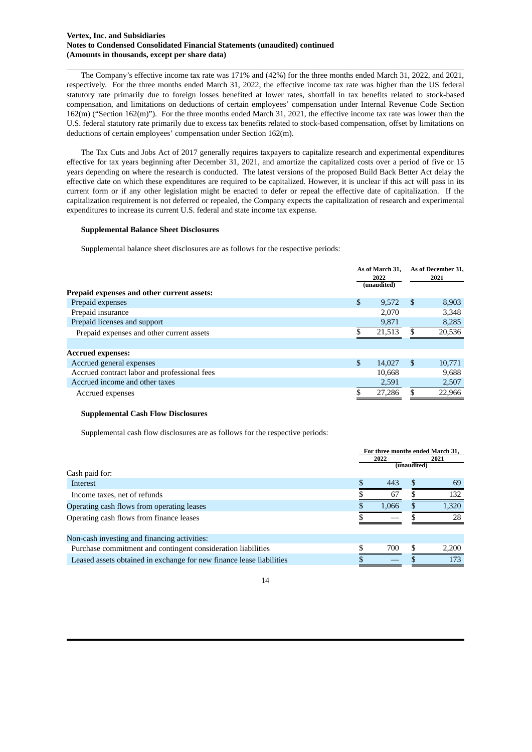### **Vertex, Inc. and Subsidiaries Notes to Condensed Consolidated Financial Statements (unaudited) continued (Amounts in thousands, except per share data)**

The Company's effective income tax rate was 171% and (42%) for the three months ended March 31, 2022, and 2021, respectively. For the three months ended March 31, 2022, the effective income tax rate was higher than the US federal statutory rate primarily due to foreign losses benefited at lower rates, shortfall in tax benefits related to stock-based compensation, and limitations on deductions of certain employees' compensation under Internal Revenue Code Section 162(m) ("Section 162(m)"). For the three months ended March 31, 2021, the effective income tax rate was lower than the U.S. federal statutory rate primarily due to excess tax benefits related to stock-based compensation, offset by limitations on deductions of certain employees' compensation under Section 162(m).

The Tax Cuts and Jobs Act of 2017 generally requires taxpayers to capitalize research and experimental expenditures effective for tax years beginning after December 31, 2021, and amortize the capitalized costs over a period of five or 15 years depending on where the research is conducted. The latest versions of the proposed Build Back Better Act delay the effective date on which these expenditures are required to be capitalized. However, it is unclear if this act will pass in its current form or if any other legislation might be enacted to defer or repeal the effective date of capitalization. If the capitalization requirement is not deferred or repealed, the Company expects the capitalization of research and experimental expenditures to increase its current U.S. federal and state income tax expense.

### **Supplemental Balance Sheet Disclosures**

Supplemental balance sheet disclosures are as follows for the respective periods:

|                                              |    | As of March 31.<br>2022 |     | As of December 31,<br>2021 |
|----------------------------------------------|----|-------------------------|-----|----------------------------|
| Prepaid expenses and other current assets:   |    | (unaudited)             |     |                            |
| Prepaid expenses                             | \$ | 9.572                   | -S  | 8,903                      |
| Prepaid insurance                            |    | 2,070                   |     | 3,348                      |
| Prepaid licenses and support                 |    | 9,871                   |     | 8,285                      |
| Prepaid expenses and other current assets    | ፍ  | 21,513                  | S.  | 20,536                     |
| Accrued expenses:                            |    |                         |     |                            |
| Accrued general expenses                     | \$ | 14.027                  | -\$ | 10,771                     |
| Accrued contract labor and professional fees |    | 10,668                  |     | 9,688                      |
| Accrued income and other taxes               |    | 2,591                   |     | 2,507                      |
| Accrued expenses                             | \$ | 27,286                  |     | 22,966                     |

### **Supplemental Cash Flow Disclosures**

Supplemental cash flow disclosures are as follows for the respective periods:

|                                                                      | For three months ended March 31, |      |       |  |
|----------------------------------------------------------------------|----------------------------------|------|-------|--|
|                                                                      | 2022                             | 2021 |       |  |
|                                                                      | (unaudited)                      |      |       |  |
| Cash paid for:                                                       |                                  |      |       |  |
| Interest                                                             | 443                              |      | 69    |  |
| Income taxes, net of refunds                                         | 67                               |      | 132   |  |
| Operating cash flows from operating leases                           | 1.066                            |      | 1,320 |  |
| Operating cash flows from finance leases                             |                                  |      | 28    |  |
|                                                                      |                                  |      |       |  |
| Non-cash investing and financing activities:                         |                                  |      |       |  |
| Purchase commitment and contingent consideration liabilities         | 700                              |      | 2,200 |  |
| Leased assets obtained in exchange for new finance lease liabilities |                                  |      | 173   |  |
|                                                                      |                                  |      |       |  |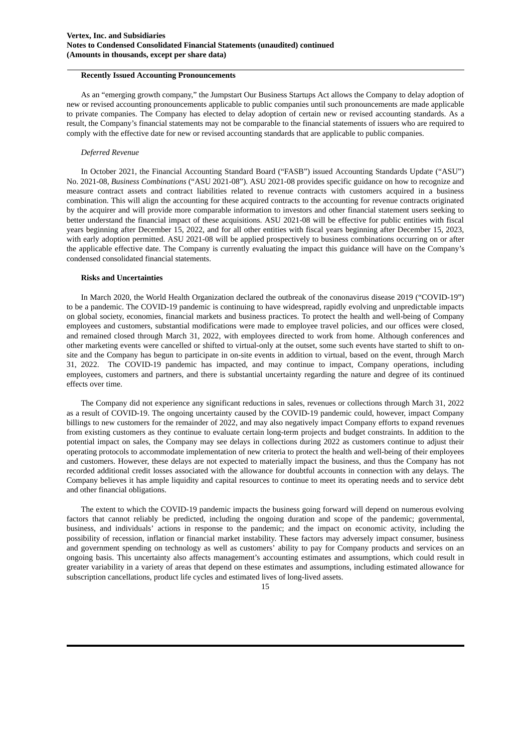#### **Recently Issued Accounting Pronouncements**

As an "emerging growth company," the Jumpstart Our Business Startups Act allows the Company to delay adoption of new or revised accounting pronouncements applicable to public companies until such pronouncements are made applicable to private companies. The Company has elected to delay adoption of certain new or revised accounting standards. As a result, the Company's financial statements may not be comparable to the financial statements of issuers who are required to comply with the effective date for new or revised accounting standards that are applicable to public companies.

### *Deferred Revenue*

In October 2021, the Financial Accounting Standard Board ("FASB") issued Accounting Standards Update ("ASU") No. 2021-08, *Business Combinations* ("ASU 2021-08"). ASU 2021-08 provides specific guidance on how to recognize and measure contract assets and contract liabilities related to revenue contracts with customers acquired in a business combination. This will align the accounting for these acquired contracts to the accounting for revenue contracts originated by the acquirer and will provide more comparable information to investors and other financial statement users seeking to better understand the financial impact of these acquisitions. ASU 2021-08 will be effective for public entities with fiscal years beginning after December 15, 2022, and for all other entities with fiscal years beginning after December 15, 2023, with early adoption permitted. ASU 2021-08 will be applied prospectively to business combinations occurring on or after the applicable effective date. The Company is currently evaluating the impact this guidance will have on the Company's condensed consolidated financial statements.

#### **Risks and Uncertainties**

In March 2020, the World Health Organization declared the outbreak of the cononavirus disease 2019 ("COVID-19") to be a pandemic. The COVID-19 pandemic is continuing to have widespread, rapidly evolving and unpredictable impacts on global society, economies, financial markets and business practices. To protect the health and well-being of Company employees and customers, substantial modifications were made to employee travel policies, and our offices were closed, and remained closed through March 31, 2022, with employees directed to work from home. Although conferences and other marketing events were cancelled or shifted to virtual-only at the outset, some such events have started to shift to onsite and the Company has begun to participate in on-site events in addition to virtual, based on the event, through March 31, 2022. The COVID-19 pandemic has impacted, and may continue to impact, Company operations, including employees, customers and partners, and there is substantial uncertainty regarding the nature and degree of its continued effects over time.

The Company did not experience any significant reductions in sales, revenues or collections through March 31, 2022 as a result of COVID-19. The ongoing uncertainty caused by the COVID-19 pandemic could, however, impact Company billings to new customers for the remainder of 2022, and may also negatively impact Company efforts to expand revenues from existing customers as they continue to evaluate certain long-term projects and budget constraints. In addition to the potential impact on sales, the Company may see delays in collections during 2022 as customers continue to adjust their operating protocols to accommodate implementation of new criteria to protect the health and well-being of their employees and customers. However, these delays are not expected to materially impact the business, and thus the Company has not recorded additional credit losses associated with the allowance for doubtful accounts in connection with any delays. The Company believes it has ample liquidity and capital resources to continue to meet its operating needs and to service debt and other financial obligations.

The extent to which the COVID-19 pandemic impacts the business going forward will depend on numerous evolving factors that cannot reliably be predicted, including the ongoing duration and scope of the pandemic; governmental, business, and individuals' actions in response to the pandemic; and the impact on economic activity, including the possibility of recession, inflation or financial market instability. These factors may adversely impact consumer, business and government spending on technology as well as customers' ability to pay for Company products and services on an ongoing basis. This uncertainty also affects management's accounting estimates and assumptions, which could result in greater variability in a variety of areas that depend on these estimates and assumptions, including estimated allowance for subscription cancellations, product life cycles and estimated lives of long-lived assets.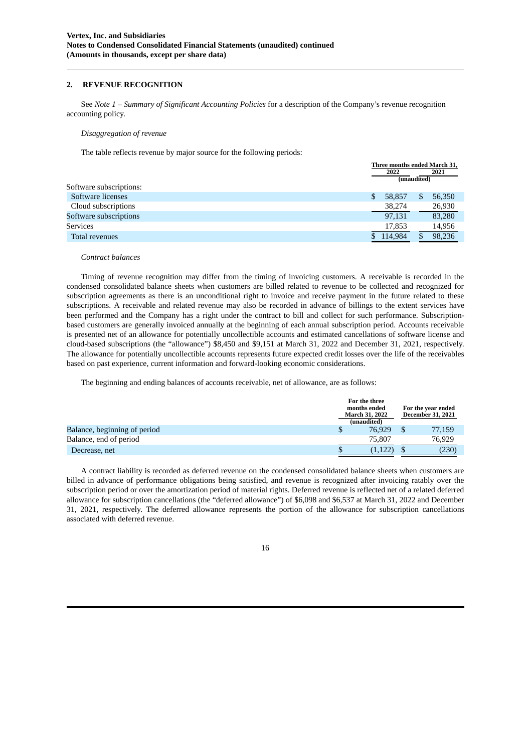### **2. REVENUE RECOGNITION**

See *Note 1 – Summary of Significant Accounting Policies* for a description of the Company's revenue recognition accounting policy.

### *Disaggregation of revenue*

The table reflects revenue by major source for the following periods:

| Three months ended March 31, |        |         |        |  |
|------------------------------|--------|---------|--------|--|
|                              | 2022   |         | 2021   |  |
| (unaudited)                  |        |         |        |  |
|                              |        |         |        |  |
| \$.                          | 58,857 | Ъ       | 56,350 |  |
|                              | 38,274 |         | 26,930 |  |
|                              | 97.131 |         | 83,280 |  |
|                              | 17.853 |         | 14,956 |  |
|                              |        |         | 98,236 |  |
|                              |        | 114.984 |        |  |

### *Contract balances*

Timing of revenue recognition may differ from the timing of invoicing customers. A receivable is recorded in the condensed consolidated balance sheets when customers are billed related to revenue to be collected and recognized for subscription agreements as there is an unconditional right to invoice and receive payment in the future related to these subscriptions. A receivable and related revenue may also be recorded in advance of billings to the extent services have been performed and the Company has a right under the contract to bill and collect for such performance. Subscriptionbased customers are generally invoiced annually at the beginning of each annual subscription period. Accounts receivable is presented net of an allowance for potentially uncollectible accounts and estimated cancellations of software license and cloud-based subscriptions (the "allowance") \$8,450 and \$9,151 at March 31, 2022 and December 31, 2021, respectively. The allowance for potentially uncollectible accounts represents future expected credit losses over the life of the receivables based on past experience, current information and forward-looking economic considerations.

The beginning and ending balances of accounts receivable, net of allowance, are as follows:

|                              | For the three<br>months ended<br>March 31, 2022<br>(unaudited) | For the year ended<br><b>December 31, 2021</b> |
|------------------------------|----------------------------------------------------------------|------------------------------------------------|
| Balance, beginning of period | 76,929                                                         | 77,159                                         |
| Balance, end of period       | 75.807                                                         | 76.929                                         |
| Decrease, net                | (1, 122)                                                       | (230)                                          |

A contract liability is recorded as deferred revenue on the condensed consolidated balance sheets when customers are billed in advance of performance obligations being satisfied, and revenue is recognized after invoicing ratably over the subscription period or over the amortization period of material rights. Deferred revenue is reflected net of a related deferred allowance for subscription cancellations (the "deferred allowance") of \$6,098 and \$6,537 at March 31, 2022 and December 31, 2021, respectively. The deferred allowance represents the portion of the allowance for subscription cancellations associated with deferred revenue.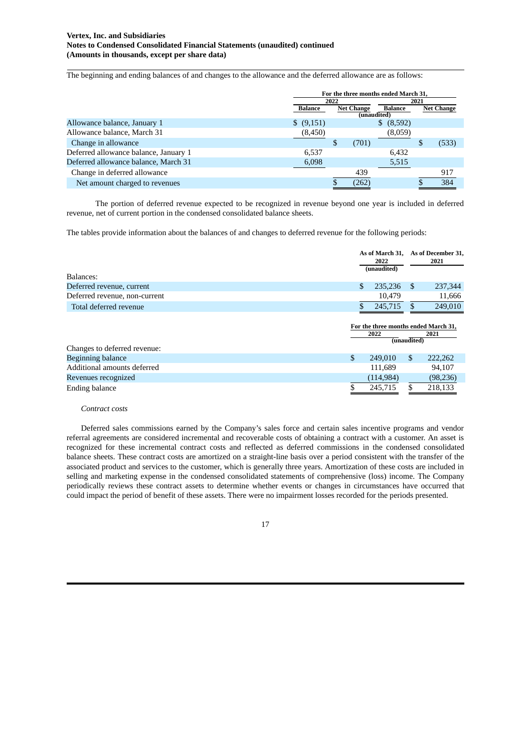### **Vertex, Inc. and Subsidiaries Notes to Condensed Consolidated Financial Statements (unaudited) continued (Amounts in thousands, except per share data)**

The beginning and ending balances of and changes to the allowance and the deferred allowance are as follows:

|                                       | For the three months ended March 31, |      |       |             |  |                   |
|---------------------------------------|--------------------------------------|------|-------|-------------|--|-------------------|
|                                       |                                      | 2022 | 2021  |             |  |                   |
|                                       | <b>Net Change</b><br>Balance         |      |       | Balance     |  | <b>Net Change</b> |
|                                       |                                      |      |       | (unaudited) |  |                   |
| Allowance balance, January 1          | \$ (9,151)                           |      |       | \$ (8,592)  |  |                   |
| Allowance balance, March 31           | (8,450)                              |      |       | (8,059)     |  |                   |
| Change in allowance                   |                                      | S    | (701) |             |  | (533)             |
| Deferred allowance balance, January 1 | 6,537                                |      |       | 6,432       |  |                   |
| Deferred allowance balance, March 31  | 6,098                                |      |       | 5,515       |  |                   |
| Change in deferred allowance          |                                      |      | 439   |             |  | 917               |
| Net amount charged to revenues        |                                      |      | (262) |             |  | 384               |

The portion of deferred revenue expected to be recognized in revenue beyond one year is included in deferred revenue, net of current portion in the condensed consolidated balance sheets.

The tables provide information about the balances of and changes to deferred revenue for the following periods:

|                               |    | As of March 31,<br>2022<br>(unaudited)       |              | As of December 31,<br>2021 |  |
|-------------------------------|----|----------------------------------------------|--------------|----------------------------|--|
| Balances:                     |    |                                              |              |                            |  |
| Deferred revenue, current     |    | \$<br>235,236                                | \$.          | 237,344                    |  |
| Deferred revenue, non-current |    | 10,479                                       |              | 11,666                     |  |
| Total deferred revenue        |    | \$<br>245,715                                | \$           | 249,010                    |  |
|                               |    | For the three months ended March 31,<br>2022 | (unaudited)  | 2021                       |  |
| Changes to deferred revenue:  |    |                                              |              |                            |  |
| <b>Beginning balance</b>      | \$ | 249,010                                      | $\mathbf{s}$ | 222,262                    |  |
| Additional amounts deferred   |    | 111,689                                      |              | 94,107                     |  |
| Revenues recognized           |    | (114, 984)                                   |              | (98, 236)                  |  |
| Ending balance                | ¢  | 245,715                                      | \$           | 218,133                    |  |

### *Contract costs*

Deferred sales commissions earned by the Company's sales force and certain sales incentive programs and vendor referral agreements are considered incremental and recoverable costs of obtaining a contract with a customer. An asset is recognized for these incremental contract costs and reflected as deferred commissions in the condensed consolidated balance sheets. These contract costs are amortized on a straight-line basis over a period consistent with the transfer of the associated product and services to the customer, which is generally three years. Amortization of these costs are included in selling and marketing expense in the condensed consolidated statements of comprehensive (loss) income. The Company periodically reviews these contract assets to determine whether events or changes in circumstances have occurred that could impact the period of benefit of these assets. There were no impairment losses recorded for the periods presented.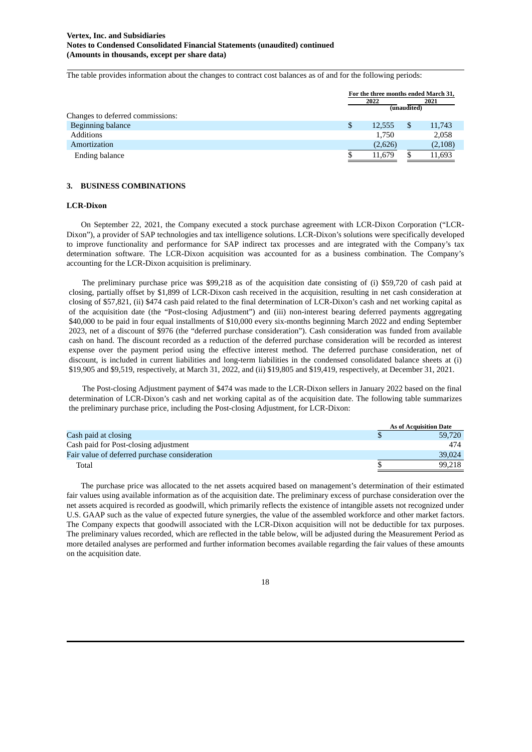The table provides information about the changes to contract cost balances as of and for the following periods:

|                                  | For the three months ended March 31,<br>2022<br>(unaudited) |         |   | 2021    |
|----------------------------------|-------------------------------------------------------------|---------|---|---------|
| Changes to deferred commissions: |                                                             |         |   |         |
| Beginning balance                | \$                                                          | 12.555  | S | 11,743  |
| <b>Additions</b>                 |                                                             | 1.750   |   | 2,058   |
| Amortization                     |                                                             | (2,626) |   | (2,108) |
| Ending balance                   |                                                             | 11.679  |   | 11,693  |

### **3. BUSINESS COMBINATIONS**

#### **LCR-Dixon**

On September 22, 2021, the Company executed a stock purchase agreement with LCR-Dixon Corporation ("LCR-Dixon"), a provider of SAP technologies and tax intelligence solutions. LCR-Dixon's solutions were specifically developed to improve functionality and performance for SAP indirect tax processes and are integrated with the Company's tax determination software. The LCR-Dixon acquisition was accounted for as a business combination. The Company's accounting for the LCR-Dixon acquisition is preliminary.

The preliminary purchase price was \$99,218 as of the acquisition date consisting of (i) \$59,720 of cash paid at closing, partially offset by \$1,899 of LCR-Dixon cash received in the acquisition, resulting in net cash consideration at closing of \$57,821, (ii) \$474 cash paid related to the final determination of LCR-Dixon's cash and net working capital as of the acquisition date (the "Post-closing Adjustment") and (iii) non-interest bearing deferred payments aggregating \$40,000 to be paid in four equal installments of \$10,000 every six-months beginning March 2022 and ending September 2023, net of a discount of \$976 (the "deferred purchase consideration"). Cash consideration was funded from available cash on hand. The discount recorded as a reduction of the deferred purchase consideration will be recorded as interest expense over the payment period using the effective interest method. The deferred purchase consideration, net of discount, is included in current liabilities and long-term liabilities in the condensed consolidated balance sheets at (i) \$19,905 and \$9,519, respectively, at March 31, 2022, and (ii) \$19,805 and \$19,419, respectively, at December 31, 2021.

The Post-closing Adjustment payment of \$474 was made to the LCR-Dixon sellers in January 2022 based on the final determination of LCR-Dixon's cash and net working capital as of the acquisition date. The following table summarizes the preliminary purchase price, including the Post-closing Adjustment, for LCR-Dixon:

|                                               | <b>As of Acquisition Date</b> |
|-----------------------------------------------|-------------------------------|
| Cash paid at closing                          | 59,720                        |
| Cash paid for Post-closing adjustment         | 474                           |
| Fair value of deferred purchase consideration | 39,024                        |
| Total                                         | 99.218                        |

The purchase price was allocated to the net assets acquired based on management's determination of their estimated fair values using available information as of the acquisition date. The preliminary excess of purchase consideration over the net assets acquired is recorded as goodwill, which primarily reflects the existence of intangible assets not recognized under U.S. GAAP such as the value of expected future synergies, the value of the assembled workforce and other market factors. The Company expects that goodwill associated with the LCR-Dixon acquisition will not be deductible for tax purposes. The preliminary values recorded, which are reflected in the table below, will be adjusted during the Measurement Period as more detailed analyses are performed and further information becomes available regarding the fair values of these amounts on the acquisition date.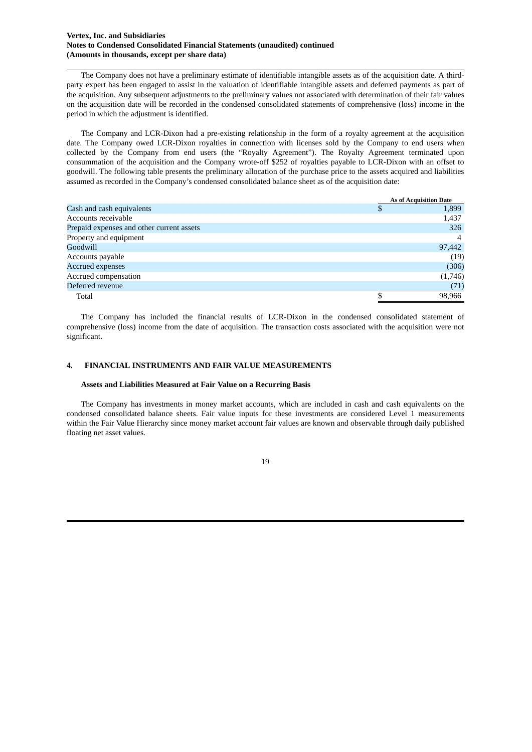### **Vertex, Inc. and Subsidiaries Notes to Condensed Consolidated Financial Statements (unaudited) continued (Amounts in thousands, except per share data)**

The Company does not have a preliminary estimate of identifiable intangible assets as of the acquisition date. A thirdparty expert has been engaged to assist in the valuation of identifiable intangible assets and deferred payments as part of the acquisition. Any subsequent adjustments to the preliminary values not associated with determination of their fair values on the acquisition date will be recorded in the condensed consolidated statements of comprehensive (loss) income in the period in which the adjustment is identified.

The Company and LCR-Dixon had a pre-existing relationship in the form of a royalty agreement at the acquisition date. The Company owed LCR-Dixon royalties in connection with licenses sold by the Company to end users when collected by the Company from end users (the "Royalty Agreement"). The Royalty Agreement terminated upon consummation of the acquisition and the Company wrote-off \$252 of royalties payable to LCR-Dixon with an offset to goodwill. The following table presents the preliminary allocation of the purchase price to the assets acquired and liabilities assumed as recorded in the Company's condensed consolidated balance sheet as of the acquisition date:

|                                           | <b>As of Acquisition Date</b> |
|-------------------------------------------|-------------------------------|
| Cash and cash equivalents                 | 1,899                         |
| Accounts receivable                       | 1,437                         |
| Prepaid expenses and other current assets | 326                           |
| Property and equipment                    | 4                             |
| Goodwill                                  | 97,442                        |
| Accounts payable                          | (19)                          |
| <b>Accrued expenses</b>                   | (306)                         |
| Accrued compensation                      | (1,746)                       |
| Deferred revenue                          | (71)                          |
| Total                                     | 98.966                        |

The Company has included the financial results of LCR-Dixon in the condensed consolidated statement of comprehensive (loss) income from the date of acquisition. The transaction costs associated with the acquisition were not significant.

### **4. FINANCIAL INSTRUMENTS AND FAIR VALUE MEASUREMENTS**

### **Assets and Liabilities Measured at Fair Value on a Recurring Basis**

The Company has investments in money market accounts, which are included in cash and cash equivalents on the condensed consolidated balance sheets. Fair value inputs for these investments are considered Level 1 measurements within the Fair Value Hierarchy since money market account fair values are known and observable through daily published floating net asset values.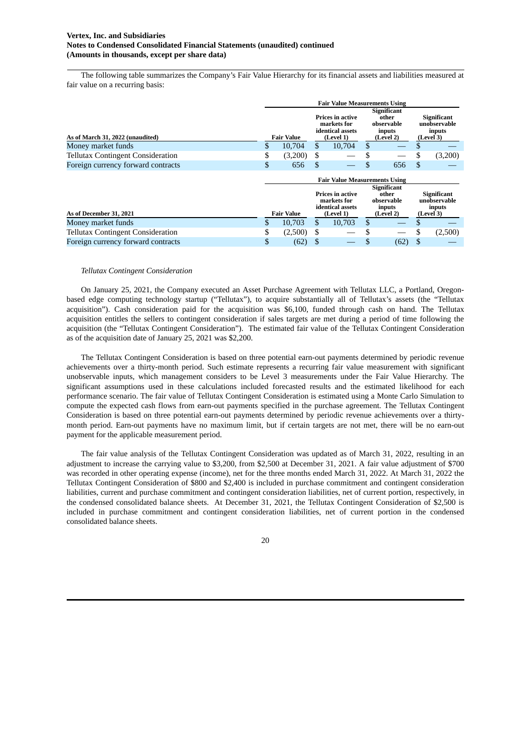### **Vertex, Inc. and Subsidiaries Notes to Condensed Consolidated Financial Statements (unaudited) continued (Amounts in thousands, except per share data)**

The following table summarizes the Company's Fair Value Hierarchy for its financial assets and liabilities measured at fair value on a recurring basis:

|                                          | <b>Fair Value Measurements Using</b> |     |                                                                         |     |                                                                  |    |                                                           |
|------------------------------------------|--------------------------------------|-----|-------------------------------------------------------------------------|-----|------------------------------------------------------------------|----|-----------------------------------------------------------|
| As of March 31, 2022 (unaudited)         | Fair Value                           |     | <b>Prices in active</b><br>markets for<br>identical assets<br>(Level 1) |     | <b>Significant</b><br>other<br>observable<br>inputs<br>(Level 2) |    | Significant<br>unobservable<br>inputs<br>(Level 3)        |
| Money market funds                       | \$<br>10,704                         | \$. | 10.704                                                                  | \$. |                                                                  |    |                                                           |
| <b>Tellutax Contingent Consideration</b> | \$<br>(3,200)                        | \$  |                                                                         |     |                                                                  | \$ | (3,200)                                                   |
| Foreign currency forward contracts       | \$<br>656                            | \$  |                                                                         |     | 656                                                              | \$ |                                                           |
|                                          |                                      |     | <b>Fair Value Measurements Using</b>                                    |     |                                                                  |    |                                                           |
| As of December 31, 2021                  | <b>Fair Value</b>                    |     | Prices in active<br>markets for<br>identical assets<br>(Level 1)        |     | <b>Significant</b><br>other<br>observable<br>inputs<br>(Level 2) |    | <b>Significant</b><br>unobservable<br>inputs<br>(Level 3) |
| Money market funds                       | \$<br>10.703                         | \$  | 10,703                                                                  | \$  |                                                                  | \$ |                                                           |
| <b>Tellutax Contingent Consideration</b> | \$<br>(2,500)                        | \$  |                                                                         |     |                                                                  | \$ | (2,500)                                                   |
| Foreign currency forward contracts       | \$<br>(62)                           | S   |                                                                         |     | (62)                                                             | \$ |                                                           |

#### *Tellutax Contingent Consideration*

On January 25, 2021, the Company executed an Asset Purchase Agreement with Tellutax LLC, a Portland, Oregonbased edge computing technology startup ("Tellutax"), to acquire substantially all of Tellutax's assets (the "Tellutax acquisition"). Cash consideration paid for the acquisition was \$6,100, funded through cash on hand. The Tellutax acquisition entitles the sellers to contingent consideration if sales targets are met during a period of time following the acquisition (the "Tellutax Contingent Consideration"). The estimated fair value of the Tellutax Contingent Consideration as of the acquisition date of January 25, 2021 was \$2,200.

The Tellutax Contingent Consideration is based on three potential earn-out payments determined by periodic revenue achievements over a thirty-month period. Such estimate represents a recurring fair value measurement with significant unobservable inputs, which management considers to be Level 3 measurements under the Fair Value Hierarchy. The significant assumptions used in these calculations included forecasted results and the estimated likelihood for each performance scenario. The fair value of Tellutax Contingent Consideration is estimated using a Monte Carlo Simulation to compute the expected cash flows from earn-out payments specified in the purchase agreement. The Tellutax Contingent Consideration is based on three potential earn-out payments determined by periodic revenue achievements over a thirtymonth period. Earn-out payments have no maximum limit, but if certain targets are not met, there will be no earn-out payment for the applicable measurement period.

The fair value analysis of the Tellutax Contingent Consideration was updated as of March 31, 2022, resulting in an adjustment to increase the carrying value to \$3,200, from \$2,500 at December 31, 2021. A fair value adjustment of \$700 was recorded in other operating expense (income), net for the three months ended March 31, 2022. At March 31, 2022 the Tellutax Contingent Consideration of \$800 and \$2,400 is included in purchase commitment and contingent consideration liabilities, current and purchase commitment and contingent consideration liabilities, net of current portion, respectively, in the condensed consolidated balance sheets. At December 31, 2021, the Tellutax Contingent Consideration of \$2,500 is included in purchase commitment and contingent consideration liabilities, net of current portion in the condensed consolidated balance sheets.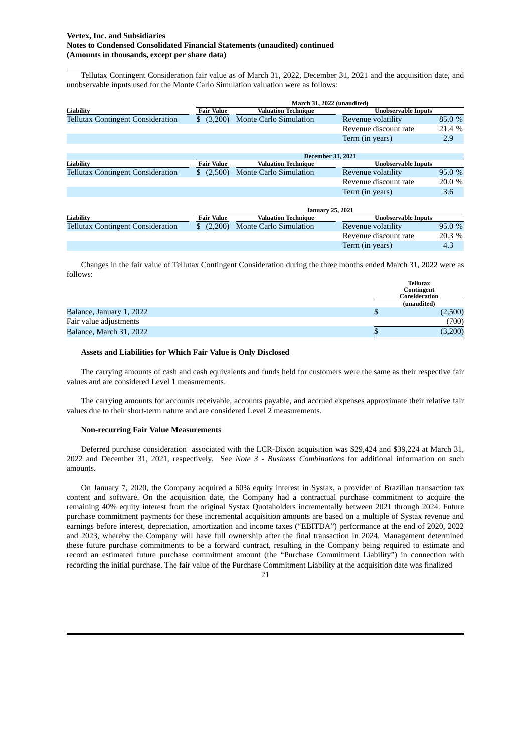Tellutax Contingent Consideration fair value as of March 31, 2022, December 31, 2021 and the acquisition date, and unobservable inputs used for the Monte Carlo Simulation valuation were as follows:

|                                          |                   | March 31, 2022 (unaudited)    |                            |        |
|------------------------------------------|-------------------|-------------------------------|----------------------------|--------|
| Liability                                | <b>Fair Value</b> | Valuation Technique           | <b>Unobservable Inputs</b> |        |
| <b>Tellutax Contingent Consideration</b> | (3,200)<br>S.     | <b>Monte Carlo Simulation</b> | Revenue volatility         | 85.0 % |
|                                          |                   |                               | Revenue discount rate      | 21.4 % |
|                                          |                   |                               | Term (in years)            | 2.9    |
|                                          |                   |                               |                            |        |
|                                          |                   | <b>December 31, 2021</b>      |                            |        |
| <b>Liability</b>                         | <b>Fair Value</b> | Valuation Technique           | <b>Unobservable Inputs</b> |        |
| <b>Tellutax Contingent Consideration</b> | (2,500)<br>S      | <b>Monte Carlo Simulation</b> | Revenue volatility         | 95.0 % |
|                                          |                   |                               | Revenue discount rate      | 20.0 % |
|                                          |                   |                               | Term (in years)            | 3.6    |
|                                          |                   |                               |                            |        |
|                                          |                   | <b>January 25, 2021</b>       |                            |        |
| Liability                                | <b>Fair Value</b> | Valuation Technique           | <b>Unobservable Inputs</b> |        |
| <b>Tellutax Contingent Consideration</b> | (2,200)           | <b>Monte Carlo Simulation</b> | Revenue volatility         | 95.0 % |
|                                          |                   |                               | Revenue discount rate      | 20.3 % |
|                                          |                   |                               | Term (in years)            | 4.3    |
|                                          |                   |                               |                            |        |

Changes in the fair value of Tellutax Contingent Consideration during the three months ended March 31, 2022 were as follows:

|                          | Tellutax   |               |  |
|--------------------------|------------|---------------|--|
|                          | Contingent |               |  |
|                          |            | Consideration |  |
|                          |            | (unaudited)   |  |
| Balance, January 1, 2022 | S          | (2,500)       |  |
| Fair value adjustments   |            | (700)         |  |
| Balance, March 31, 2022  | D          | (3,200)       |  |

#### **Assets and Liabilities for Which Fair Value is Only Disclosed**

The carrying amounts of cash and cash equivalents and funds held for customers were the same as their respective fair values and are considered Level 1 measurements.

The carrying amounts for accounts receivable, accounts payable, and accrued expenses approximate their relative fair values due to their short-term nature and are considered Level 2 measurements.

#### **Non-recurring Fair Value Measurements**

Deferred purchase consideration associated with the LCR-Dixon acquisition was \$29,424 and \$39,224 at March 31, 2022 and December 31, 2021, respectively. See *Note 3 - Business Combinations* for additional information on such amounts.

On January 7, 2020, the Company acquired a 60% equity interest in Systax, a provider of Brazilian transaction tax content and software. On the acquisition date, the Company had a contractual purchase commitment to acquire the remaining 40% equity interest from the original Systax Quotaholders incrementally between 2021 through 2024. Future purchase commitment payments for these incremental acquisition amounts are based on a multiple of Systax revenue and earnings before interest, depreciation, amortization and income taxes ("EBITDA") performance at the end of 2020, 2022 and 2023, whereby the Company will have full ownership after the final transaction in 2024. Management determined these future purchase commitments to be a forward contract, resulting in the Company being required to estimate and record an estimated future purchase commitment amount (the "Purchase Commitment Liability") in connection with recording the initial purchase. The fair value of the Purchase Commitment Liability at the acquisition date was finalized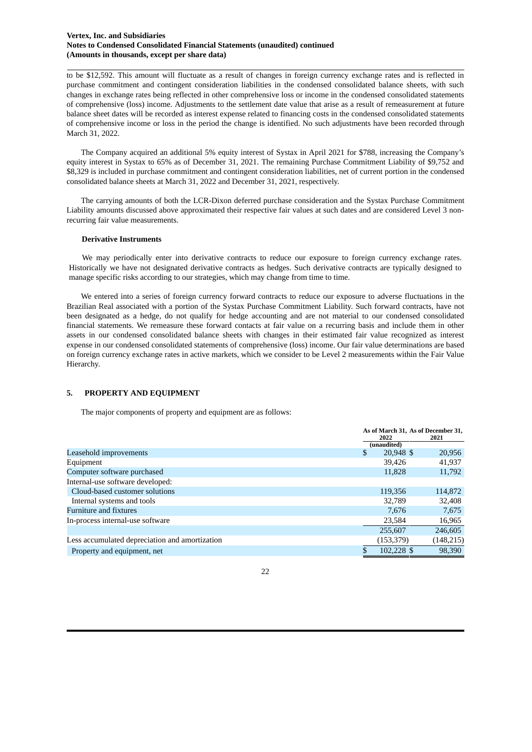### **Vertex, Inc. and Subsidiaries Notes to Condensed Consolidated Financial Statements (unaudited) continued (Amounts in thousands, except per share data)**

to be \$12,592. This amount will fluctuate as a result of changes in foreign currency exchange rates and is reflected in purchase commitment and contingent consideration liabilities in the condensed consolidated balance sheets, with such changes in exchange rates being reflected in other comprehensive loss or income in the condensed consolidated statements of comprehensive (loss) income. Adjustments to the settlement date value that arise as a result of remeasurement at future balance sheet dates will be recorded as interest expense related to financing costs in the condensed consolidated statements of comprehensive income or loss in the period the change is identified. No such adjustments have been recorded through March 31, 2022.

The Company acquired an additional 5% equity interest of Systax in April 2021 for \$788, increasing the Company's equity interest in Systax to 65% as of December 31, 2021. The remaining Purchase Commitment Liability of \$9,752 and \$8,329 is included in purchase commitment and contingent consideration liabilities, net of current portion in the condensed consolidated balance sheets at March 31, 2022 and December 31, 2021, respectively.

The carrying amounts of both the LCR-Dixon deferred purchase consideration and the Systax Purchase Commitment Liability amounts discussed above approximated their respective fair values at such dates and are considered Level 3 nonrecurring fair value measurements.

### **Derivative Instruments**

We may periodically enter into derivative contracts to reduce our exposure to foreign currency exchange rates. Historically we have not designated derivative contracts as hedges. Such derivative contracts are typically designed to manage specific risks according to our strategies, which may change from time to time.

We entered into a series of foreign currency forward contracts to reduce our exposure to adverse fluctuations in the Brazilian Real associated with a portion of the Systax Purchase Commitment Liability. Such forward contracts, have not been designated as a hedge, do not qualify for hedge accounting and are not material to our condensed consolidated financial statements. We remeasure these forward contacts at fair value on a recurring basis and include them in other assets in our condensed consolidated balance sheets with changes in their estimated fair value recognized as interest expense in our condensed consolidated statements of comprehensive (loss) income. Our fair value determinations are based on foreign currency exchange rates in active markets, which we consider to be Level 2 measurements within the Fair Value Hierarchy.

### **5. PROPERTY AND EQUIPMENT**

The major components of property and equipment are as follows:

|                                                | 2022            | As of March 31, As of December 31,<br>2021 |
|------------------------------------------------|-----------------|--------------------------------------------|
|                                                | (unaudited)     |                                            |
| Leasehold improvements                         | \$<br>20,948 \$ | 20,956                                     |
| Equipment                                      | 39.426          | 41,937                                     |
| Computer software purchased                    | 11,828          | 11,792                                     |
| Internal-use software developed:               |                 |                                            |
| Cloud-based customer solutions                 | 119,356         | 114,872                                    |
| Internal systems and tools                     | 32,789          | 32,408                                     |
| Furniture and fixtures                         | 7,676           | 7,675                                      |
| In-process internal-use software               | 23,584          | 16,965                                     |
|                                                | 255,607         | 246,605                                    |
| Less accumulated depreciation and amortization | (153, 379)      | (148, 215)                                 |
| Property and equipment, net                    | 102,228 \$      | 98,390                                     |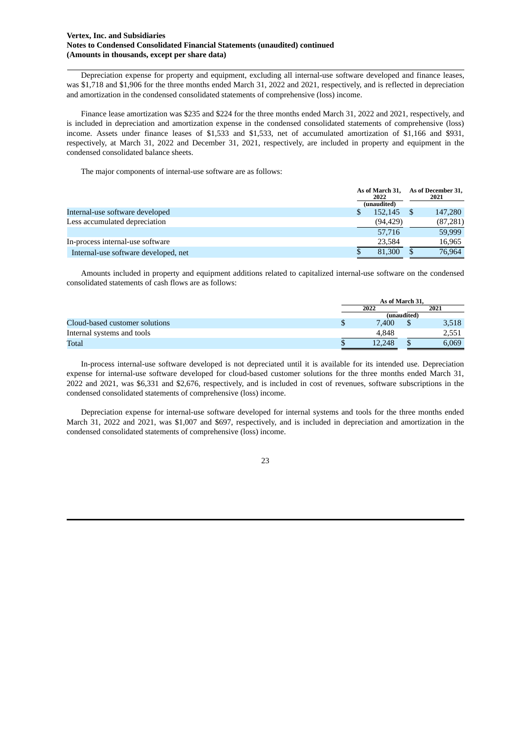### **Vertex, Inc. and Subsidiaries Notes to Condensed Consolidated Financial Statements (unaudited) continued (Amounts in thousands, except per share data)**

Depreciation expense for property and equipment, excluding all internal-use software developed and finance leases, was \$1,718 and \$1,906 for the three months ended March 31, 2022 and 2021, respectively, and is reflected in depreciation and amortization in the condensed consolidated statements of comprehensive (loss) income.

Finance lease amortization was \$235 and \$224 for the three months ended March 31, 2022 and 2021, respectively, and is included in depreciation and amortization expense in the condensed consolidated statements of comprehensive (loss) income. Assets under finance leases of \$1,533 and \$1,533, net of accumulated amortization of \$1,166 and \$931, respectively, at March 31, 2022 and December 31, 2021, respectively, are included in property and equipment in the condensed consolidated balance sheets.

The major components of internal-use software are as follows:

|                                      | As of March 31.<br>2022<br>(unaudited) | As of December 31,<br>2021 |
|--------------------------------------|----------------------------------------|----------------------------|
| Internal-use software developed      | 152,145                                | 147,280                    |
| Less accumulated depreciation        | (94, 429)                              | (87,281)                   |
|                                      | 57,716                                 | 59,999                     |
| In-process internal-use software     | 23.584                                 | 16,965                     |
| Internal-use software developed, net | 81,300                                 | 76.964                     |

Amounts included in property and equipment additions related to capitalized internal-use software on the condensed consolidated statements of cash flows are as follows:

|                                | As of March 31. |  |       |  |
|--------------------------------|-----------------|--|-------|--|
|                                | 2022            |  |       |  |
|                                | (unaudited)     |  |       |  |
| Cloud-based customer solutions | 7.400           |  | 3,518 |  |
| Internal systems and tools     | 4.848           |  | 2,551 |  |
| Total                          | 12.248          |  | 6,069 |  |

In-process internal-use software developed is not depreciated until it is available for its intended use. Depreciation expense for internal-use software developed for cloud-based customer solutions for the three months ended March 31, 2022 and 2021, was \$6,331 and \$2,676, respectively, and is included in cost of revenues, software subscriptions in the condensed consolidated statements of comprehensive (loss) income.

Depreciation expense for internal-use software developed for internal systems and tools for the three months ended March 31, 2022 and 2021, was \$1,007 and \$697, respectively, and is included in depreciation and amortization in the condensed consolidated statements of comprehensive (loss) income.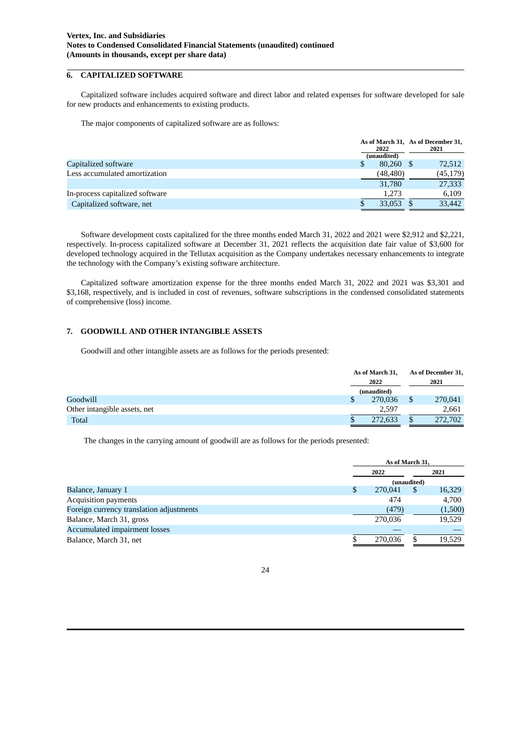### **6. CAPITALIZED SOFTWARE**

Capitalized software includes acquired software and direct labor and related expenses for software developed for sale for new products and enhancements to existing products.

The major components of capitalized software are as follows:

|                                 | 2022<br>(unaudited) | As of March 31, As of December 31,<br>2021 |  |
|---------------------------------|---------------------|--------------------------------------------|--|
| Capitalized software            | 80,260<br>S         | 72,512                                     |  |
| Less accumulated amortization   | (48, 480)           | (45, 179)                                  |  |
|                                 | 31,780              | 27,333                                     |  |
| In-process capitalized software | 1.273               | 6,109                                      |  |
| Capitalized software, net       | 33,053              | 33,442                                     |  |

Software development costs capitalized for the three months ended March 31, 2022 and 2021 were \$2,912 and \$2,221, respectively. In-process capitalized software at December 31, 2021 reflects the acquisition date fair value of \$3,600 for developed technology acquired in the Tellutax acquisition as the Company undertakes necessary enhancements to integrate the technology with the Company's existing software architecture.

Capitalized software amortization expense for the three months ended March 31, 2022 and 2021 was \$3,301 and \$3,168, respectively, and is included in cost of revenues, software subscriptions in the condensed consolidated statements of comprehensive (loss) income.

### **7. GOODWILL AND OTHER INTANGIBLE ASSETS**

Goodwill and other intangible assets are as follows for the periods presented:

|                              | As of March 31, | As of December 31, |         |
|------------------------------|-----------------|--------------------|---------|
|                              | 2022            |                    | 2021    |
|                              | (unaudited)     |                    |         |
| Goodwill                     | 270,036         |                    | 270,041 |
| Other intangible assets, net | 2.597           |                    | 2.661   |
| <b>Total</b>                 | 272,633         |                    | 272,702 |

The changes in the carrying amount of goodwill are as follows for the periods presented:

|                                          | As of March 31, |         |             |         |  |  |
|------------------------------------------|-----------------|---------|-------------|---------|--|--|
|                                          | 2022            |         |             | 2021    |  |  |
|                                          |                 |         | (unaudited) |         |  |  |
| Balance, January 1                       | \$              | 270.041 | S           | 16,329  |  |  |
| <b>Acquisition payments</b>              |                 | 474     |             | 4,700   |  |  |
| Foreign currency translation adjustments |                 | (479)   |             | (1,500) |  |  |
| Balance, March 31, gross                 |                 | 270,036 |             | 19,529  |  |  |
| Accumulated impairment losses            |                 |         |             |         |  |  |
| Balance, March 31, net                   |                 | 270.036 |             | 19.529  |  |  |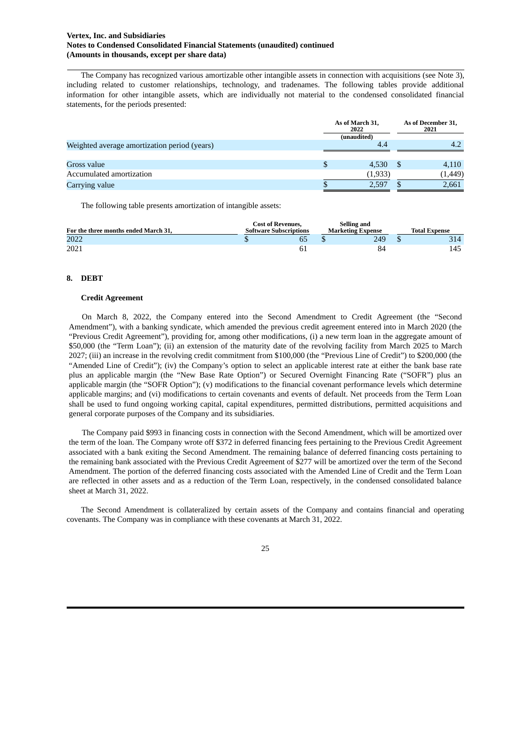### **Vertex, Inc. and Subsidiaries Notes to Condensed Consolidated Financial Statements (unaudited) continued (Amounts in thousands, except per share data)**

The Company has recognized various amortizable other intangible assets in connection with acquisitions (see Note 3), including related to customer relationships, technology, and tradenames. The following tables provide additional information for other intangible assets, which are individually not material to the condensed consolidated financial statements, for the periods presented:

| As of March 31,<br>2022 |         |             | As of December 31,<br>2021 |
|-------------------------|---------|-------------|----------------------------|
|                         | 4.4     |             | 4.2                        |
|                         |         |             |                            |
|                         | 4,530   | -S          | 4,110                      |
|                         | (1,933) |             | (1, 449)                   |
|                         | 2.597   |             | 2,661                      |
|                         |         | (unaudited) |                            |

The following table presents amortization of intangible assets:

| For the three months ended March 31. | Selling and<br><b>Cost of Revenues.</b><br><b>Software Subscriptions</b><br><b>Marketing Expense</b> |     | <b>Total Expense</b> |
|--------------------------------------|------------------------------------------------------------------------------------------------------|-----|----------------------|
| 2022                                 | 65                                                                                                   | 249 |                      |
| 2021                                 |                                                                                                      | 84  | 145                  |

### **8. DEBT**

### **Credit Agreement**

On March 8, 2022, the Company entered into the Second Amendment to Credit Agreement (the "Second Amendment"), with a banking syndicate, which amended the previous credit agreement entered into in March 2020 (the "Previous Credit Agreement"), providing for, among other modifications, (i) a new term loan in the aggregate amount of \$50,000 (the "Term Loan"); (ii) an extension of the maturity date of the revolving facility from March 2025 to March 2027; (iii) an increase in the revolving credit commitment from \$100,000 (the "Previous Line of Credit") to \$200,000 (the "Amended Line of Credit"); (iv) the Company's option to select an applicable interest rate at either the bank base rate plus an applicable margin (the "New Base Rate Option") or Secured Overnight Financing Rate ("SOFR") plus an applicable margin (the "SOFR Option"); (v) modifications to the financial covenant performance levels which determine applicable margins; and (vi) modifications to certain covenants and events of default. Net proceeds from the Term Loan shall be used to fund ongoing working capital, capital expenditures, permitted distributions, permitted acquisitions and general corporate purposes of the Company and its subsidiaries.

The Company paid \$993 in financing costs in connection with the Second Amendment, which will be amortized over the term of the loan. The Company wrote off \$372 in deferred financing fees pertaining to the Previous Credit Agreement associated with a bank exiting the Second Amendment. The remaining balance of deferred financing costs pertaining to the remaining bank associated with the Previous Credit Agreement of \$277 will be amortized over the term of the Second Amendment. The portion of the deferred financing costs associated with the Amended Line of Credit and the Term Loan are reflected in other assets and as a reduction of the Term Loan, respectively, in the condensed consolidated balance sheet at March 31, 2022.

The Second Amendment is collateralized by certain assets of the Company and contains financial and operating covenants. The Company was in compliance with these covenants at March 31, 2022.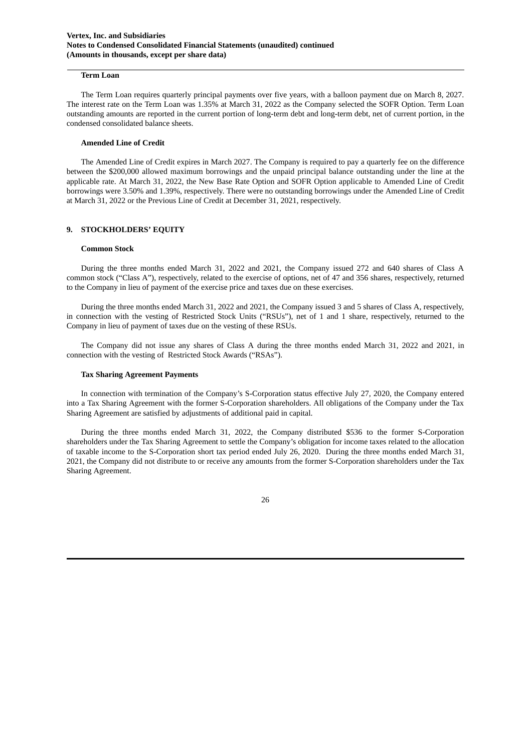### **Term Loan**

The Term Loan requires quarterly principal payments over five years, with a balloon payment due on March 8, 2027. The interest rate on the Term Loan was 1.35% at March 31, 2022 as the Company selected the SOFR Option. Term Loan outstanding amounts are reported in the current portion of long-term debt and long-term debt, net of current portion, in the condensed consolidated balance sheets.

### **Amended Line of Credit**

The Amended Line of Credit expires in March 2027. The Company is required to pay a quarterly fee on the difference between the \$200,000 allowed maximum borrowings and the unpaid principal balance outstanding under the line at the applicable rate. At March 31, 2022, the New Base Rate Option and SOFR Option applicable to Amended Line of Credit borrowings were 3.50% and 1.39%, respectively. There were no outstanding borrowings under the Amended Line of Credit at March 31, 2022 or the Previous Line of Credit at December 31, 2021, respectively.

### **9. STOCKHOLDERS' EQUITY**

### **Common Stock**

During the three months ended March 31, 2022 and 2021, the Company issued 272 and 640 shares of Class A common stock ("Class A"), respectively, related to the exercise of options, net of 47 and 356 shares, respectively, returned to the Company in lieu of payment of the exercise price and taxes due on these exercises.

During the three months ended March 31, 2022 and 2021, the Company issued 3 and 5 shares of Class A, respectively, in connection with the vesting of Restricted Stock Units ("RSUs"), net of 1 and 1 share, respectively, returned to the Company in lieu of payment of taxes due on the vesting of these RSUs.

The Company did not issue any shares of Class A during the three months ended March 31, 2022 and 2021, in connection with the vesting of Restricted Stock Awards ("RSAs").

#### **Tax Sharing Agreement Payments**

In connection with termination of the Company's S-Corporation status effective July 27, 2020, the Company entered into a Tax Sharing Agreement with the former S-Corporation shareholders. All obligations of the Company under the Tax Sharing Agreement are satisfied by adjustments of additional paid in capital.

During the three months ended March 31, 2022, the Company distributed \$536 to the former S-Corporation shareholders under the Tax Sharing Agreement to settle the Company's obligation for income taxes related to the allocation of taxable income to the S-Corporation short tax period ended July 26, 2020. During the three months ended March 31, 2021, the Company did not distribute to or receive any amounts from the former S-Corporation shareholders under the Tax Sharing Agreement.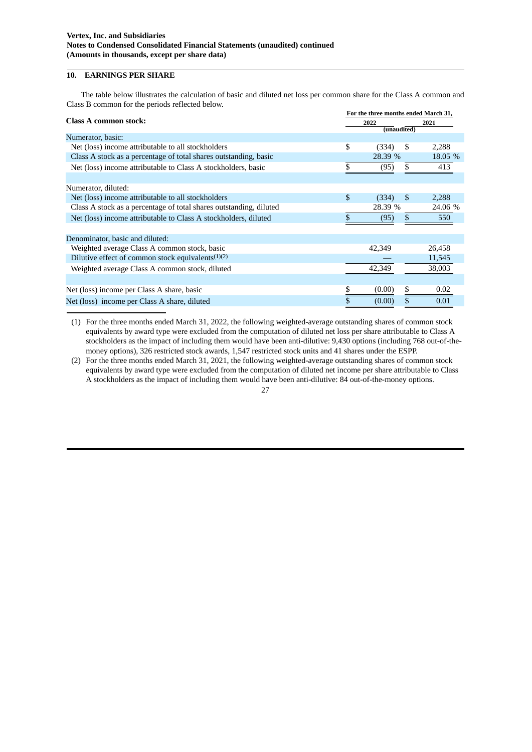### **10. EARNINGS PER SHARE**

The table below illustrates the calculation of basic and diluted net loss per common share for the Class A common and Class B common for the periods reflected below.

|                                                                            | For the three months ended March 31, |             |     |         |  |  |  |
|----------------------------------------------------------------------------|--------------------------------------|-------------|-----|---------|--|--|--|
| <b>Class A common stock:</b>                                               | 2022                                 |             |     | 2021    |  |  |  |
| Numerator, basic:                                                          |                                      | (unaudited) |     |         |  |  |  |
| Net (loss) income attributable to all stockholders                         | \$                                   | (334)       | \$  | 2,288   |  |  |  |
| Class A stock as a percentage of total shares outstanding, basic           |                                      | 28.39 %     |     | 18.05 % |  |  |  |
| Net (loss) income attributable to Class A stockholders, basic              |                                      | (95)        | \$  | 413     |  |  |  |
|                                                                            |                                      |             |     |         |  |  |  |
| Numerator, diluted:                                                        |                                      |             |     |         |  |  |  |
| Net (loss) income attributable to all stockholders                         | \$                                   | (334)       | \$. | 2,288   |  |  |  |
| Class A stock as a percentage of total shares outstanding, diluted         |                                      | 28.39 %     |     | 24.06 % |  |  |  |
| Net (loss) income attributable to Class A stockholders, diluted            |                                      | (95)        | \$  | 550     |  |  |  |
|                                                                            |                                      |             |     |         |  |  |  |
| Denominator, basic and diluted:                                            |                                      |             |     |         |  |  |  |
| Weighted average Class A common stock, basic                               |                                      | 42,349      |     | 26,458  |  |  |  |
| Dilutive effect of common stock equivalents <sup><math>(1)(2)</math></sup> |                                      |             |     | 11,545  |  |  |  |
| Weighted average Class A common stock, diluted                             |                                      | 42.349      |     | 38,003  |  |  |  |
|                                                                            |                                      |             |     |         |  |  |  |
| Net (loss) income per Class A share, basic                                 |                                      | (0.00)      | \$  | 0.02    |  |  |  |
| Net (loss) income per Class A share, diluted                               |                                      | (0.00)      | \$  | 0.01    |  |  |  |

(1) For the three months ended March 31, 2022, the following weighted-average outstanding shares of common stock equivalents by award type were excluded from the computation of diluted net loss per share attributable to Class A stockholders as the impact of including them would have been anti-dilutive: 9,430 options (including 768 out-of-themoney options), 326 restricted stock awards, 1,547 restricted stock units and 41 shares under the ESPP.

(2) For the three months ended March 31, 2021, the following weighted-average outstanding shares of common stock equivalents by award type were excluded from the computation of diluted net income per share attributable to Class A stockholders as the impact of including them would have been anti-dilutive: 84 out-of-the-money options.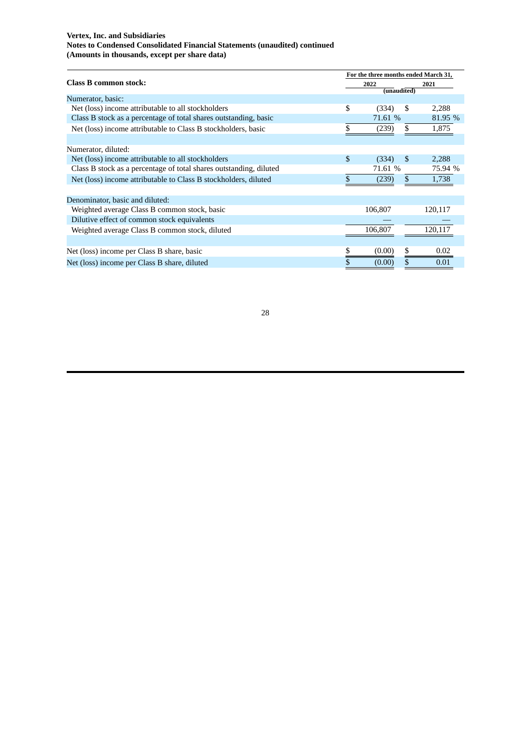### **Vertex, Inc. and Subsidiaries Notes to Condensed Consolidated Financial Statements (unaudited) continued (Amounts in thousands, except per share data)**

|                                                                    | For the three months ended March 31, |    |         |  |  |  |
|--------------------------------------------------------------------|--------------------------------------|----|---------|--|--|--|
| <b>Class B common stock:</b>                                       | 2022<br>2021<br>(unaudited)          |    |         |  |  |  |
| Numerator, basic:                                                  |                                      |    |         |  |  |  |
| Net (loss) income attributable to all stockholders                 | \$<br>(334)                          | S  | 2,288   |  |  |  |
| Class B stock as a percentage of total shares outstanding, basic   | 71.61 %                              |    | 81.95 % |  |  |  |
| Net (loss) income attributable to Class B stockholders, basic      | \$<br>(239)                          | \$ | 1,875   |  |  |  |
|                                                                    |                                      |    |         |  |  |  |
| Numerator, diluted:                                                |                                      |    |         |  |  |  |
| Net (loss) income attributable to all stockholders                 | \$<br>(334)                          | -S | 2,288   |  |  |  |
| Class B stock as a percentage of total shares outstanding, diluted | 71.61 %                              |    | 75.94 % |  |  |  |
| Net (loss) income attributable to Class B stockholders, diluted    | (239)                                | \$ | 1,738   |  |  |  |
|                                                                    |                                      |    |         |  |  |  |
| Denominator, basic and diluted:                                    |                                      |    |         |  |  |  |
| Weighted average Class B common stock, basic                       | 106,807                              |    | 120,117 |  |  |  |
| Dilutive effect of common stock equivalents                        |                                      |    |         |  |  |  |
| Weighted average Class B common stock, diluted                     | 106,807                              |    | 120.117 |  |  |  |
|                                                                    |                                      |    |         |  |  |  |
| Net (loss) income per Class B share, basic                         | (0.00)                               | \$ | 0.02    |  |  |  |
| Net (loss) income per Class B share, diluted                       | (0.00)                               |    | 0.01    |  |  |  |
|                                                                    |                                      |    |         |  |  |  |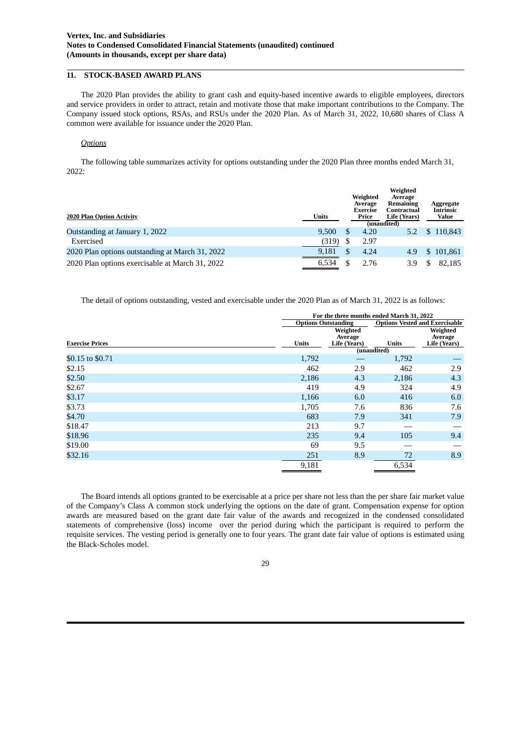### **11. STOCK-BASED AWARD PLANS**

The 2020 Plan provides the ability to grant cash and equity-based incentive awards to eligible employees, directors and service providers in order to attract, retain and motivate those that make important contributions to the Company. The Company issued stock options, RSAs, and RSUs under the 2020 Plan. As of March 31, 2022, 10,680 shares of Class A common were available for issuance under the 2020 Plan.

### *Options*

The following table summarizes activity for options outstanding under the 2020 Plan three months ended March 31, 2022:

| <b>2020 Plan Option Activity</b>                | <b>Units</b> |   | Weighted<br>Average<br>Exercise<br>Price | Weighted<br>Average<br>Remaining<br>Contractual<br>Life (Years) | Aggregate<br><b>Intrinsic</b><br>Value |
|-------------------------------------------------|--------------|---|------------------------------------------|-----------------------------------------------------------------|----------------------------------------|
|                                                 |              |   |                                          | (unaudited)                                                     |                                        |
| Outstanding at January 1, 2022                  | 9.500        | S | 4.20                                     | 5.2                                                             | \$110,843                              |
| Exercised                                       | (319)        |   | 2.97                                     |                                                                 |                                        |
| 2020 Plan options outstanding at March 31, 2022 | 9,181        |   | 4.24                                     | 4.9                                                             | \$101.861                              |
| 2020 Plan options exercisable at March 31, 2022 | 6.534        |   | 2.76                                     | 3.9                                                             | 82.185                                 |

The detail of options outstanding, vested and exercisable under the 2020 Plan as of March 31, 2022 is as follows:

|                        | For the three months ended March 31, 2022           |                            |             |                                       |              |                                     |
|------------------------|-----------------------------------------------------|----------------------------|-------------|---------------------------------------|--------------|-------------------------------------|
|                        |                                                     | <b>Options Outstanding</b> |             | <b>Options Vested and Exercisable</b> |              |                                     |
| <b>Exercise Prices</b> | Weighted<br>Average<br>Life (Years)<br><b>Units</b> |                            |             |                                       | <b>Units</b> | Weighted<br>Average<br>Life (Years) |
|                        |                                                     |                            | (unaudited) |                                       |              |                                     |
| \$0.15 to \$0.71       | 1,792                                               |                            | 1,792       |                                       |              |                                     |
| \$2.15                 | 462                                                 | 2.9                        | 462         | 2.9                                   |              |                                     |
| \$2.50                 | 2,186                                               | 4.3                        | 2,186       | 4.3                                   |              |                                     |
| \$2.67                 | 419                                                 | 4.9                        | 324         | 4.9                                   |              |                                     |
| \$3.17                 | 1,166                                               | 6.0                        | 416         | 6.0                                   |              |                                     |
| \$3.73                 | 1,705                                               | 7.6                        | 836         | 7.6                                   |              |                                     |
| \$4.70                 | 683                                                 | 7.9                        | 341         | 7.9                                   |              |                                     |
| \$18.47                | 213                                                 | 9.7                        |             |                                       |              |                                     |
| \$18.96                | 235                                                 | 9.4                        | 105         | 9.4                                   |              |                                     |
| \$19.00                | 69                                                  | 9.5                        |             |                                       |              |                                     |
| \$32.16                | 251                                                 | 8.9                        | 72          | 8.9                                   |              |                                     |
|                        | 9,181                                               |                            | 6,534       |                                       |              |                                     |

The Board intends all options granted to be exercisable at a price per share not less than the per share fair market value of the Company's Class A common stock underlying the options on the date of grant. Compensation expense for option awards are measured based on the grant date fair value of the awards and recognized in the condensed consolidated statements of comprehensive (loss) income over the period during which the participant is required to perform the requisite services. The vesting period is generally one to four years. The grant date fair value of options is estimated using the Black-Scholes model.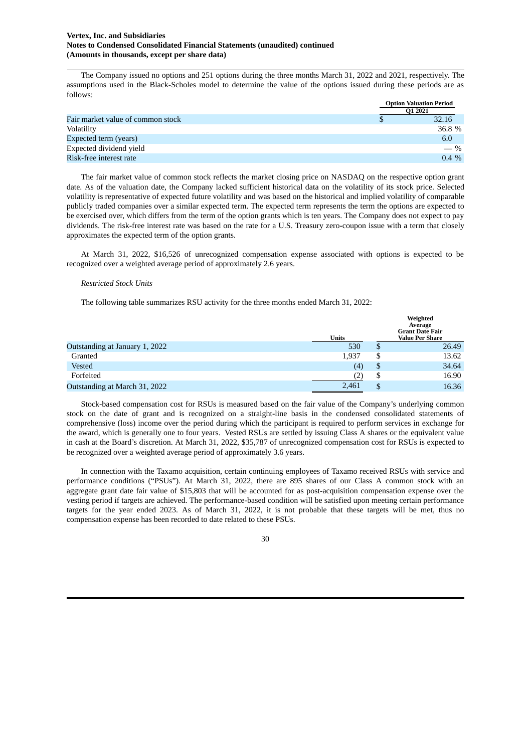### **Vertex, Inc. and Subsidiaries Notes to Condensed Consolidated Financial Statements (unaudited) continued (Amounts in thousands, except per share data)**

The Company issued no options and 251 options during the three months March 31, 2022 and 2021, respectively. The assumptions used in the Black-Scholes model to determine the value of the options issued during these periods are as follows:

|                                   | <b>Option Valuation Period</b> |
|-----------------------------------|--------------------------------|
|                                   | Q1 2021                        |
| Fair market value of common stock | 32.16                          |
| Volatility                        | 36.8 %                         |
| Expected term (years)             | 6.0                            |
| Expected dividend yield           | $-$ %                          |
| Risk-free interest rate           | $0.4\%$                        |

The fair market value of common stock reflects the market closing price on NASDAQ on the respective option grant date. As of the valuation date, the Company lacked sufficient historical data on the volatility of its stock price. Selected volatility is representative of expected future volatility and was based on the historical and implied volatility of comparable publicly traded companies over a similar expected term. The expected term represents the term the options are expected to be exercised over, which differs from the term of the option grants which is ten years. The Company does not expect to pay dividends. The risk-free interest rate was based on the rate for a U.S. Treasury zero-coupon issue with a term that closely approximates the expected term of the option grants.

At March 31, 2022, \$16,526 of unrecognized compensation expense associated with options is expected to be recognized over a weighted average period of approximately 2.6 years.

#### *Restricted Stock Units*

The following table summarizes RSU activity for the three months ended March 31, 2022:

|                                | <b>Units</b> |               | Weighted<br>Average<br><b>Grant Date Fair</b><br><b>Value Per Share</b> |
|--------------------------------|--------------|---------------|-------------------------------------------------------------------------|
| Outstanding at January 1, 2022 | 530          | S             | 26.49                                                                   |
| Granted                        | 1,937        | \$            | 13.62                                                                   |
| <b>Vested</b>                  | (4)          | <sup>\$</sup> | 34.64                                                                   |
| Forfeited                      | (2)          | \$            | 16.90                                                                   |
| Outstanding at March 31, 2022  | 2,461        | S             | 16.36                                                                   |

Stock-based compensation cost for RSUs is measured based on the fair value of the Company's underlying common stock on the date of grant and is recognized on a straight-line basis in the condensed consolidated statements of comprehensive (loss) income over the period during which the participant is required to perform services in exchange for the award, which is generally one to four years. Vested RSUs are settled by issuing Class A shares or the equivalent value in cash at the Board's discretion. At March 31, 2022, \$35,787 of unrecognized compensation cost for RSUs is expected to be recognized over a weighted average period of approximately 3.6 years.

In connection with the Taxamo acquisition, certain continuing employees of Taxamo received RSUs with service and performance conditions ("PSUs"). At March 31, 2022, there are 895 shares of our Class A common stock with an aggregate grant date fair value of \$15,803 that will be accounted for as post-acquisition compensation expense over the vesting period if targets are achieved. The performance-based condition will be satisfied upon meeting certain performance targets for the year ended 2023. As of March 31, 2022, it is not probable that these targets will be met, thus no compensation expense has been recorded to date related to these PSUs.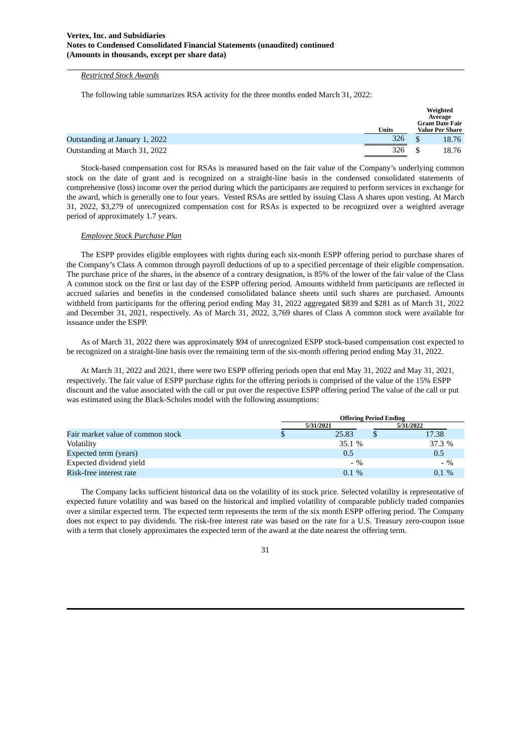### *Restricted Stock Awards*

The following table summarizes RSA activity for the three months ended March 31, 2022:

|                                | <b>Units</b> | Weighted<br>Average<br><b>Grant Date Fair</b><br>Value Per Share |
|--------------------------------|--------------|------------------------------------------------------------------|
| Outstanding at January 1, 2022 | 326          | 18.76                                                            |
| Outstanding at March 31, 2022  | 326          | 18.76                                                            |

Stock-based compensation cost for RSAs is measured based on the fair value of the Company's underlying common stock on the date of grant and is recognized on a straight-line basis in the condensed consolidated statements of comprehensive (loss) income over the period during which the participants are required to perform services in exchange for the award, which is generally one to four years. Vested RSAs are settled by issuing Class A shares upon vesting. At March 31, 2022, \$3,279 of unrecognized compensation cost for RSAs is expected to be recognized over a weighted average period of approximately 1.7 years.

### *Employee Stock Purchase Plan*

The ESPP provides eligible employees with rights during each six-month ESPP offering period to purchase shares of the Company's Class A common through payroll deductions of up to a specified percentage of their eligible compensation. The purchase price of the shares, in the absence of a contrary designation, is 85% of the lower of the fair value of the Class A common stock on the first or last day of the ESPP offering period. Amounts withheld from participants are reflected in accrued salaries and benefits in the condensed consolidated balance sheets until such shares are purchased. Amounts withheld from participants for the offering period ending May 31, 2022 aggregated \$839 and \$281 as of March 31, 2022 and December 31, 2021, respectively. As of March 31, 2022, 3,769 shares of Class A common stock were available for issuance under the ESPP.

As of March 31, 2022 there was approximately \$94 of unrecognized ESPP stock-based compensation cost expected to be recognized on a straight-line basis over the remaining term of the six-month offering period ending May 31, 2022.

At March 31, 2022 and 2021, there were two ESPP offering periods open that end May 31, 2022 and May 31, 2021, respectively. The fair value of ESPP purchase rights for the offering periods is comprised of the value of the 15% ESPP discount and the value associated with the call or put over the respective ESPP offering period The value of the call or put was estimated using the Black-Scholes model with the following assumptions:

|                                   | <b>Offering Period Ending</b> |           |  |           |
|-----------------------------------|-------------------------------|-----------|--|-----------|
|                                   |                               | 5/31/2021 |  | 5/31/2022 |
| Fair market value of common stock |                               | 25.83     |  | 17.38     |
| Volatility                        |                               | 35.1 %    |  | 37.3 %    |
| Expected term (years)             |                               | 0.5       |  | 0.5       |
| Expected dividend yield           |                               | $-$ %     |  | $-$ %     |
| Risk-free interest rate           |                               | $0.1\%$   |  | $0.1\%$   |

The Company lacks sufficient historical data on the volatility of its stock price. Selected volatility is representative of expected future volatility and was based on the historical and implied volatility of comparable publicly traded companies over a similar expected term. The expected term represents the term of the six month ESPP offering period. The Company does not expect to pay dividends. The risk-free interest rate was based on the rate for a U.S. Treasury zero-coupon issue with a term that closely approximates the expected term of the award at the date nearest the offering term.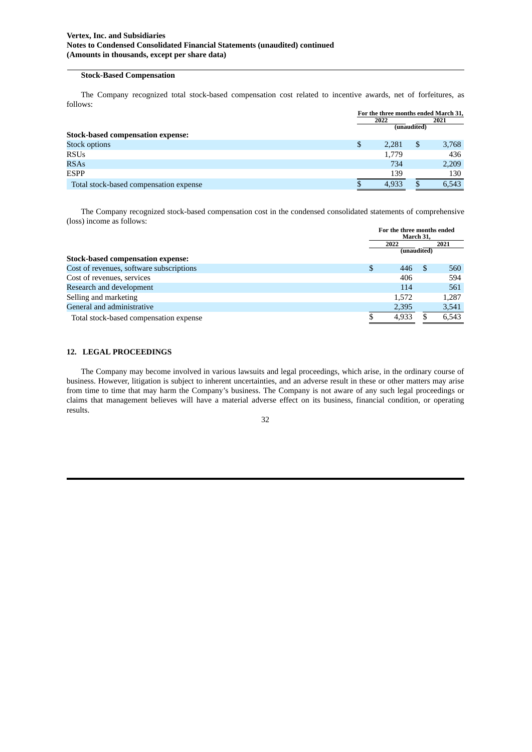### **Stock-Based Compensation**

The Company recognized total stock-based compensation cost related to incentive awards, net of forfeitures, as follows:

|                                        | For the three months ended March 31, |       |     |       |
|----------------------------------------|--------------------------------------|-------|-----|-------|
|                                        | 2022                                 |       |     | 2021  |
|                                        | (unaudited)                          |       |     |       |
| Stock-based compensation expense:      |                                      |       |     |       |
| <b>Stock options</b>                   | S                                    | 2,281 | \$  | 3,768 |
| <b>RSUs</b>                            |                                      | 1,779 |     | 436   |
| <b>RSAs</b>                            |                                      | 734   |     | 2,209 |
| <b>ESPP</b>                            |                                      | 139   |     | 130   |
| Total stock-based compensation expense |                                      | 4.933 | \$. | 6,543 |

The Company recognized stock-based compensation cost in the condensed consolidated statements of comprehensive (loss) income as follows:

|                                          | For the three months ended<br>March 31. |  |       |  |  |
|------------------------------------------|-----------------------------------------|--|-------|--|--|
|                                          | 2022                                    |  | 2021  |  |  |
|                                          | (unaudited)                             |  |       |  |  |
| Stock-based compensation expense:        |                                         |  |       |  |  |
| Cost of revenues, software subscriptions | \$<br>446                               |  | 560   |  |  |
| Cost of revenues, services               | 406                                     |  | 594   |  |  |
| Research and development                 | 114                                     |  | 561   |  |  |
| Selling and marketing                    | 1.572                                   |  | 1,287 |  |  |
| General and administrative               | 2,395                                   |  | 3,541 |  |  |
| Total stock-based compensation expense   | 4.933                                   |  | 6,543 |  |  |

### **12. LEGAL PROCEEDINGS**

The Company may become involved in various lawsuits and legal proceedings, which arise, in the ordinary course of business. However, litigation is subject to inherent uncertainties, and an adverse result in these or other matters may arise from time to time that may harm the Company's business. The Company is not aware of any such legal proceedings or claims that management believes will have a material adverse effect on its business, financial condition, or operating results.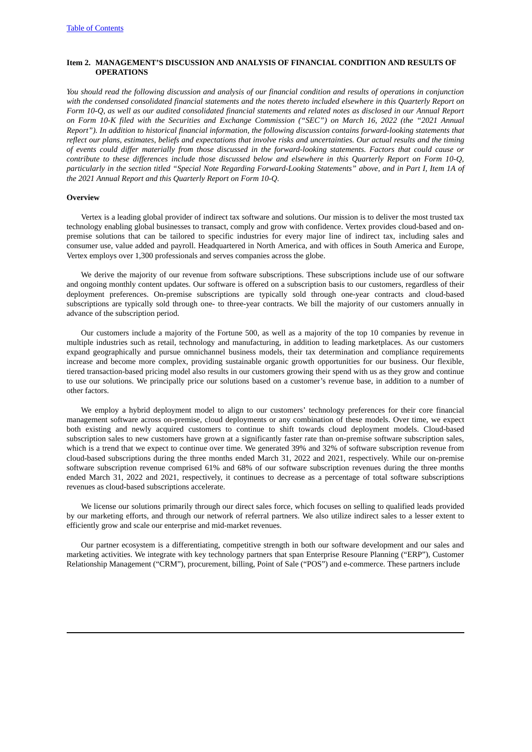### <span id="page-32-0"></span>**Item 2. MANAGEMENT'S DISCUSSION AND ANALYSIS OF FINANCIAL CONDITION AND RESULTS OF OPERATIONS**

You should read the following discussion and analysis of our financial condition and results of operations in conjunction with the condensed consolidated financial statements and the notes thereto included elsewhere in this Quarterly Report on Form 10-Q, as well as our audited consolidated financial statements and related notes as disclosed in our Annual Report on Form 10-K filed with the Securities and Exchange Commission ("SEC") on March 16, 2022 (the "2021 Annual *Report"). In addition to historical financial information, the following discussion contains forward-looking statements that* reflect our plans, estimates, beliefs and expectations that involve risks and uncertainties. Our actual results and the timing of events could differ materially from those discussed in the forward-looking statements. Factors that could cause or contribute to these differences include those discussed below and elsewhere in this Quarterly Report on Form 10-Q, particularly in the section titled "Special Note Regarding Forward-Looking Statements" above, and in Part I, Item 1A of *the 2021 Annual Report and this Quarterly Report on Form 10-Q.*

#### **Overview**

Vertex is a leading global provider of indirect tax software and solutions. Our mission is to deliver the most trusted tax technology enabling global businesses to transact, comply and grow with confidence. Vertex provides cloud-based and onpremise solutions that can be tailored to specific industries for every major line of indirect tax, including sales and consumer use, value added and payroll. Headquartered in North America, and with offices in South America and Europe, Vertex employs over 1,300 professionals and serves companies across the globe.

We derive the majority of our revenue from software subscriptions. These subscriptions include use of our software and ongoing monthly content updates. Our software is offered on a subscription basis to our customers, regardless of their deployment preferences. On-premise subscriptions are typically sold through one-year contracts and cloud-based subscriptions are typically sold through one- to three-year contracts. We bill the majority of our customers annually in advance of the subscription period.

Our customers include a majority of the Fortune 500, as well as a majority of the top 10 companies by revenue in multiple industries such as retail, technology and manufacturing, in addition to leading marketplaces. As our customers expand geographically and pursue omnichannel business models, their tax determination and compliance requirements increase and become more complex, providing sustainable organic growth opportunities for our business. Our flexible, tiered transaction-based pricing model also results in our customers growing their spend with us as they grow and continue to use our solutions. We principally price our solutions based on a customer's revenue base, in addition to a number of other factors.

We employ a hybrid deployment model to align to our customers' technology preferences for their core financial management software across on-premise, cloud deployments or any combination of these models. Over time, we expect both existing and newly acquired customers to continue to shift towards cloud deployment models. Cloud-based subscription sales to new customers have grown at a significantly faster rate than on-premise software subscription sales, which is a trend that we expect to continue over time. We generated 39% and 32% of software subscription revenue from cloud-based subscriptions during the three months ended March 31, 2022 and 2021, respectively. While our on-premise software subscription revenue comprised 61% and 68% of our software subscription revenues during the three months ended March 31, 2022 and 2021, respectively, it continues to decrease as a percentage of total software subscriptions revenues as cloud-based subscriptions accelerate.

We license our solutions primarily through our direct sales force, which focuses on selling to qualified leads provided by our marketing efforts, and through our network of referral partners. We also utilize indirect sales to a lesser extent to efficiently grow and scale our enterprise and mid-market revenues.

Our partner ecosystem is a differentiating, competitive strength in both our software development and our sales and marketing activities. We integrate with key technology partners that span Enterprise Resoure Planning ("ERP"), Customer Relationship Management ("CRM"), procurement, billing, Point of Sale ("POS") and e-commerce. These partners include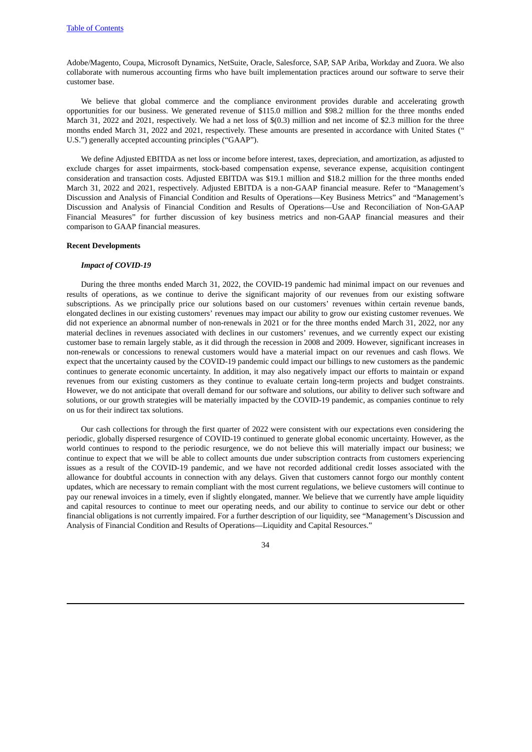Adobe/Magento, Coupa, Microsoft Dynamics, NetSuite, Oracle, Salesforce, SAP, SAP Ariba, Workday and Zuora. We also collaborate with numerous accounting firms who have built implementation practices around our software to serve their customer base.

We believe that global commerce and the compliance environment provides durable and accelerating growth opportunities for our business. We generated revenue of \$115.0 million and \$98.2 million for the three months ended March 31, 2022 and 2021, respectively. We had a net loss of \$(0.3) million and net income of \$2.3 million for the three months ended March 31, 2022 and 2021, respectively. These amounts are presented in accordance with United States (" U.S.") generally accepted accounting principles ("GAAP").

We define Adjusted EBITDA as net loss or income before interest, taxes, depreciation, and amortization, as adjusted to exclude charges for asset impairments, stock-based compensation expense, severance expense, acquisition contingent consideration and transaction costs. Adjusted EBITDA was \$19.1 million and \$18.2 million for the three months ended March 31, 2022 and 2021, respectively. Adjusted EBITDA is a non-GAAP financial measure. Refer to "Management's Discussion and Analysis of Financial Condition and Results of Operations—Key Business Metrics" and "Management's Discussion and Analysis of Financial Condition and Results of Operations—Use and Reconciliation of Non-GAAP Financial Measures" for further discussion of key business metrics and non-GAAP financial measures and their comparison to GAAP financial measures.

#### **Recent Developments**

#### *Impact of COVID-19*

During the three months ended March 31, 2022, the COVID-19 pandemic had minimal impact on our revenues and results of operations, as we continue to derive the significant majority of our revenues from our existing software subscriptions. As we principally price our solutions based on our customers' revenues within certain revenue bands, elongated declines in our existing customers' revenues may impact our ability to grow our existing customer revenues. We did not experience an abnormal number of non-renewals in 2021 or for the three months ended March 31, 2022, nor any material declines in revenues associated with declines in our customers' revenues, and we currently expect our existing customer base to remain largely stable, as it did through the recession in 2008 and 2009. However, significant increases in non-renewals or concessions to renewal customers would have a material impact on our revenues and cash flows. We expect that the uncertainty caused by the COVID-19 pandemic could impact our billings to new customers as the pandemic continues to generate economic uncertainty. In addition, it may also negatively impact our efforts to maintain or expand revenues from our existing customers as they continue to evaluate certain long-term projects and budget constraints. However, we do not anticipate that overall demand for our software and solutions, our ability to deliver such software and solutions, or our growth strategies will be materially impacted by the COVID-19 pandemic, as companies continue to rely on us for their indirect tax solutions.

Our cash collections for through the first quarter of 2022 were consistent with our expectations even considering the periodic, globally dispersed resurgence of COVID-19 continued to generate global economic uncertainty. However, as the world continues to respond to the periodic resurgence, we do not believe this will materially impact our business; we continue to expect that we will be able to collect amounts due under subscription contracts from customers experiencing issues as a result of the COVID-19 pandemic, and we have not recorded additional credit losses associated with the allowance for doubtful accounts in connection with any delays. Given that customers cannot forgo our monthly content updates, which are necessary to remain compliant with the most current regulations, we believe customers will continue to pay our renewal invoices in a timely, even if slightly elongated, manner. We believe that we currently have ample liquidity and capital resources to continue to meet our operating needs, and our ability to continue to service our debt or other financial obligations is not currently impaired. For a further description of our liquidity, see "Management's Discussion and Analysis of Financial Condition and Results of Operations—Liquidity and Capital Resources."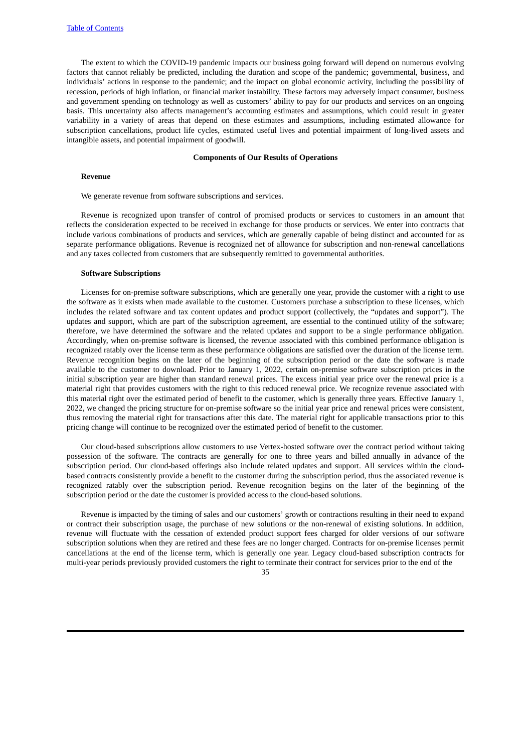The extent to which the COVID-19 pandemic impacts our business going forward will depend on numerous evolving factors that cannot reliably be predicted, including the duration and scope of the pandemic; governmental, business, and individuals' actions in response to the pandemic; and the impact on global economic activity, including the possibility of recession, periods of high inflation, or financial market instability. These factors may adversely impact consumer, business and government spending on technology as well as customers' ability to pay for our products and services on an ongoing basis. This uncertainty also affects management's accounting estimates and assumptions, which could result in greater variability in a variety of areas that depend on these estimates and assumptions, including estimated allowance for subscription cancellations, product life cycles, estimated useful lives and potential impairment of long-lived assets and intangible assets, and potential impairment of goodwill.

#### **Components of Our Results of Operations**

#### **Revenue**

We generate revenue from software subscriptions and services.

Revenue is recognized upon transfer of control of promised products or services to customers in an amount that reflects the consideration expected to be received in exchange for those products or services. We enter into contracts that include various combinations of products and services, which are generally capable of being distinct and accounted for as separate performance obligations. Revenue is recognized net of allowance for subscription and non-renewal cancellations and any taxes collected from customers that are subsequently remitted to governmental authorities.

#### **Software Subscriptions**

Licenses for on-premise software subscriptions, which are generally one year, provide the customer with a right to use the software as it exists when made available to the customer. Customers purchase a subscription to these licenses, which includes the related software and tax content updates and product support (collectively, the "updates and support"). The updates and support, which are part of the subscription agreement, are essential to the continued utility of the software; therefore, we have determined the software and the related updates and support to be a single performance obligation. Accordingly, when on-premise software is licensed, the revenue associated with this combined performance obligation is recognized ratably over the license term as these performance obligations are satisfied over the duration of the license term. Revenue recognition begins on the later of the beginning of the subscription period or the date the software is made available to the customer to download. Prior to January 1, 2022, certain on-premise software subscription prices in the initial subscription year are higher than standard renewal prices. The excess initial year price over the renewal price is a material right that provides customers with the right to this reduced renewal price. We recognize revenue associated with this material right over the estimated period of benefit to the customer, which is generally three years. Effective January 1, 2022, we changed the pricing structure for on-premise software so the initial year price and renewal prices were consistent, thus removing the material right for transactions after this date. The material right for applicable transactions prior to this pricing change will continue to be recognized over the estimated period of benefit to the customer.

Our cloud-based subscriptions allow customers to use Vertex-hosted software over the contract period without taking possession of the software. The contracts are generally for one to three years and billed annually in advance of the subscription period. Our cloud-based offerings also include related updates and support. All services within the cloudbased contracts consistently provide a benefit to the customer during the subscription period, thus the associated revenue is recognized ratably over the subscription period. Revenue recognition begins on the later of the beginning of the subscription period or the date the customer is provided access to the cloud-based solutions.

Revenue is impacted by the timing of sales and our customers' growth or contractions resulting in their need to expand or contract their subscription usage, the purchase of new solutions or the non-renewal of existing solutions. In addition, revenue will fluctuate with the cessation of extended product support fees charged for older versions of our software subscription solutions when they are retired and these fees are no longer charged. Contracts for on-premise licenses permit cancellations at the end of the license term, which is generally one year. Legacy cloud-based subscription contracts for multi-year periods previously provided customers the right to terminate their contract for services prior to the end of the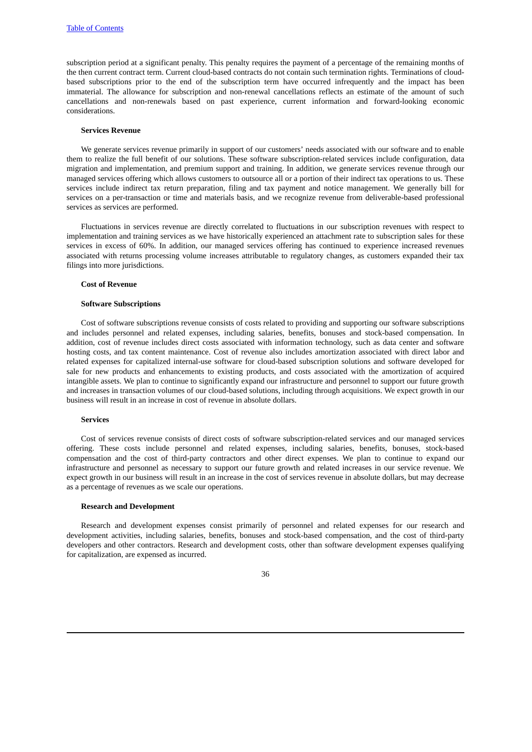subscription period at a significant penalty. This penalty requires the payment of a percentage of the remaining months of the then current contract term. Current cloud-based contracts do not contain such termination rights. Terminations of cloudbased subscriptions prior to the end of the subscription term have occurred infrequently and the impact has been immaterial. The allowance for subscription and non-renewal cancellations reflects an estimate of the amount of such cancellations and non-renewals based on past experience, current information and forward-looking economic considerations.

#### **Services Revenue**

We generate services revenue primarily in support of our customers' needs associated with our software and to enable them to realize the full benefit of our solutions. These software subscription-related services include configuration, data migration and implementation, and premium support and training. In addition, we generate services revenue through our managed services offering which allows customers to outsource all or a portion of their indirect tax operations to us. These services include indirect tax return preparation, filing and tax payment and notice management. We generally bill for services on a per-transaction or time and materials basis, and we recognize revenue from deliverable-based professional services as services are performed.

Fluctuations in services revenue are directly correlated to fluctuations in our subscription revenues with respect to implementation and training services as we have historically experienced an attachment rate to subscription sales for these services in excess of 60%. In addition, our managed services offering has continued to experience increased revenues associated with returns processing volume increases attributable to regulatory changes, as customers expanded their tax filings into more jurisdictions.

### **Cost of Revenue**

#### **Software Subscriptions**

Cost of software subscriptions revenue consists of costs related to providing and supporting our software subscriptions and includes personnel and related expenses, including salaries, benefits, bonuses and stock-based compensation. In addition, cost of revenue includes direct costs associated with information technology, such as data center and software hosting costs, and tax content maintenance. Cost of revenue also includes amortization associated with direct labor and related expenses for capitalized internal-use software for cloud-based subscription solutions and software developed for sale for new products and enhancements to existing products, and costs associated with the amortization of acquired intangible assets. We plan to continue to significantly expand our infrastructure and personnel to support our future growth and increases in transaction volumes of our cloud-based solutions, including through acquisitions. We expect growth in our business will result in an increase in cost of revenue in absolute dollars.

#### **Services**

Cost of services revenue consists of direct costs of software subscription-related services and our managed services offering. These costs include personnel and related expenses, including salaries, benefits, bonuses, stock-based compensation and the cost of third-party contractors and other direct expenses. We plan to continue to expand our infrastructure and personnel as necessary to support our future growth and related increases in our service revenue. We expect growth in our business will result in an increase in the cost of services revenue in absolute dollars, but may decrease as a percentage of revenues as we scale our operations.

### **Research and Development**

Research and development expenses consist primarily of personnel and related expenses for our research and development activities, including salaries, benefits, bonuses and stock-based compensation, and the cost of third-party developers and other contractors. Research and development costs, other than software development expenses qualifying for capitalization, are expensed as incurred.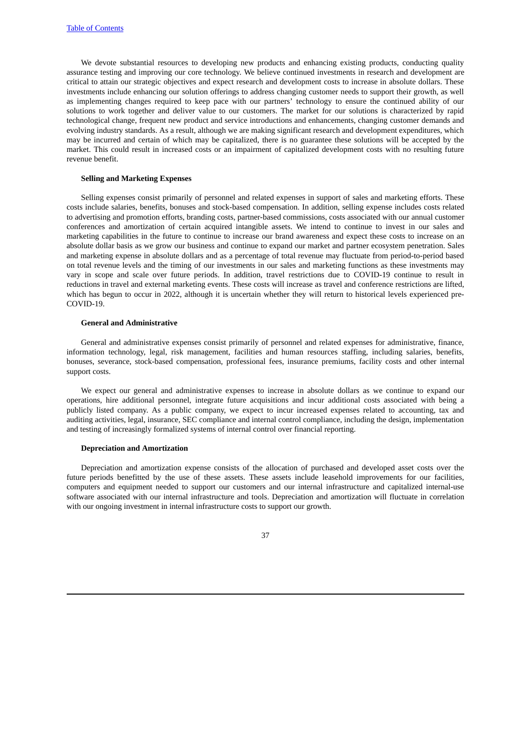We devote substantial resources to developing new products and enhancing existing products, conducting quality assurance testing and improving our core technology. We believe continued investments in research and development are critical to attain our strategic objectives and expect research and development costs to increase in absolute dollars. These investments include enhancing our solution offerings to address changing customer needs to support their growth, as well as implementing changes required to keep pace with our partners' technology to ensure the continued ability of our solutions to work together and deliver value to our customers. The market for our solutions is characterized by rapid technological change, frequent new product and service introductions and enhancements, changing customer demands and evolving industry standards. As a result, although we are making significant research and development expenditures, which may be incurred and certain of which may be capitalized, there is no guarantee these solutions will be accepted by the market. This could result in increased costs or an impairment of capitalized development costs with no resulting future revenue benefit.

#### **Selling and Marketing Expenses**

Selling expenses consist primarily of personnel and related expenses in support of sales and marketing efforts. These costs include salaries, benefits, bonuses and stock-based compensation. In addition, selling expense includes costs related to advertising and promotion efforts, branding costs, partner-based commissions, costs associated with our annual customer conferences and amortization of certain acquired intangible assets. We intend to continue to invest in our sales and marketing capabilities in the future to continue to increase our brand awareness and expect these costs to increase on an absolute dollar basis as we grow our business and continue to expand our market and partner ecosystem penetration. Sales and marketing expense in absolute dollars and as a percentage of total revenue may fluctuate from period-to-period based on total revenue levels and the timing of our investments in our sales and marketing functions as these investments may vary in scope and scale over future periods. In addition, travel restrictions due to COVID-19 continue to result in reductions in travel and external marketing events. These costs will increase as travel and conference restrictions are lifted, which has begun to occur in 2022, although it is uncertain whether they will return to historical levels experienced pre-COVID-19.

### **General and Administrative**

General and administrative expenses consist primarily of personnel and related expenses for administrative, finance, information technology, legal, risk management, facilities and human resources staffing, including salaries, benefits, bonuses, severance, stock-based compensation, professional fees, insurance premiums, facility costs and other internal support costs.

We expect our general and administrative expenses to increase in absolute dollars as we continue to expand our operations, hire additional personnel, integrate future acquisitions and incur additional costs associated with being a publicly listed company. As a public company, we expect to incur increased expenses related to accounting, tax and auditing activities, legal, insurance, SEC compliance and internal control compliance, including the design, implementation and testing of increasingly formalized systems of internal control over financial reporting.

#### **Depreciation and Amortization**

Depreciation and amortization expense consists of the allocation of purchased and developed asset costs over the future periods benefitted by the use of these assets. These assets include leasehold improvements for our facilities, computers and equipment needed to support our customers and our internal infrastructure and capitalized internal-use software associated with our internal infrastructure and tools. Depreciation and amortization will fluctuate in correlation with our ongoing investment in internal infrastructure costs to support our growth.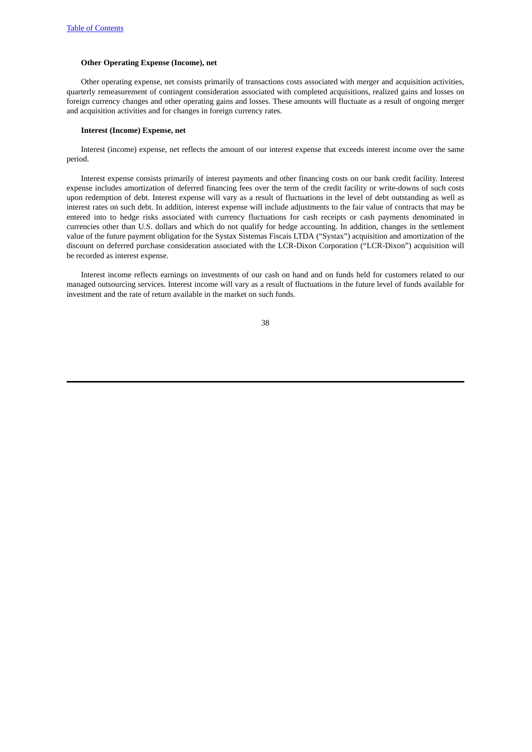### **Other Operating Expense (Income), net**

Other operating expense, net consists primarily of transactions costs associated with merger and acquisition activities, quarterly remeasurement of contingent consideration associated with completed acquisitions, realized gains and losses on foreign currency changes and other operating gains and losses. These amounts will fluctuate as a result of ongoing merger and acquisition activities and for changes in foreign currency rates.

#### **Interest (Income) Expense, net**

Interest (income) expense, net reflects the amount of our interest expense that exceeds interest income over the same period.

Interest expense consists primarily of interest payments and other financing costs on our bank credit facility. Interest expense includes amortization of deferred financing fees over the term of the credit facility or write-downs of such costs upon redemption of debt. Interest expense will vary as a result of fluctuations in the level of debt outstanding as well as interest rates on such debt. In addition, interest expense will include adjustments to the fair value of contracts that may be entered into to hedge risks associated with currency fluctuations for cash receipts or cash payments denominated in currencies other than U.S. dollars and which do not qualify for hedge accounting. In addition, changes in the settlement value of the future payment obligation for the Systax Sistemas Fiscais LTDA ("Systax") acquisition and amortization of the discount on deferred purchase consideration associated with the LCR-Dixon Corporation ("LCR-Dixon") acquisition will be recorded as interest expense.

Interest income reflects earnings on investments of our cash on hand and on funds held for customers related to our managed outsourcing services. Interest income will vary as a result of fluctuations in the future level of funds available for investment and the rate of return available in the market on such funds.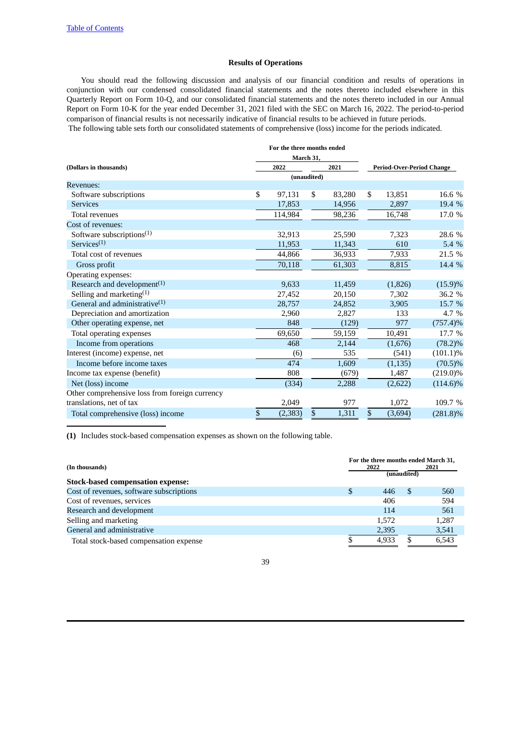### **Results of Operations**

You should read the following discussion and analysis of our financial condition and results of operations in conjunction with our condensed consolidated financial statements and the notes thereto included elsewhere in this Quarterly Report on Form 10-Q, and our consolidated financial statements and the notes thereto included in our Annual Report on Form 10-K for the year ended December 31, 2021 filed with the SEC on March 16, 2022. The period-to-period comparison of financial results is not necessarily indicative of financial results to be achieved in future periods. The following table sets forth our consolidated statements of comprehensive (loss) income for the periods indicated.

|                                                      | For the three months ended |           |        |                                  |             |  |
|------------------------------------------------------|----------------------------|-----------|--------|----------------------------------|-------------|--|
|                                                      |                            | March 31, |        |                                  |             |  |
| (Dollars in thousands)                               | 2022                       |           | 2021   | <b>Period-Over-Period Change</b> |             |  |
|                                                      | (unaudited)                |           |        |                                  |             |  |
| Revenues:                                            |                            |           |        |                                  |             |  |
| Software subscriptions                               | \$<br>97,131               | \$        | 83.280 | \$<br>13.851                     | 16.6 %      |  |
| <b>Services</b>                                      | 17,853                     |           | 14,956 | 2,897                            | 19.4 %      |  |
| <b>Total revenues</b>                                | 114,984                    |           | 98,236 | 16,748                           | 17.0 %      |  |
| Cost of revenues:                                    |                            |           |        |                                  |             |  |
| Software subscriptions <sup>(1)</sup>                | 32,913                     |           | 25,590 | 7,323                            | 28.6 %      |  |
| $S$ ervices $(1)$                                    | 11,953                     |           | 11,343 | 610                              | 5.4 %       |  |
| Total cost of revenues                               | 44,866                     |           | 36,933 | 7,933                            | 21.5 %      |  |
| Gross profit                                         | 70,118                     |           | 61,303 | 8,815                            | 14.4 %      |  |
| Operating expenses:                                  |                            |           |        |                                  |             |  |
| Research and development <sup><math>(1)</math></sup> | 9,633                      |           | 11,459 | (1,826)                          | (15.9)%     |  |
| Selling and marketing $(1)$                          | 27,452                     |           | 20,150 | 7,302                            | 36.2 %      |  |
| General and administrative <sup>(1)</sup>            | 28,757                     |           | 24,852 | 3,905                            | 15.7 %      |  |
| Depreciation and amortization                        | 2,960                      |           | 2,827  | 133                              | 4.7 %       |  |
| Other operating expense, net                         | 848                        |           | (129)  | 977                              | $(757.4)\%$ |  |
| Total operating expenses                             | 69,650                     |           | 59,159 | 10,491                           | 17.7 %      |  |
| Income from operations                               | 468                        |           | 2,144  | (1,676)                          | $(78.2)\%$  |  |
| Interest (income) expense, net                       | (6)                        |           | 535    | (541)                            | $(101.1)\%$ |  |
| Income before income taxes                           | 474                        |           | 1,609  | (1, 135)                         | $(70.5)\%$  |  |
| Income tax expense (benefit)                         | 808                        |           | (679)  | 1,487                            | $(219.0)\%$ |  |
| Net (loss) income                                    | (334)                      |           | 2,288  | (2,622)                          | $(114.6)\%$ |  |
| Other comprehensive loss from foreign currency       |                            |           |        |                                  |             |  |
| translations, net of tax                             | 2,049                      |           | 977    | 1,072                            | 109.7 %     |  |
| Total comprehensive (loss) income                    | \$<br>(2, 383)             | \$        | 1,311  | \$<br>(3,694)                    | $(281.8)\%$ |  |

**(1)** Includes stock-based compensation expenses as shown on the following table.

| (In thousands)                           | For the three months ended March 31,<br>2022<br>2021 |             |       |  |  |  |  |
|------------------------------------------|------------------------------------------------------|-------------|-------|--|--|--|--|
| <b>Stock-based compensation expense:</b> |                                                      | (unaudited) |       |  |  |  |  |
| Cost of revenues, software subscriptions | \$<br>446                                            | -S          | 560   |  |  |  |  |
| Cost of revenues, services               | 406                                                  |             | 594   |  |  |  |  |
| Research and development                 | 114                                                  |             | 561   |  |  |  |  |
| Selling and marketing                    | 1.572                                                |             | 1,287 |  |  |  |  |
| General and administrative               | 2,395                                                |             | 3,541 |  |  |  |  |
| Total stock-based compensation expense   | 4,933                                                |             | 6,543 |  |  |  |  |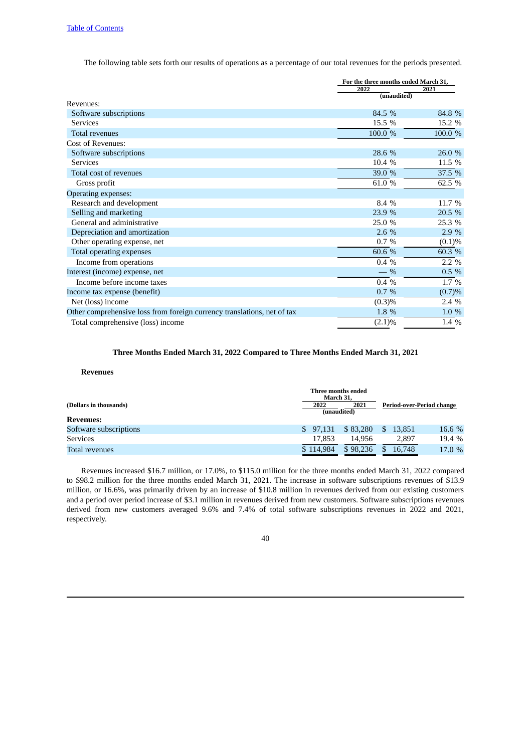The following table sets forth our results of operations as a percentage of our total revenues for the periods presented.

|                                                                         | For the three months ended March 31, |         |  |  |
|-------------------------------------------------------------------------|--------------------------------------|---------|--|--|
|                                                                         | 2022<br>(unaudited)                  | 2021    |  |  |
| Revenues:                                                               |                                      |         |  |  |
| Software subscriptions                                                  | 84.5 %                               | 84.8 %  |  |  |
| <b>Services</b>                                                         | 15.5 %                               | 15.2 %  |  |  |
| <b>Total revenues</b>                                                   | 100.0 %                              | 100.0 % |  |  |
| Cost of Revenues:                                                       |                                      |         |  |  |
| Software subscriptions                                                  | 28.6 %                               | 26.0 %  |  |  |
| <b>Services</b>                                                         | 10.4 %                               | 11.5 %  |  |  |
| Total cost of revenues                                                  | 39.0 %                               | 37.5 %  |  |  |
| Gross profit                                                            | 61.0 %                               | 62.5 %  |  |  |
| <b>Operating expenses:</b>                                              |                                      |         |  |  |
| Research and development                                                | 8.4 %                                | 11.7 %  |  |  |
| Selling and marketing                                                   | 23.9 %                               | 20.5 %  |  |  |
| General and administrative                                              | 25.0 %                               | 25.3 %  |  |  |
| Depreciation and amortization                                           | $2.6\%$                              | 2.9 %   |  |  |
| Other operating expense, net                                            | $0.7\%$                              | (0.1)%  |  |  |
| <b>Total operating expenses</b>                                         | 60.6 %                               | 60.3 %  |  |  |
| Income from operations                                                  | 0.4%                                 | $2.2\%$ |  |  |
| Interest (income) expense, net                                          | $-$ %                                | $0.5\%$ |  |  |
| Income before income taxes                                              | $0.4\%$                              | $1.7\%$ |  |  |
| Income tax expense (benefit)                                            | 0.7%                                 | (0.7)%  |  |  |
| Net (loss) income                                                       | (0.3)%                               | $2.4\%$ |  |  |
| Other comprehensive loss from foreign currency translations, net of tax | 1.8 %                                | 1.0 %   |  |  |
| Total comprehensive (loss) income                                       | $(2.1)\%$                            | 1.4 %   |  |  |

### **Three Months Ended March 31, 2022 Compared to Three Months Ended March 31, 2021**

### **Revenues**

|                        |           | Three months ended<br>March 31. |                           |        |
|------------------------|-----------|---------------------------------|---------------------------|--------|
| (Dollars in thousands) | 2022      | 2021<br>(unaudited)             | Period-over-Period change |        |
| <b>Revenues:</b>       |           |                                 |                           |        |
| Software subscriptions | \$ 97.131 | \$83,280                        | <sup>\$</sup><br>13.851   | 16.6 % |
| <b>Services</b>        |           | 17.853<br>14.956                | 2.897                     | 19.4 % |
| <b>Total revenues</b>  | \$114,984 | \$98,236                        | 16,748<br>S               | 17.0%  |

Revenues increased \$16.7 million, or 17.0%, to \$115.0 million for the three months ended March 31, 2022 compared to \$98.2 million for the three months ended March 31, 2021. The increase in software subscriptions revenues of \$13.9 million, or 16.6%, was primarily driven by an increase of \$10.8 million in revenues derived from our existing customers and a period over period increase of \$3.1 million in revenues derived from new customers. Software subscriptions revenues derived from new customers averaged 9.6% and 7.4% of total software subscriptions revenues in 2022 and 2021, respectively.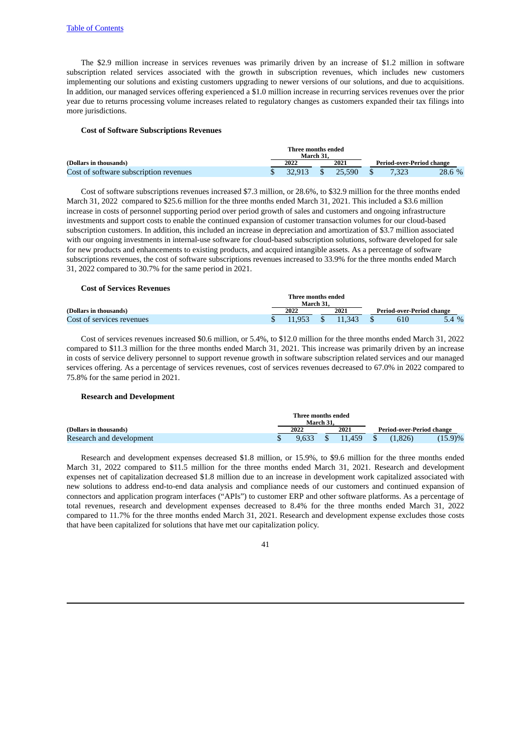The \$2.9 million increase in services revenues was primarily driven by an increase of \$1.2 million in software subscription related services associated with the growth in subscription revenues, which includes new customers implementing our solutions and existing customers upgrading to newer versions of our solutions, and due to acquisitions. In addition, our managed services offering experienced a \$1.0 million increase in recurring services revenues over the prior year due to returns processing volume increases related to regulatory changes as customers expanded their tax filings into more jurisdictions.

#### **Cost of Software Subscriptions Revenues**

|                                        | Three months ended<br>March 31. |        |  |        |  |                           |        |  |  |
|----------------------------------------|---------------------------------|--------|--|--------|--|---------------------------|--------|--|--|
| (Dollars in thousands)                 | 2022<br>2021                    |        |  |        |  | Period-over-Period change |        |  |  |
| Cost of software subscription revenues |                                 | 32.913 |  | 25.590 |  | 7.323                     | 28.6 % |  |  |

Cost of software subscriptions revenues increased \$7.3 million, or 28.6%, to \$32.9 million for the three months ended March 31, 2022 compared to \$25.6 million for the three months ended March 31, 2021. This included a \$3.6 million increase in costs of personnel supporting period over period growth of sales and customers and ongoing infrastructure investments and support costs to enable the continued expansion of customer transaction volumes for our cloud-based subscription customers. In addition, this included an increase in depreciation and amortization of \$3.7 million associated with our ongoing investments in internal-use software for cloud-based subscription solutions, software developed for sale for new products and enhancements to existing products, and acquired intangible assets. As a percentage of software subscriptions revenues, the cost of software subscriptions revenues increased to 33.9% for the three months ended March 31, 2022 compared to 30.7% for the same period in 2021.

### **Cost of Services Revenues**

|                           | Three months ended |        |  |        |  |  |         |  |                           |  |  |
|---------------------------|--------------------|--------|--|--------|--|--|---------|--|---------------------------|--|--|
|                           | March 31.          |        |  |        |  |  |         |  |                           |  |  |
| (Dollars in thousands)    | 2022               |        |  | 2021   |  |  |         |  | Period-over-Period change |  |  |
| Cost of services revenues |                    | 11.953 |  | 11.343 |  |  | 5.4 $%$ |  |                           |  |  |

Cost of services revenues increased \$0.6 million, or 5.4%, to \$12.0 million for the three months ended March 31, 2022 compared to \$11.3 million for the three months ended March 31, 2021. This increase was primarily driven by an increase in costs of service delivery personnel to support revenue growth in software subscription related services and our managed services offering. As a percentage of services revenues, cost of services revenues decreased to 67.0% in 2022 compared to 75.8% for the same period in 2021.

### **Research and Development**

|                          |  | Three months ended | March 31. |           |                           |         |         |
|--------------------------|--|--------------------|-----------|-----------|---------------------------|---------|---------|
| (Dollars in thousands)   |  | 2022               |           | 2021      | Period-over-Period change |         |         |
| Research and development |  | 9.633              |           | 11.459 \$ |                           | (1.826) | (15.9)% |

Research and development expenses decreased \$1.8 million, or 15.9%, to \$9.6 million for the three months ended March 31, 2022 compared to \$11.5 million for the three months ended March 31, 2021. Research and development expenses net of capitalization decreased \$1.8 million due to an increase in development work capitalized associated with new solutions to address end-to-end data analysis and compliance needs of our customers and continued expansion of connectors and application program interfaces ("APIs") to customer ERP and other software platforms. As a percentage of total revenues, research and development expenses decreased to 8.4% for the three months ended March 31, 2022 compared to 11.7% for the three months ended March 31, 2021. Research and development expense excludes those costs that have been capitalized for solutions that have met our capitalization policy.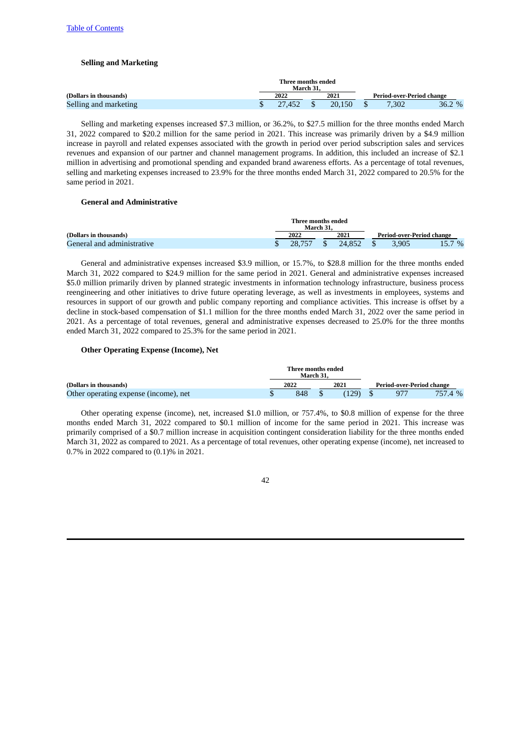### **Selling and Marketing**

|                        |  | Three months ended<br>March 31. |        |                           |       |
|------------------------|--|---------------------------------|--------|---------------------------|-------|
| (Dollars in thousands) |  | 2022                            | 2021   | Period-over-Period change |       |
| Selling and marketing  |  | 27,452                          | 20.150 | 7.302                     | 36.2% |

Selling and marketing expenses increased \$7.3 million, or 36.2%, to \$27.5 million for the three months ended March 31, 2022 compared to \$20.2 million for the same period in 2021. This increase was primarily driven by a \$4.9 million increase in payroll and related expenses associated with the growth in period over period subscription sales and services revenues and expansion of our partner and channel management programs. In addition, this included an increase of \$2.1 million in advertising and promotional spending and expanded brand awareness efforts. As a percentage of total revenues, selling and marketing expenses increased to 23.9% for the three months ended March 31, 2022 compared to 20.5% for the same period in 2021.

#### **General and Administrative**

|                            | Three months ended |           |  |        |  |                           |        |  |  |  |  |
|----------------------------|--------------------|-----------|--|--------|--|---------------------------|--------|--|--|--|--|
|                            |                    | March 31. |  |        |  |                           |        |  |  |  |  |
| (Dollars in thousands)     |                    | 2022      |  | 2021   |  | Period-over-Period change |        |  |  |  |  |
| General and administrative |                    | 28,757    |  | 24.852 |  | 3.905                     | 15.7 % |  |  |  |  |

General and administrative expenses increased \$3.9 million, or 15.7%, to \$28.8 million for the three months ended March 31, 2022 compared to \$24.9 million for the same period in 2021. General and administrative expenses increased \$5.0 million primarily driven by planned strategic investments in information technology infrastructure, business process reengineering and other initiatives to drive future operating leverage, as well as investments in employees, systems and resources in support of our growth and public company reporting and compliance activities. This increase is offset by a decline in stock-based compensation of \$1.1 million for the three months ended March 31, 2022 over the same period in 2021. As a percentage of total revenues, general and administrative expenses decreased to 25.0% for the three months ended March 31, 2022 compared to 25.3% for the same period in 2021.

#### **Other Operating Expense (Income), Net**

|                                       |  | Three months ended<br>March 31. |  |       |  |                           |         |  |
|---------------------------------------|--|---------------------------------|--|-------|--|---------------------------|---------|--|
| (Dollars in thousands)                |  | 2022                            |  | 2021  |  | Period-over-Period change |         |  |
| Other operating expense (income), net |  | 848                             |  | (129) |  | 977                       | 757.4 % |  |

Other operating expense (income), net, increased \$1.0 million, or 757.4%, to \$0.8 million of expense for the three months ended March 31, 2022 compared to \$0.1 million of income for the same period in 2021. This increase was primarily comprised of a \$0.7 million increase in acquisition contingent consideration liability for the three months ended March 31, 2022 as compared to 2021. As a percentage of total revenues, other operating expense (income), net increased to 0.7% in 2022 compared to (0.1)% in 2021.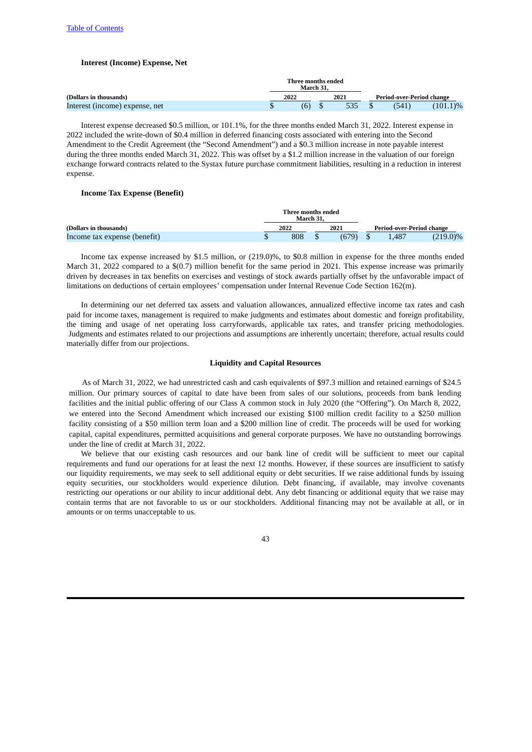### **Interest (Income) Expense, Net**

|                                | Three months ended<br>March 31. |  |  |      |       |             |  |                           |  |
|--------------------------------|---------------------------------|--|--|------|-------|-------------|--|---------------------------|--|
| (Dollars in thousands)         | 2022                            |  |  | 2021 |       |             |  | Period-over-Period change |  |
| Interest (income) expense, net |                                 |  |  | 535  | (541) | $(101.1)\%$ |  |                           |  |

Interest expense decreased \$0.5 million, or 101.1%, for the three months ended March 31, 2022. Interest expense in 2022 included the write-down of \$0.4 million in deferred financing costs associated with entering into the Second Amendment to the Credit Agreement (the "Second Amendment") and a \$0.3 million increase in note payable interest during the three months ended March 31, 2022. This was offset by a \$1.2 million increase in the valuation of our foreign exchange forward contracts related to the Systax future purchase commitment liabilities, resulting in a reduction in interest expense.

### **Income Tax Expense (Benefit)**

|                              | Three months ended | March 31. |       |                           |          |  |
|------------------------------|--------------------|-----------|-------|---------------------------|----------|--|
| (Dollars in thousands)       | 2022               |           | 2021  | Period-over-Period change |          |  |
| Income tax expense (benefit) | 808                |           | (679) | 1.487                     | (219.0)% |  |

Income tax expense increased by \$1.5 million, or (219.0)%, to \$0.8 million in expense for the three months ended March 31, 2022 compared to a \$(0.7) million benefit for the same period in 2021. This expense increase was primarily driven by decreases in tax benefits on exercises and vestings of stock awards partially offset by the unfavorable impact of limitations on deductions of certain employees' compensation under Internal Revenue Code Section 162(m).

In determining our net deferred tax assets and valuation allowances, annualized effective income tax rates and cash paid for income taxes, management is required to make judgments and estimates about domestic and foreign profitability, the timing and usage of net operating loss carryforwards, applicable tax rates, and transfer pricing methodologies. Judgments and estimates related to our projections and assumptions are inherently uncertain; therefore, actual results could materially differ from our projections.

#### **Liquidity and Capital Resources**

As of March 31, 2022, we had unrestricted cash and cash equivalents of \$97.3 million and retained earnings of \$24.5 million. Our primary sources of capital to date have been from sales of our solutions, proceeds from bank lending facilities and the initial public offering of our Class A common stock in July 2020 (the "Offering"). On March 8, 2022, we entered into the Second Amendment which increased our existing \$100 million credit facility to a \$250 million facility consisting of a \$50 million term loan and a \$200 million line of credit. The proceeds will be used for working capital, capital expenditures, permitted acquisitions and general corporate purposes. We have no outstanding borrowings under the line of credit at March 31, 2022.

We believe that our existing cash resources and our bank line of credit will be sufficient to meet our capital requirements and fund our operations for at least the next 12 months. However, if these sources are insufficient to satisfy our liquidity requirements, we may seek to sell additional equity or debt securities. If we raise additional funds by issuing equity securities, our stockholders would experience dilution. Debt financing, if available, may involve covenants restricting our operations or our ability to incur additional debt. Any debt financing or additional equity that we raise may contain terms that are not favorable to us or our stockholders. Additional financing may not be available at all, or in amounts or on terms unacceptable to us.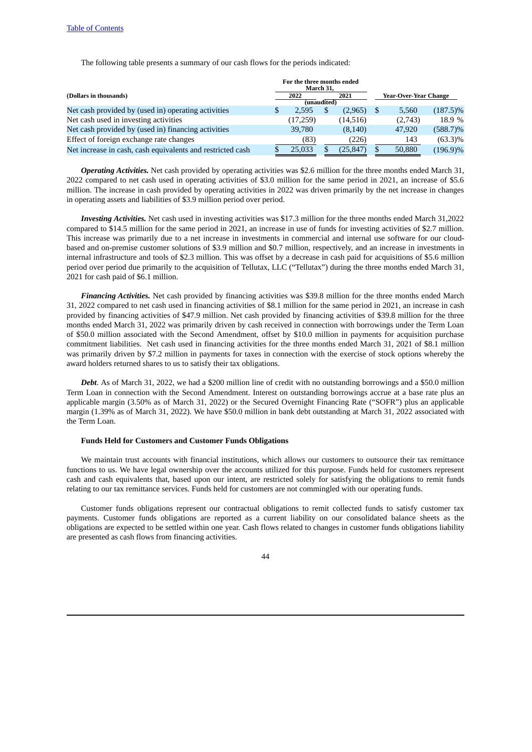The following table presents a summary of our cash flows for the periods indicated:

|                                                            |  | For the three months ended<br>March 31. |     |          |   |                              |             |
|------------------------------------------------------------|--|-----------------------------------------|-----|----------|---|------------------------------|-------------|
| (Dollars in thousands)                                     |  | 2022                                    |     | 2021     |   | <b>Year-Over-Year Change</b> |             |
|                                                            |  | (unaudited)                             |     |          |   |                              |             |
| Net cash provided by (used in) operating activities        |  | 2.595                                   | \$. | (2,965)  | S | 5,560                        | $(187.5)\%$ |
| Net cash used in investing activities                      |  | (17,259)                                |     | (14,516) |   | (2,743)                      | 18.9 %      |
| Net cash provided by (used in) financing activities        |  | 39,780                                  |     | (8, 140) |   | 47,920                       | $(588.7)\%$ |
| Effect of foreign exchange rate changes                    |  | (83)                                    |     | (226)    |   | 143                          | $(63.3)\%$  |
| Net increase in cash, cash equivalents and restricted cash |  | 25.033                                  |     | (25,847) |   | 50,880                       | $(196.9)\%$ |

*Operating Activities.* Net cash provided by operating activities was \$2.6 million for the three months ended March 31, 2022 compared to net cash used in operating activities of \$3.0 million for the same period in 2021, an increase of \$5.6 million. The increase in cash provided by operating activities in 2022 was driven primarily by the net increase in changes in operating assets and liabilities of \$3.9 million period over period.

*Investing Activities.* Net cash used in investing activities was \$17.3 million for the three months ended March 31,2022 compared to \$14.5 million for the same period in 2021, an increase in use of funds for investing activities of \$2.7 million. This increase was primarily due to a net increase in investments in commercial and internal use software for our cloudbased and on-premise customer solutions of \$3.9 million and \$0.7 million, respectively, and an increase in investments in internal infrastructure and tools of \$2.3 million. This was offset by a decrease in cash paid for acquisitions of \$5.6 million period over period due primarily to the acquisition of Tellutax, LLC ("Tellutax") during the three months ended March 31, 2021 for cash paid of \$6.1 million.

*Financing Activities.* Net cash provided by financing activities was \$39.8 million for the three months ended March 31, 2022 compared to net cash used in financing activities of \$8.1 million for the same period in 2021, an increase in cash provided by financing activities of \$47.9 million. Net cash provided by financing activities of \$39.8 million for the three months ended March 31, 2022 was primarily driven by cash received in connection with borrowings under the Term Loan of \$50.0 million associated with the Second Amendment, offset by \$10.0 million in payments for acquisition purchase commitment liabilities. Net cash used in financing activities for the three months ended March 31, 2021 of \$8.1 million was primarily driven by \$7.2 million in payments for taxes in connection with the exercise of stock options whereby the award holders returned shares to us to satisfy their tax obligations.

*Debt*. As of March 31, 2022, we had a \$200 million line of credit with no outstanding borrowings and a \$50.0 million Term Loan in connection with the Second Amendment. Interest on outstanding borrowings accrue at a base rate plus an applicable margin (3.50% as of March 31, 2022) or the Secured Overnight Financing Rate ("SOFR") plus an applicable margin (1.39% as of March 31, 2022). We have \$50.0 million in bank debt outstanding at March 31, 2022 associated with the Term Loan.

#### **Funds Held for Customers and Customer Funds Obligations**

We maintain trust accounts with financial institutions, which allows our customers to outsource their tax remittance functions to us. We have legal ownership over the accounts utilized for this purpose. Funds held for customers represent cash and cash equivalents that, based upon our intent, are restricted solely for satisfying the obligations to remit funds relating to our tax remittance services. Funds held for customers are not commingled with our operating funds.

Customer funds obligations represent our contractual obligations to remit collected funds to satisfy customer tax payments. Customer funds obligations are reported as a current liability on our consolidated balance sheets as the obligations are expected to be settled within one year. Cash flows related to changes in customer funds obligations liability are presented as cash flows from financing activities.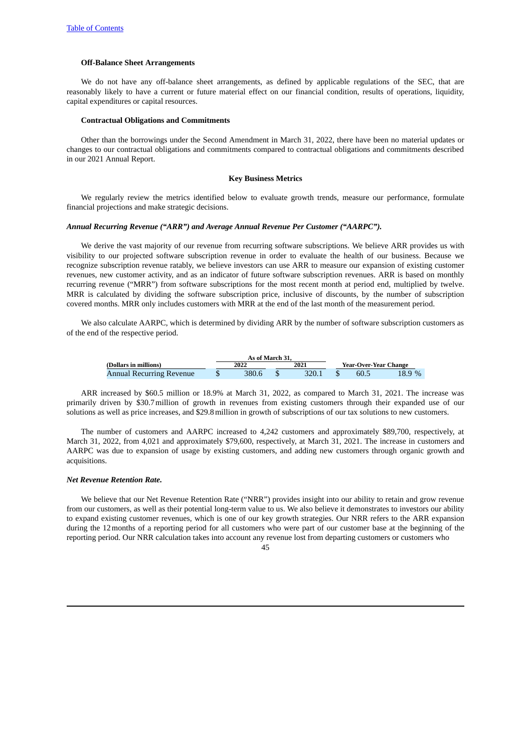### **Off-Balance Sheet Arrangements**

We do not have any off-balance sheet arrangements, as defined by applicable regulations of the SEC, that are reasonably likely to have a current or future material effect on our financial condition, results of operations, liquidity, capital expenditures or capital resources.

#### **Contractual Obligations and Commitments**

Other than the borrowings under the Second Amendment in March 31, 2022, there have been no material updates or changes to our contractual obligations and commitments compared to contractual obligations and commitments described in our 2021 Annual Report.

#### **Key Business Metrics**

We regularly review the metrics identified below to evaluate growth trends, measure our performance, formulate financial projections and make strategic decisions.

#### *Annual Recurring Revenue ("ARR") and Average Annual Revenue Per Customer ("AARPC").*

We derive the vast majority of our revenue from recurring software subscriptions. We believe ARR provides us with visibility to our projected software subscription revenue in order to evaluate the health of our business. Because we recognize subscription revenue ratably, we believe investors can use ARR to measure our expansion of existing customer revenues, new customer activity, and as an indicator of future software subscription revenues. ARR is based on monthly recurring revenue ("MRR") from software subscriptions for the most recent month at period end, multiplied by twelve. MRR is calculated by dividing the software subscription price, inclusive of discounts, by the number of subscription covered months. MRR only includes customers with MRR at the end of the last month of the measurement period.

We also calculate AARPC, which is determined by dividing ARR by the number of software subscription customers as of the end of the respective period.

|                                 | As of March 31. |       |  |                       |       |
|---------------------------------|-----------------|-------|--|-----------------------|-------|
| (Dollars in millions)           | 2022            | 2021  |  | Year-Over-Year Change |       |
| <b>Annual Recurring Revenue</b> | 380.6           | 320.1 |  | 60.5                  | 18.9% |

ARR increased by \$60.5 million or 18.9% at March 31, 2022, as compared to March 31, 2021. The increase was primarily driven by \$30.7million of growth in revenues from existing customers through their expanded use of our solutions as well as price increases, and \$29.8million in growth of subscriptions of our tax solutions to new customers.

The number of customers and AARPC increased to 4,242 customers and approximately \$89,700, respectively, at March 31, 2022, from 4,021 and approximately \$79,600, respectively, at March 31, 2021. The increase in customers and AARPC was due to expansion of usage by existing customers, and adding new customers through organic growth and acquisitions.

### *Net Revenue Retention Rate.*

We believe that our Net Revenue Retention Rate ("NRR") provides insight into our ability to retain and grow revenue from our customers, as well as their potential long-term value to us. We also believe it demonstrates to investors our ability to expand existing customer revenues, which is one of our key growth strategies. Our NRR refers to the ARR expansion during the 12months of a reporting period for all customers who were part of our customer base at the beginning of the reporting period. Our NRR calculation takes into account any revenue lost from departing customers or customers who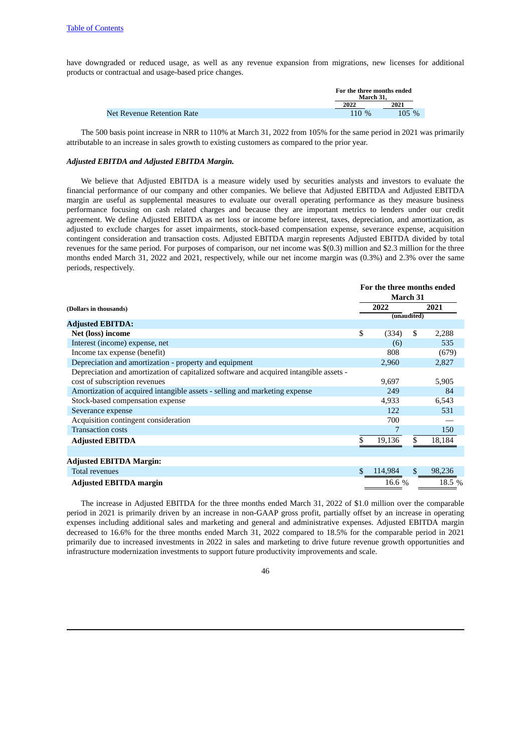have downgraded or reduced usage, as well as any revenue expansion from migrations, new licenses for additional products or contractual and usage-based price changes.

|                            | For the three months ended<br>March 31. |         |
|----------------------------|-----------------------------------------|---------|
|                            | 2022                                    | 2021    |
| Net Revenue Retention Rate | $110\%$                                 | $105\%$ |

The 500 basis point increase in NRR to 110% at March 31, 2022 from 105% for the same period in 2021 was primarily attributable to an increase in sales growth to existing customers as compared to the prior year.

### *Adjusted EBITDA and Adjusted EBITDA Margin.*

We believe that Adjusted EBITDA is a measure widely used by securities analysts and investors to evaluate the financial performance of our company and other companies. We believe that Adjusted EBITDA and Adjusted EBITDA margin are useful as supplemental measures to evaluate our overall operating performance as they measure business performance focusing on cash related charges and because they are important metrics to lenders under our credit agreement. We define Adjusted EBITDA as net loss or income before interest, taxes, depreciation, and amortization, as adjusted to exclude charges for asset impairments, stock-based compensation expense, severance expense, acquisition contingent consideration and transaction costs. Adjusted EBITDA margin represents Adjusted EBITDA divided by total revenues for the same period. For purposes of comparison, our net income was \$(0.3) million and \$2.3 million for the three months ended March 31, 2022 and 2021, respectively, while our net income margin was (0.3%) and 2.3% over the same periods, respectively.

|                                                                                        | For the three months ended |         |                 |        |  |  |  |
|----------------------------------------------------------------------------------------|----------------------------|---------|-----------------|--------|--|--|--|
|                                                                                        |                            |         | <b>March 31</b> |        |  |  |  |
| (Dollars in thousands)                                                                 |                            | 2022    | 2021            |        |  |  |  |
|                                                                                        | (unaudited)                |         |                 |        |  |  |  |
| <b>Adjusted EBITDA:</b>                                                                |                            |         |                 |        |  |  |  |
| Net (loss) income                                                                      | \$                         | (334)   | \$              | 2,288  |  |  |  |
| Interest (income) expense, net                                                         |                            | (6)     |                 | 535    |  |  |  |
| Income tax expense (benefit)                                                           |                            | 808     |                 | (679)  |  |  |  |
| Depreciation and amortization - property and equipment                                 |                            | 2,960   |                 | 2,827  |  |  |  |
| Depreciation and amortization of capitalized software and acquired intangible assets - |                            |         |                 |        |  |  |  |
| cost of subscription revenues                                                          |                            | 9,697   |                 | 5,905  |  |  |  |
| Amortization of acquired intangible assets - selling and marketing expense             |                            | 249     |                 | 84     |  |  |  |
| Stock-based compensation expense                                                       |                            | 4,933   |                 | 6,543  |  |  |  |
| Severance expense                                                                      |                            | 122     |                 | 531    |  |  |  |
| Acquisition contingent consideration                                                   |                            | 700     |                 |        |  |  |  |
| <b>Transaction costs</b>                                                               |                            |         |                 | 150    |  |  |  |
| <b>Adjusted EBITDA</b>                                                                 |                            | 19,136  |                 | 18,184 |  |  |  |
|                                                                                        |                            |         |                 |        |  |  |  |
| <b>Adjusted EBITDA Margin:</b>                                                         |                            |         |                 |        |  |  |  |
| <b>Total revenues</b>                                                                  | \$                         | 114,984 | \$.             | 98,236 |  |  |  |
| <b>Adjusted EBITDA margin</b>                                                          |                            | 16.6 %  |                 | 18.5 % |  |  |  |

The increase in Adjusted EBITDA for the three months ended March 31, 2022 of \$1.0 million over the comparable period in 2021 is primarily driven by an increase in non-GAAP gross profit, partially offset by an increase in operating expenses including additional sales and marketing and general and administrative expenses. Adjusted EBITDA margin decreased to 16.6% for the three months ended March 31, 2022 compared to 18.5% for the comparable period in 2021 primarily due to increased investments in 2022 in sales and marketing to drive future revenue growth opportunities and infrastructure modernization investments to support future productivity improvements and scale.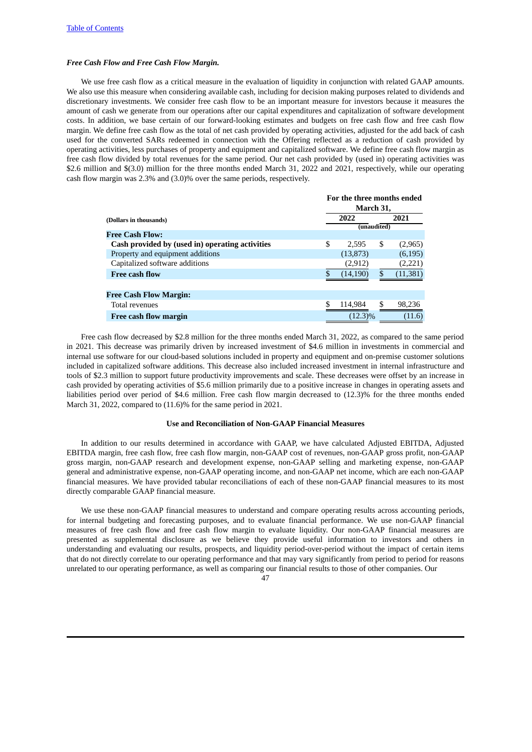### *Free Cash Flow and Free Cash Flow Margin.*

We use free cash flow as a critical measure in the evaluation of liquidity in conjunction with related GAAP amounts. We also use this measure when considering available cash, including for decision making purposes related to dividends and discretionary investments. We consider free cash flow to be an important measure for investors because it measures the amount of cash we generate from our operations after our capital expenditures and capitalization of software development costs. In addition, we base certain of our forward-looking estimates and budgets on free cash flow and free cash flow margin. We define free cash flow as the total of net cash provided by operating activities, adjusted for the add back of cash used for the converted SARs redeemed in connection with the Offering reflected as a reduction of cash provided by operating activities, less purchases of property and equipment and capitalized software. We define free cash flow margin as free cash flow divided by total revenues for the same period. Our net cash provided by (used in) operating activities was \$2.6 million and \$(3.0) million for the three months ended March 31, 2022 and 2021, respectively, while our operating cash flow margin was 2.3% and (3.0)% over the same periods, respectively.

|                                                 | For the three months ended<br>March 31. |            |    |           |  |
|-------------------------------------------------|-----------------------------------------|------------|----|-----------|--|
| (Dollars in thousands)                          |                                         | 2022       |    | 2021      |  |
| <b>Free Cash Flow:</b>                          | (unaudited)                             |            |    |           |  |
| Cash provided by (used in) operating activities | \$                                      | 2.595      | S  | (2,965)   |  |
| Property and equipment additions                |                                         | (13, 873)  |    | (6, 195)  |  |
| Capitalized software additions                  |                                         | (2, 912)   |    | (2,221)   |  |
| <b>Free cash flow</b>                           |                                         | (14, 190)  | \$ | (11, 381) |  |
|                                                 |                                         |            |    |           |  |
| <b>Free Cash Flow Margin:</b>                   |                                         |            |    |           |  |
| Total revenues                                  | \$                                      | 114,984    | S  | 98,236    |  |
| Free cash flow margin                           |                                         | $(12.3)\%$ |    | (11.6)    |  |

Free cash flow decreased by \$2.8 million for the three months ended March 31, 2022, as compared to the same period in 2021. This decrease was primarily driven by increased investment of \$4.6 million in investments in commercial and internal use software for our cloud-based solutions included in property and equipment and on-premise customer solutions included in capitalized software additions. This decrease also included increased investment in internal infrastructure and tools of \$2.3 million to support future productivity improvements and scale. These decreases were offset by an increase in cash provided by operating activities of \$5.6 million primarily due to a positive increase in changes in operating assets and liabilities period over period of \$4.6 million. Free cash flow margin decreased to (12.3)% for the three months ended March 31, 2022, compared to (11.6)% for the same period in 2021.

### **Use and Reconciliation of Non-GAAP Financial Measures**

In addition to our results determined in accordance with GAAP, we have calculated Adjusted EBITDA, Adjusted EBITDA margin, free cash flow, free cash flow margin, non-GAAP cost of revenues, non-GAAP gross profit, non-GAAP gross margin, non-GAAP research and development expense, non-GAAP selling and marketing expense, non-GAAP general and administrative expense, non-GAAP operating income, and non-GAAP net income, which are each non-GAAP financial measures. We have provided tabular reconciliations of each of these non-GAAP financial measures to its most directly comparable GAAP financial measure.

We use these non-GAAP financial measures to understand and compare operating results across accounting periods, for internal budgeting and forecasting purposes, and to evaluate financial performance. We use non-GAAP financial measures of free cash flow and free cash flow margin to evaluate liquidity. Our non-GAAP financial measures are presented as supplemental disclosure as we believe they provide useful information to investors and others in understanding and evaluating our results, prospects, and liquidity period-over-period without the impact of certain items that do not directly correlate to our operating performance and that may vary significantly from period to period for reasons unrelated to our operating performance, as well as comparing our financial results to those of other companies. Our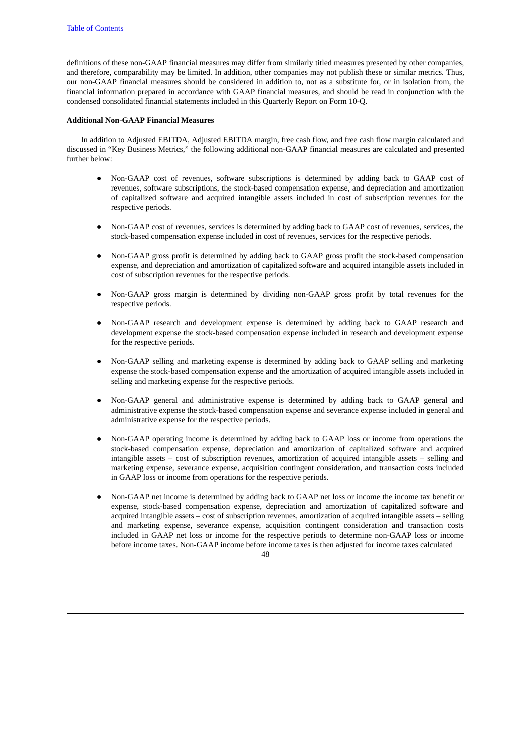definitions of these non-GAAP financial measures may differ from similarly titled measures presented by other companies, and therefore, comparability may be limited. In addition, other companies may not publish these or similar metrics. Thus, our non-GAAP financial measures should be considered in addition to, not as a substitute for, or in isolation from, the financial information prepared in accordance with GAAP financial measures, and should be read in conjunction with the condensed consolidated financial statements included in this Quarterly Report on Form 10-Q.

#### **Additional Non-GAAP Financial Measures**

In addition to Adjusted EBITDA, Adjusted EBITDA margin, free cash flow, and free cash flow margin calculated and discussed in "Key Business Metrics," the following additional non-GAAP financial measures are calculated and presented further below:

- Non-GAAP cost of revenues, software subscriptions is determined by adding back to GAAP cost of revenues, software subscriptions, the stock-based compensation expense, and depreciation and amortization of capitalized software and acquired intangible assets included in cost of subscription revenues for the respective periods.
- Non-GAAP cost of revenues, services is determined by adding back to GAAP cost of revenues, services, the stock-based compensation expense included in cost of revenues, services for the respective periods.
- Non-GAAP gross profit is determined by adding back to GAAP gross profit the stock-based compensation expense, and depreciation and amortization of capitalized software and acquired intangible assets included in cost of subscription revenues for the respective periods.
- Non-GAAP gross margin is determined by dividing non-GAAP gross profit by total revenues for the respective periods.
- Non-GAAP research and development expense is determined by adding back to GAAP research and development expense the stock-based compensation expense included in research and development expense for the respective periods.
- Non-GAAP selling and marketing expense is determined by adding back to GAAP selling and marketing expense the stock-based compensation expense and the amortization of acquired intangible assets included in selling and marketing expense for the respective periods.
- Non-GAAP general and administrative expense is determined by adding back to GAAP general and administrative expense the stock-based compensation expense and severance expense included in general and administrative expense for the respective periods.
- Non-GAAP operating income is determined by adding back to GAAP loss or income from operations the stock-based compensation expense, depreciation and amortization of capitalized software and acquired intangible assets – cost of subscription revenues, amortization of acquired intangible assets – selling and marketing expense, severance expense, acquisition contingent consideration, and transaction costs included in GAAP loss or income from operations for the respective periods.
- Non-GAAP net income is determined by adding back to GAAP net loss or income the income tax benefit or expense, stock-based compensation expense, depreciation and amortization of capitalized software and acquired intangible assets – cost of subscription revenues, amortization of acquired intangible assets – selling and marketing expense, severance expense, acquisition contingent consideration and transaction costs included in GAAP net loss or income for the respective periods to determine non-GAAP loss or income before income taxes. Non-GAAP income before income taxes is then adjusted for income taxes calculated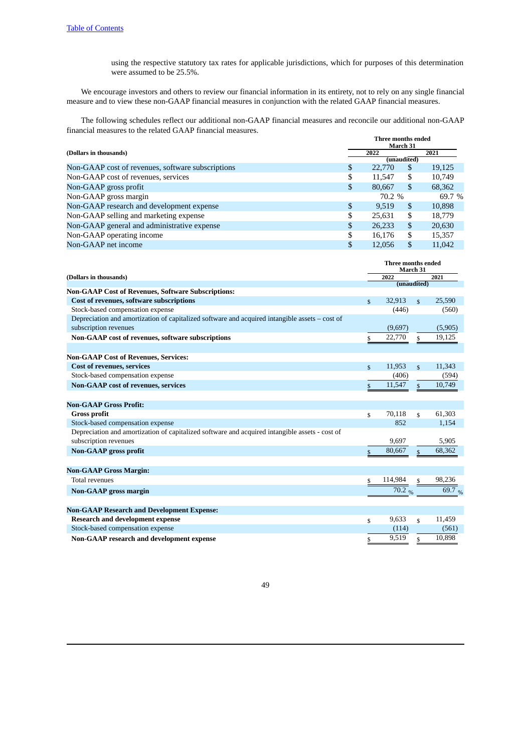using the respective statutory tax rates for applicable jurisdictions, which for purposes of this determination were assumed to be 25.5%.

We encourage investors and others to review our financial information in its entirety, not to rely on any single financial measure and to view these non-GAAP financial measures in conjunction with the related GAAP financial measures.

The following schedules reflect our additional non-GAAP financial measures and reconcile our additional non-GAAP financial measures to the related GAAP financial measures.

|                                                   |    | Three months ended<br>March 31 |             |        |  |  |  |  |
|---------------------------------------------------|----|--------------------------------|-------------|--------|--|--|--|--|
| (Dollars in thousands)                            |    | 2022                           |             | 2021   |  |  |  |  |
|                                                   |    |                                | (unaudited) |        |  |  |  |  |
| Non-GAAP cost of revenues, software subscriptions | S  | 22,770                         | \$          | 19,125 |  |  |  |  |
| Non-GAAP cost of revenues, services               | S  | 11,547                         | \$          | 10,749 |  |  |  |  |
| Non-GAAP gross profit                             | S. | 80,667                         | \$          | 68,362 |  |  |  |  |
| Non-GAAP gross margin                             |    | 70.2 %                         |             | 69.7 % |  |  |  |  |
| Non-GAAP research and development expense         | \$ | 9.519                          | \$          | 10,898 |  |  |  |  |
| Non-GAAP selling and marketing expense            | \$ | 25.631                         | \$          | 18,779 |  |  |  |  |
| Non-GAAP general and administrative expense       | \$ | 26,233                         | \$          | 20,630 |  |  |  |  |
| Non-GAAP operating income                         | \$ | 16.176                         | \$          | 15,357 |  |  |  |  |
| Non-GAAP net income                               |    | 12.056                         | \$          | 11,042 |  |  |  |  |

|                                                                                                |                    | Three months ended<br>March 31 |               |         |  |  |  |
|------------------------------------------------------------------------------------------------|--------------------|--------------------------------|---------------|---------|--|--|--|
| (Dollars in thousands)                                                                         |                    | 2022                           |               | 2021    |  |  |  |
|                                                                                                |                    | (unaudited)                    |               |         |  |  |  |
| <b>Non-GAAP Cost of Revenues, Software Subscriptions:</b>                                      |                    |                                |               |         |  |  |  |
| Cost of revenues, software subscriptions                                                       | $\mathbf{\$}$      | 32,913                         | $\mathbf{s}$  | 25,590  |  |  |  |
| Stock-based compensation expense                                                               |                    | (446)                          |               | (560)   |  |  |  |
| Depreciation and amortization of capitalized software and acquired intangible assets – cost of |                    |                                |               |         |  |  |  |
| subscription revenues                                                                          |                    | (9,697)                        |               | (5,905) |  |  |  |
| Non-GAAP cost of revenues, software subscriptions                                              | \$                 | 22,770                         | \$            | 19,125  |  |  |  |
|                                                                                                |                    |                                |               |         |  |  |  |
| <b>Non-GAAP Cost of Revenues, Services:</b>                                                    |                    |                                |               |         |  |  |  |
| <b>Cost of revenues, services</b>                                                              | $\mathbf{s}$       | 11,953                         | $\mathbf{s}$  | 11,343  |  |  |  |
| Stock-based compensation expense                                                               |                    | (406)                          |               | (594)   |  |  |  |
| <b>Non-GAAP</b> cost of revenues, services                                                     | \$                 | 11,547                         | \$            | 10,749  |  |  |  |
|                                                                                                |                    |                                |               |         |  |  |  |
| <b>Non-GAAP Gross Profit:</b>                                                                  |                    |                                |               |         |  |  |  |
| <b>Gross profit</b>                                                                            | $\mathbf{\hat{S}}$ | 70,118                         | \$            | 61,303  |  |  |  |
| Stock-based compensation expense                                                               |                    | 852                            |               | 1,154   |  |  |  |
| Depreciation and amortization of capitalized software and acquired intangible assets - cost of |                    |                                |               |         |  |  |  |
| subscription revenues                                                                          |                    | 9.697                          |               | 5,905   |  |  |  |
| <b>Non-GAAP</b> gross profit                                                                   |                    | 80,667                         | $\mathbf{\$}$ | 68,362  |  |  |  |
| <b>Non-GAAP Gross Margin:</b>                                                                  |                    |                                |               |         |  |  |  |
| <b>Total revenues</b>                                                                          | \$.                | 114,984                        | \$            | 98,236  |  |  |  |
|                                                                                                |                    |                                |               |         |  |  |  |
| <b>Non-GAAP</b> gross margin                                                                   |                    | 70.2 $\frac{9}{6}$             |               | 69.7 %  |  |  |  |
| <b>Non-GAAP Research and Development Expense:</b>                                              |                    |                                |               |         |  |  |  |
| <b>Research and development expense</b>                                                        | $\mathbf{\hat{S}}$ | 9,633                          | $\mathbf{s}$  | 11,459  |  |  |  |
| Stock-based compensation expense                                                               |                    | (114)                          |               | (561)   |  |  |  |
| Non-GAAP research and development expense                                                      | \$                 | 9,519                          | \$            | 10,898  |  |  |  |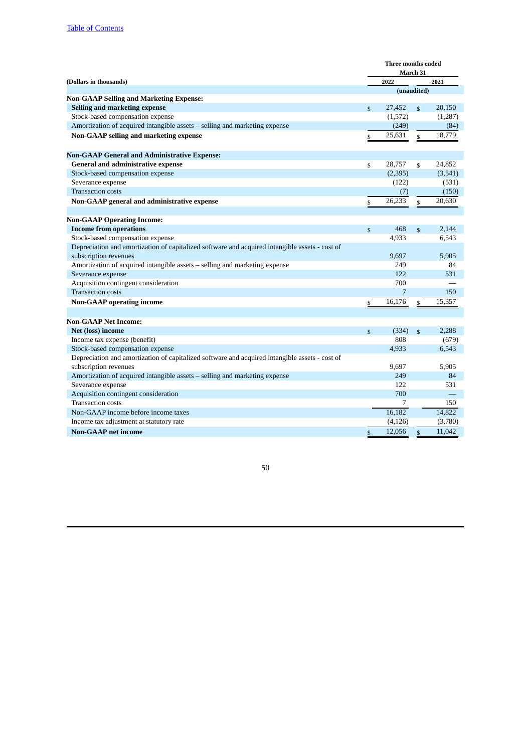|                                                                                                |              | <b>Three months ended</b><br>March 31 |                    |         |  |  |
|------------------------------------------------------------------------------------------------|--------------|---------------------------------------|--------------------|---------|--|--|
| (Dollars in thousands)                                                                         | 2022         |                                       | 2021               |         |  |  |
|                                                                                                |              |                                       | (unaudited)        |         |  |  |
| <b>Non-GAAP Selling and Marketing Expense:</b>                                                 |              |                                       |                    |         |  |  |
| Selling and marketing expense                                                                  | $\mathbf{s}$ | 27,452                                | $\mathbf{\hat{S}}$ | 20,150  |  |  |
| Stock-based compensation expense                                                               |              | (1,572)                               |                    | (1,287) |  |  |
| Amortization of acquired intangible assets - selling and marketing expense                     |              | (249)                                 |                    | (84)    |  |  |
| Non-GAAP selling and marketing expense                                                         | \$           | 25,631                                | \$                 | 18,779  |  |  |
| <b>Non-GAAP General and Administrative Expense:</b>                                            |              |                                       |                    |         |  |  |
| General and administrative expense                                                             | \$           | 28,757                                | \$                 | 24,852  |  |  |
| Stock-based compensation expense                                                               |              | (2, 395)                              |                    | (3,541) |  |  |
| Severance expense                                                                              |              | (122)                                 |                    | (531)   |  |  |
| <b>Transaction costs</b>                                                                       |              | (7)                                   |                    | (150)   |  |  |
| Non-GAAP general and administrative expense                                                    | \$           | 26,233                                | \$                 | 20,630  |  |  |
| <b>Non-GAAP Operating Income:</b>                                                              |              |                                       |                    |         |  |  |
| <b>Income from operations</b>                                                                  | \$           | 468                                   | $\mathbf{\$}$      | 2,144   |  |  |
| Stock-based compensation expense                                                               |              | 4,933                                 |                    | 6,543   |  |  |
| Depreciation and amortization of capitalized software and acquired intangible assets - cost of |              |                                       |                    |         |  |  |
| subscription revenues                                                                          |              | 9,697                                 |                    | 5,905   |  |  |
| Amortization of acquired intangible assets - selling and marketing expense                     |              | 249                                   |                    | 84      |  |  |
| Severance expense                                                                              |              | 122                                   |                    | 531     |  |  |
| Acquisition contingent consideration                                                           |              | 700                                   |                    |         |  |  |
| <b>Transaction costs</b>                                                                       |              | 7                                     |                    | 150     |  |  |
| <b>Non-GAAP</b> operating income                                                               | \$           | 16,176                                | \$                 | 15,357  |  |  |
| <b>Non-GAAP Net Income:</b>                                                                    |              |                                       |                    |         |  |  |
| Net (loss) income                                                                              |              | (334)                                 | $\mathbf{\$}$      | 2,288   |  |  |
| Income tax expense (benefit)                                                                   | \$           | 808                                   |                    | (679)   |  |  |
| Stock-based compensation expense                                                               |              | 4,933                                 |                    | 6,543   |  |  |
| Depreciation and amortization of capitalized software and acquired intangible assets - cost of |              |                                       |                    |         |  |  |
| subscription revenues                                                                          |              | 9,697                                 |                    | 5,905   |  |  |
| Amortization of acquired intangible assets – selling and marketing expense                     |              | 249                                   |                    | 84      |  |  |
| Severance expense                                                                              |              | 122                                   |                    | 531     |  |  |
| Acquisition contingent consideration                                                           |              | 700                                   |                    |         |  |  |
| <b>Transaction costs</b>                                                                       |              | 7                                     |                    | 150     |  |  |
| Non-GAAP income before income taxes                                                            |              | 16,182                                |                    | 14,822  |  |  |
| Income tax adjustment at statutory rate                                                        |              | (4, 126)                              |                    | (3,780) |  |  |
| <b>Non-GAAP</b> net income                                                                     |              | 12,056                                |                    | 11,042  |  |  |
|                                                                                                | \$           |                                       | \$                 |         |  |  |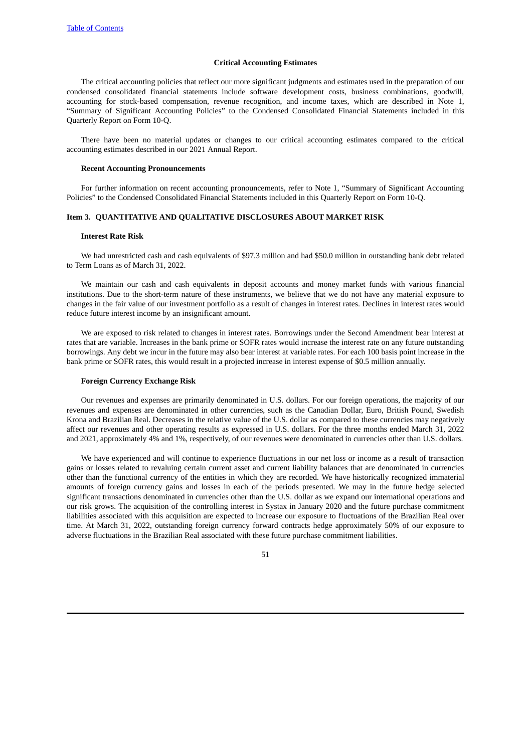#### **Critical Accounting Estimates**

The critical accounting policies that reflect our more significant judgments and estimates used in the preparation of our condensed consolidated financial statements include software development costs, business combinations, goodwill, accounting for stock-based compensation, revenue recognition, and income taxes, which are described in Note 1, "Summary of Significant Accounting Policies" to the Condensed Consolidated Financial Statements included in this Quarterly Report on Form 10-Q.

There have been no material updates or changes to our critical accounting estimates compared to the critical accounting estimates described in our 2021 Annual Report.

#### **Recent Accounting Pronouncements**

For further information on recent accounting pronouncements, refer to Note 1, "Summary of Significant Accounting Policies" to the Condensed Consolidated Financial Statements included in this Quarterly Report on Form 10-Q.

### <span id="page-50-0"></span>**Item 3. QUANTITATIVE AND QUALITATIVE DISCLOSURES ABOUT MARKET RISK**

#### **Interest Rate Risk**

We had unrestricted cash and cash equivalents of \$97.3 million and had \$50.0 million in outstanding bank debt related to Term Loans as of March 31, 2022.

We maintain our cash and cash equivalents in deposit accounts and money market funds with various financial institutions. Due to the short-term nature of these instruments, we believe that we do not have any material exposure to changes in the fair value of our investment portfolio as a result of changes in interest rates. Declines in interest rates would reduce future interest income by an insignificant amount.

We are exposed to risk related to changes in interest rates. Borrowings under the Second Amendment bear interest at rates that are variable. Increases in the bank prime or SOFR rates would increase the interest rate on any future outstanding borrowings. Any debt we incur in the future may also bear interest at variable rates. For each 100 basis point increase in the bank prime or SOFR rates, this would result in a projected increase in interest expense of \$0.5 million annually.

#### **Foreign Currency Exchange Risk**

Our revenues and expenses are primarily denominated in U.S. dollars. For our foreign operations, the majority of our revenues and expenses are denominated in other currencies, such as the Canadian Dollar, Euro, British Pound, Swedish Krona and Brazilian Real. Decreases in the relative value of the U.S. dollar as compared to these currencies may negatively affect our revenues and other operating results as expressed in U.S. dollars. For the three months ended March 31, 2022 and 2021, approximately 4% and 1%, respectively, of our revenues were denominated in currencies other than U.S. dollars.

We have experienced and will continue to experience fluctuations in our net loss or income as a result of transaction gains or losses related to revaluing certain current asset and current liability balances that are denominated in currencies other than the functional currency of the entities in which they are recorded. We have historically recognized immaterial amounts of foreign currency gains and losses in each of the periods presented. We may in the future hedge selected significant transactions denominated in currencies other than the U.S. dollar as we expand our international operations and our risk grows. The acquisition of the controlling interest in Systax in January 2020 and the future purchase commitment liabilities associated with this acquisition are expected to increase our exposure to fluctuations of the Brazilian Real over time. At March 31, 2022, outstanding foreign currency forward contracts hedge approximately 50% of our exposure to adverse fluctuations in the Brazilian Real associated with these future purchase commitment liabilities.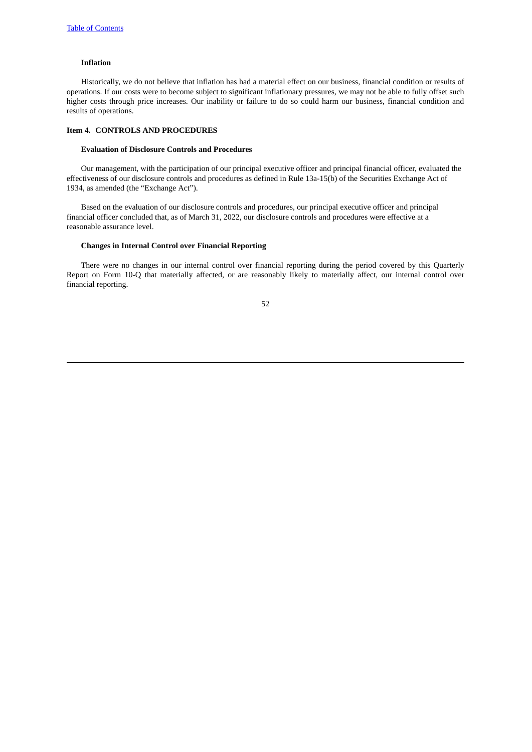### **Inflation**

Historically, we do not believe that inflation has had a material effect on our business, financial condition or results of operations. If our costs were to become subject to significant inflationary pressures, we may not be able to fully offset such higher costs through price increases. Our inability or failure to do so could harm our business, financial condition and results of operations.

#### <span id="page-51-0"></span>**Item 4. CONTROLS AND PROCEDURES**

#### **Evaluation of Disclosure Controls and Procedures**

Our management, with the participation of our principal executive officer and principal financial officer, evaluated the effectiveness of our disclosure controls and procedures as defined in Rule 13a-15(b) of the Securities Exchange Act of 1934, as amended (the "Exchange Act").

Based on the evaluation of our disclosure controls and procedures, our principal executive officer and principal financial officer concluded that, as of March 31, 2022, our disclosure controls and procedures were effective at a reasonable assurance level.

### **Changes in Internal Control over Financial Reporting**

There were no changes in our internal control over financial reporting during the period covered by this Quarterly Report on Form 10-Q that materially affected, or are reasonably likely to materially affect, our internal control over financial reporting.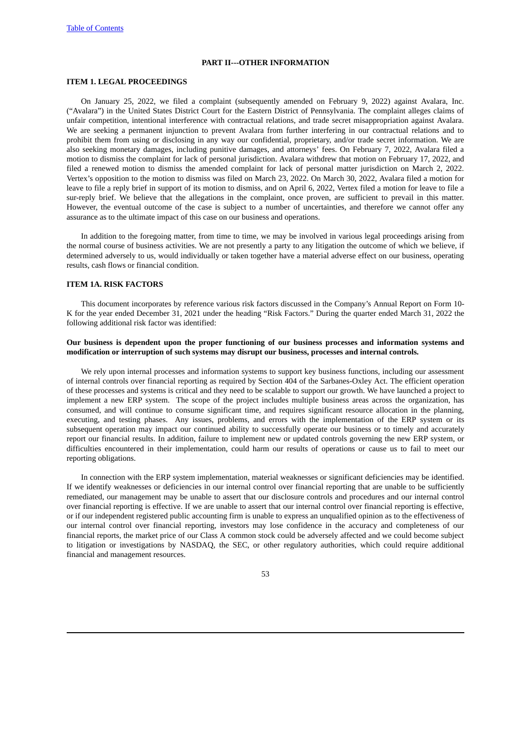### **PART II---OTHER INFORMATION**

### <span id="page-52-1"></span><span id="page-52-0"></span>**ITEM 1. LEGAL PROCEEDINGS**

On January 25, 2022, we filed a complaint (subsequently amended on February 9, 2022) against Avalara, Inc. ("Avalara") in the United States District Court for the Eastern District of Pennsylvania. The complaint alleges claims of unfair competition, intentional interference with contractual relations, and trade secret misappropriation against Avalara. We are seeking a permanent injunction to prevent Avalara from further interfering in our contractual relations and to prohibit them from using or disclosing in any way our confidential, proprietary, and/or trade secret information. We are also seeking monetary damages, including punitive damages, and attorneys' fees. On February 7, 2022, Avalara filed a motion to dismiss the complaint for lack of personal jurisdiction. Avalara withdrew that motion on February 17, 2022, and filed a renewed motion to dismiss the amended complaint for lack of personal matter jurisdiction on March 2, 2022. Vertex's opposition to the motion to dismiss was filed on March 23, 2022. On March 30, 2022, Avalara filed a motion for leave to file a reply brief in support of its motion to dismiss, and on April 6, 2022, Vertex filed a motion for leave to file a sur-reply brief. We believe that the allegations in the complaint, once proven, are sufficient to prevail in this matter. However, the eventual outcome of the case is subject to a number of uncertainties, and therefore we cannot offer any assurance as to the ultimate impact of this case on our business and operations.

In addition to the foregoing matter, from time to time, we may be involved in various legal proceedings arising from the normal course of business activities. We are not presently a party to any litigation the outcome of which we believe, if determined adversely to us, would individually or taken together have a material adverse effect on our business, operating results, cash flows or financial condition.

#### <span id="page-52-2"></span>**ITEM 1A. RISK FACTORS**

This document incorporates by reference various risk factors discussed in the Company's Annual Report on Form 10- K for the year ended December 31, 2021 under the heading "Risk Factors." During the quarter ended March 31, 2022 the following additional risk factor was identified:

### **Our business is dependent upon the proper functioning of our business processes and information systems and modification or interruption of such systems may disrupt our business, processes and internal controls.**

We rely upon internal processes and information systems to support key business functions, including our assessment of internal controls over financial reporting as required by Section 404 of the Sarbanes-Oxley Act. The efficient operation of these processes and systems is critical and they need to be scalable to support our growth. We have launched a project to implement a new ERP system. The scope of the project includes multiple business areas across the organization, has consumed, and will continue to consume significant time, and requires significant resource allocation in the planning, executing, and testing phases. Any issues, problems, and errors with the implementation of the ERP system or its subsequent operation may impact our continued ability to successfully operate our business or to timely and accurately report our financial results. In addition, failure to implement new or updated controls governing the new ERP system, or difficulties encountered in their implementation, could harm our results of operations or cause us to fail to meet our reporting obligations.

In connection with the ERP system implementation, material weaknesses or significant deficiencies may be identified. If we identify weaknesses or deficiencies in our internal control over financial reporting that are unable to be sufficiently remediated, our management may be unable to assert that our disclosure controls and procedures and our internal control over financial reporting is effective. If we are unable to assert that our internal control over financial reporting is effective, or if our independent registered public accounting firm is unable to express an unqualified opinion as to the effectiveness of our internal control over financial reporting, investors may lose confidence in the accuracy and completeness of our financial reports, the market price of our Class A common stock could be adversely affected and we could become subject to litigation or investigations by NASDAQ, the SEC, or other regulatory authorities, which could require additional financial and management resources.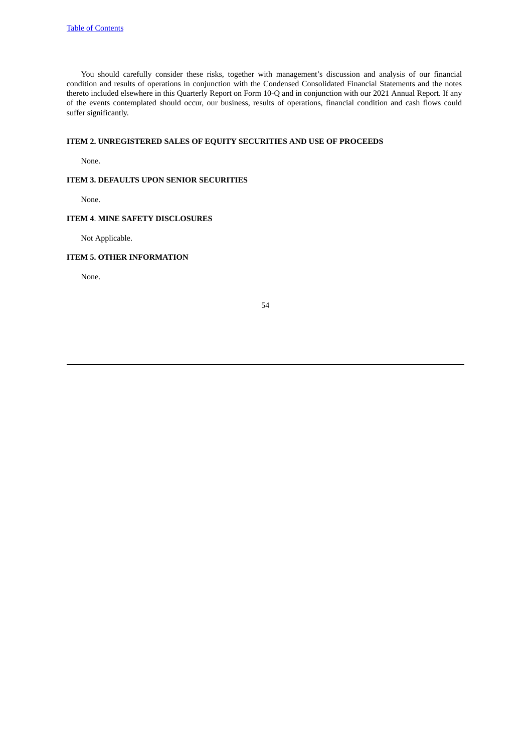You should carefully consider these risks, together with management's discussion and analysis of our financial condition and results of operations in conjunction with the Condensed Consolidated Financial Statements and the notes thereto included elsewhere in this Quarterly Report on Form 10-Q and in conjunction with our 2021 Annual Report. If any of the events contemplated should occur, our business, results of operations, financial condition and cash flows could suffer significantly.

### <span id="page-53-0"></span>**ITEM 2. UNREGISTERED SALES OF EQUITY SECURITIES AND USE OF PROCEEDS**

None.

### <span id="page-53-1"></span>**ITEM 3. DEFAULTS UPON SENIOR SECURITIES**

None.

### <span id="page-53-2"></span>**ITEM 4**. **MINE SAFETY DISCLOSURES**

Not Applicable.

### <span id="page-53-3"></span>**ITEM 5. OTHER INFORMATION**

None.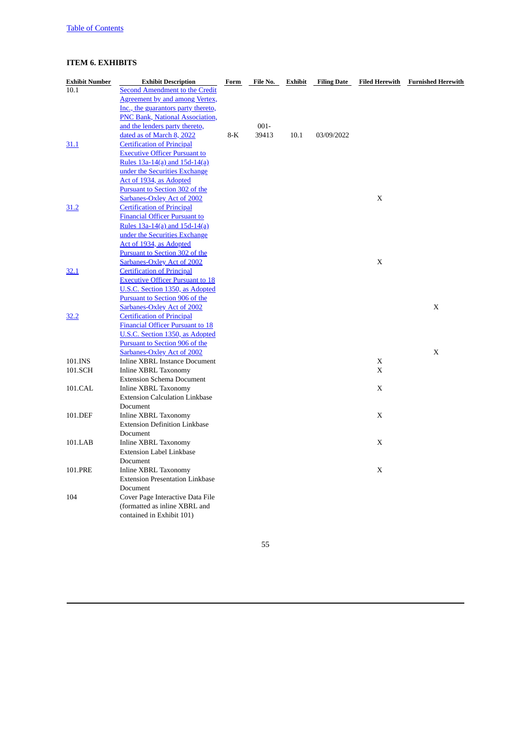# <span id="page-54-0"></span>**ITEM 6. EXHIBITS**

| <b>Exhibit Number</b> | <b>Exhibit Description</b>              | Form  | File No. | Exhibit | <b>Filing Date</b> | <b>Filed Herewith</b> | <b>Furnished Herewith</b> |
|-----------------------|-----------------------------------------|-------|----------|---------|--------------------|-----------------------|---------------------------|
| 10.1                  | <b>Second Amendment to the Credit</b>   |       |          |         |                    |                       |                           |
|                       | Agreement by and among Vertex,          |       |          |         |                    |                       |                           |
|                       | Inc., the guarantors party thereto,     |       |          |         |                    |                       |                           |
|                       | PNC Bank, National Association,         |       |          |         |                    |                       |                           |
|                       | and the lenders party thereto,          |       | $001 -$  |         |                    |                       |                           |
|                       | dated as of March 8, 2022               | $8-K$ | 39413    | 10.1    | 03/09/2022         |                       |                           |
| <u>31.1</u>           | <b>Certification of Principal</b>       |       |          |         |                    |                       |                           |
|                       | <b>Executive Officer Pursuant to</b>    |       |          |         |                    |                       |                           |
|                       | Rules 13a-14(a) and 15d-14(a)           |       |          |         |                    |                       |                           |
|                       | under the Securities Exchange           |       |          |         |                    |                       |                           |
|                       | Act of 1934, as Adopted                 |       |          |         |                    |                       |                           |
|                       | Pursuant to Section 302 of the          |       |          |         |                    |                       |                           |
|                       | Sarbanes-Oxley Act of 2002              |       |          |         |                    | X                     |                           |
| <u>31.2</u>           | <b>Certification of Principal</b>       |       |          |         |                    |                       |                           |
|                       | <b>Financial Officer Pursuant to</b>    |       |          |         |                    |                       |                           |
|                       | Rules 13a-14(a) and 15d-14(a)           |       |          |         |                    |                       |                           |
|                       | under the Securities Exchange           |       |          |         |                    |                       |                           |
|                       | Act of 1934, as Adopted                 |       |          |         |                    |                       |                           |
|                       | Pursuant to Section 302 of the          |       |          |         |                    |                       |                           |
|                       | Sarbanes-Oxley Act of 2002              |       |          |         |                    | X                     |                           |
| 32.1                  | <b>Certification of Principal</b>       |       |          |         |                    |                       |                           |
|                       | <b>Executive Officer Pursuant to 18</b> |       |          |         |                    |                       |                           |
|                       | U.S.C. Section 1350, as Adopted         |       |          |         |                    |                       |                           |
|                       | Pursuant to Section 906 of the          |       |          |         |                    |                       |                           |
|                       | <b>Sarbanes-Oxley Act of 2002</b>       |       |          |         |                    |                       | X                         |
| 32.2                  | <b>Certification of Principal</b>       |       |          |         |                    |                       |                           |
|                       | <b>Financial Officer Pursuant to 18</b> |       |          |         |                    |                       |                           |
|                       | U.S.C. Section 1350, as Adopted         |       |          |         |                    |                       |                           |
|                       | <b>Pursuant to Section 906 of the</b>   |       |          |         |                    |                       |                           |
|                       | Sarbanes-Oxley Act of 2002              |       |          |         |                    |                       | X                         |
| 101.INS               | <b>Inline XBRL Instance Document</b>    |       |          |         |                    | X                     |                           |
| 101.SCH               | Inline XBRL Taxonomy                    |       |          |         |                    | $\mathbf X$           |                           |
|                       | <b>Extension Schema Document</b>        |       |          |         |                    |                       |                           |
| 101.CAL               | Inline XBRL Taxonomy                    |       |          |         |                    | X                     |                           |
|                       | <b>Extension Calculation Linkbase</b>   |       |          |         |                    |                       |                           |
|                       | Document                                |       |          |         |                    |                       |                           |
|                       |                                         |       |          |         |                    | X                     |                           |
| 101.DEF               | Inline XBRL Taxonomy                    |       |          |         |                    |                       |                           |
|                       | <b>Extension Definition Linkbase</b>    |       |          |         |                    |                       |                           |
|                       | Document                                |       |          |         |                    |                       |                           |
| 101.LAB               | <b>Inline XBRL Taxonomy</b>             |       |          |         |                    | X                     |                           |
|                       | <b>Extension Label Linkbase</b>         |       |          |         |                    |                       |                           |
|                       | Document                                |       |          |         |                    |                       |                           |
| 101.PRE               | Inline XBRL Taxonomy                    |       |          |         |                    | X                     |                           |
|                       | <b>Extension Presentation Linkbase</b>  |       |          |         |                    |                       |                           |
|                       | Document                                |       |          |         |                    |                       |                           |
| 104                   | Cover Page Interactive Data File        |       |          |         |                    |                       |                           |
|                       | (formatted as inline XBRL and           |       |          |         |                    |                       |                           |
|                       | contained in Exhibit 101)               |       |          |         |                    |                       |                           |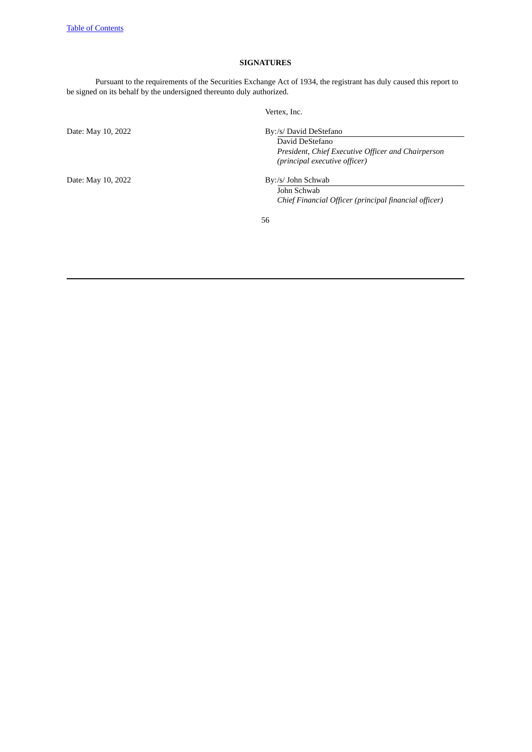### **SIGNATURES**

<span id="page-55-0"></span>Pursuant to the requirements of the Securities Exchange Act of 1934, the registrant has duly caused this report to be signed on its behalf by the undersigned thereunto duly authorized.

Vertex, Inc.

Date: May 10, 2022 By:/s/ John Schwab

Date: May 10, 2022 By:/s/ David DeStefano

David DeStefano *President, Chief Executive Officer and Chairperson (principal executive officer)*

John Schwab *Chief Financial Officer (principal financial officer)*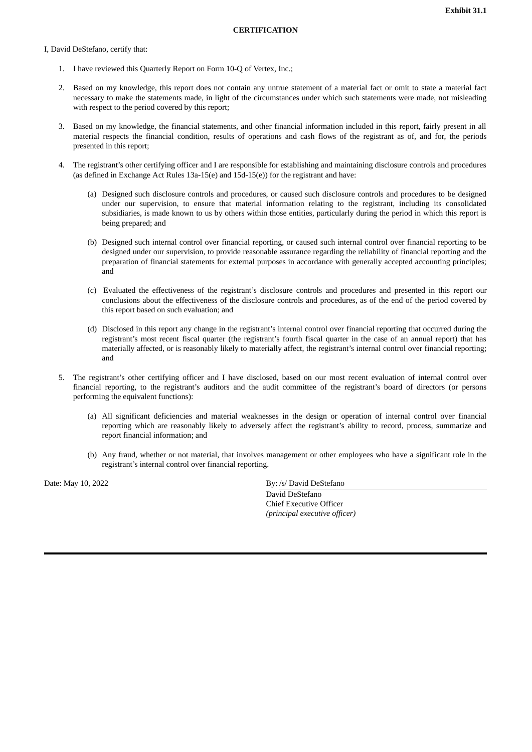#### <span id="page-56-0"></span>I, David DeStefano, certify that:

- 1. I have reviewed this Quarterly Report on Form 10-Q of Vertex, Inc.;
- 2. Based on my knowledge, this report does not contain any untrue statement of a material fact or omit to state a material fact necessary to make the statements made, in light of the circumstances under which such statements were made, not misleading with respect to the period covered by this report;
- 3. Based on my knowledge, the financial statements, and other financial information included in this report, fairly present in all material respects the financial condition, results of operations and cash flows of the registrant as of, and for, the periods presented in this report;
- 4. The registrant's other certifying officer and I are responsible for establishing and maintaining disclosure controls and procedures (as defined in Exchange Act Rules 13a-15(e) and 15d-15(e)) for the registrant and have:
	- (a) Designed such disclosure controls and procedures, or caused such disclosure controls and procedures to be designed under our supervision, to ensure that material information relating to the registrant, including its consolidated subsidiaries, is made known to us by others within those entities, particularly during the period in which this report is being prepared; and
	- (b) Designed such internal control over financial reporting, or caused such internal control over financial reporting to be designed under our supervision, to provide reasonable assurance regarding the reliability of financial reporting and the preparation of financial statements for external purposes in accordance with generally accepted accounting principles; and
	- (c) Evaluated the effectiveness of the registrant's disclosure controls and procedures and presented in this report our conclusions about the effectiveness of the disclosure controls and procedures, as of the end of the period covered by this report based on such evaluation; and
	- (d) Disclosed in this report any change in the registrant's internal control over financial reporting that occurred during the registrant's most recent fiscal quarter (the registrant's fourth fiscal quarter in the case of an annual report) that has materially affected, or is reasonably likely to materially affect, the registrant's internal control over financial reporting; and
- 5. The registrant's other certifying officer and I have disclosed, based on our most recent evaluation of internal control over financial reporting, to the registrant's auditors and the audit committee of the registrant's board of directors (or persons performing the equivalent functions):
	- (a) All significant deficiencies and material weaknesses in the design or operation of internal control over financial reporting which are reasonably likely to adversely affect the registrant's ability to record, process, summarize and report financial information; and
	- (b) Any fraud, whether or not material, that involves management or other employees who have a significant role in the registrant's internal control over financial reporting.

Date: May 10, 2022 By: /s/ David DeStefano

David DeStefano Chief Executive Officer *(principal executive officer)*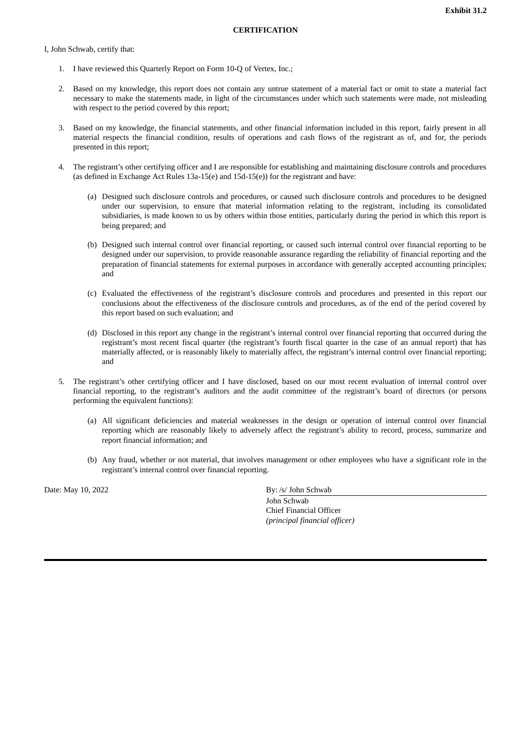#### <span id="page-57-0"></span>I, John Schwab, certify that:

- 1. I have reviewed this Quarterly Report on Form 10-Q of Vertex, Inc.;
- 2. Based on my knowledge, this report does not contain any untrue statement of a material fact or omit to state a material fact necessary to make the statements made, in light of the circumstances under which such statements were made, not misleading with respect to the period covered by this report;
- 3. Based on my knowledge, the financial statements, and other financial information included in this report, fairly present in all material respects the financial condition, results of operations and cash flows of the registrant as of, and for, the periods presented in this report;
- 4. The registrant's other certifying officer and I are responsible for establishing and maintaining disclosure controls and procedures (as defined in Exchange Act Rules 13a-15(e) and 15d-15(e)) for the registrant and have:
	- (a) Designed such disclosure controls and procedures, or caused such disclosure controls and procedures to be designed under our supervision, to ensure that material information relating to the registrant, including its consolidated subsidiaries, is made known to us by others within those entities, particularly during the period in which this report is being prepared; and
	- (b) Designed such internal control over financial reporting, or caused such internal control over financial reporting to be designed under our supervision, to provide reasonable assurance regarding the reliability of financial reporting and the preparation of financial statements for external purposes in accordance with generally accepted accounting principles; and
	- (c) Evaluated the effectiveness of the registrant's disclosure controls and procedures and presented in this report our conclusions about the effectiveness of the disclosure controls and procedures, as of the end of the period covered by this report based on such evaluation; and
	- (d) Disclosed in this report any change in the registrant's internal control over financial reporting that occurred during the registrant's most recent fiscal quarter (the registrant's fourth fiscal quarter in the case of an annual report) that has materially affected, or is reasonably likely to materially affect, the registrant's internal control over financial reporting; and
- 5. The registrant's other certifying officer and I have disclosed, based on our most recent evaluation of internal control over financial reporting, to the registrant's auditors and the audit committee of the registrant's board of directors (or persons performing the equivalent functions):
	- (a) All significant deficiencies and material weaknesses in the design or operation of internal control over financial reporting which are reasonably likely to adversely affect the registrant's ability to record, process, summarize and report financial information; and
	- (b) Any fraud, whether or not material, that involves management or other employees who have a significant role in the registrant's internal control over financial reporting.

Date: May 10, 2022 By: /s/ John Schwab

John Schwab Chief Financial Officer *(principal financial officer)*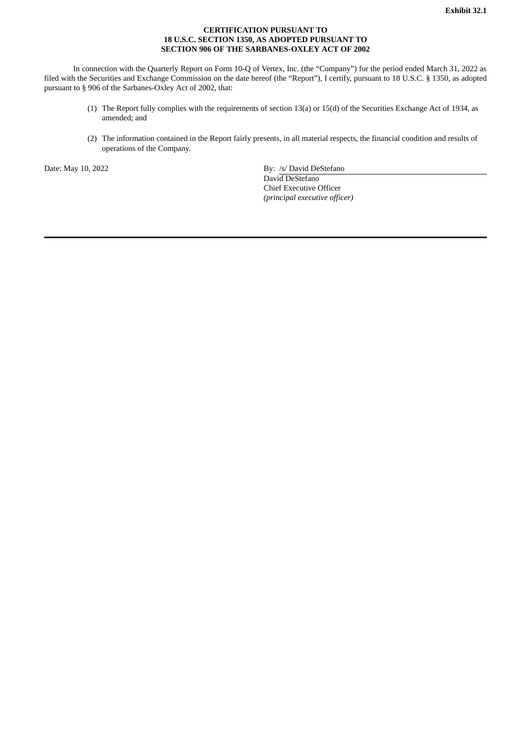### **CERTIFICATION PURSUANT TO 18 U.S.C. SECTION 1350, AS ADOPTED PURSUANT TO SECTION 906 OF THE SARBANES-OXLEY ACT OF 2002**

<span id="page-58-0"></span>In connection with the Quarterly Report on Form 10-Q of Vertex, Inc. (the "Company") for the period ended March 31, 2022 as filed with the Securities and Exchange Commission on the date hereof (the "Report"), I certify, pursuant to 18 U.S.C. § 1350, as adopted pursuant to § 906 of the Sarbanes-Oxley Act of 2002, that:

- (1) The Report fully complies with the requirements of section 13(a) or 15(d) of the Securities Exchange Act of 1934, as amended; and
- (2) The information contained in the Report fairly presents, in all material respects, the financial condition and results of operations of the Company.

Date: May 10, 2022 By: /s/ David DeStefano David DeStefano Chief Executive Officer *(principal executive officer)*